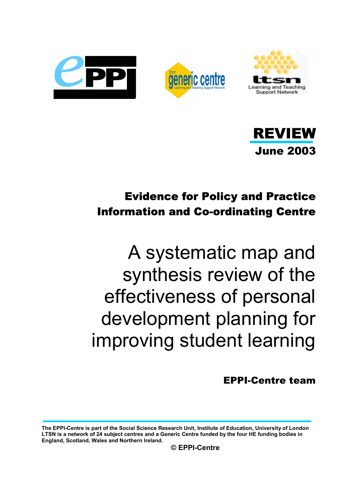







## Evidence for Policy and Practice Information and Co-ordinating Centre

# A systematic map and synthesis review of the effectiveness of personal development planning for improving student learning

EPPI-Centre team

**The EPPI-Centre is part of the Social Science Research Unit, Institute of Education, University of London LTSN is a network of 24 subject centres and a Generic Centre funded by the four HE funding bodies in England, Scotland, Wales and Northern Ireland.**

**© EPPI-Centre**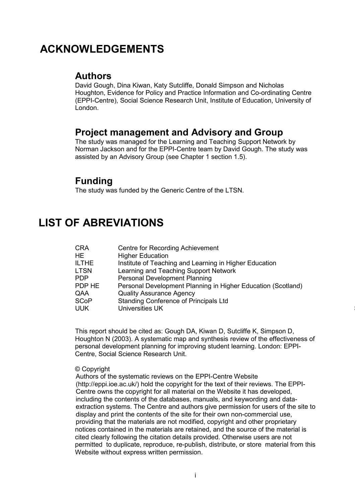## **ACKNOWLEDGEMENTS**

### **Authors**

David Gough, Dina Kiwan, Katy Sutcliffe, Donald Simpson and Nicholas Houghton, Evidence for Policy and Practice Information and Co-ordinating Centre (EPPI-Centre), Social Science Research Unit, Institute of Education, University of London.

### **Project management and Advisory and Group**

The study was managed for the Learning and Teaching Support Network by Norman Jackson and for the EPPI-Centre team by David Gough. The study was assisted by an Advisory Group (see Chapter 1 section 1.5).

### **Funding**

The study was funded by the Generic Centre of the LTSN.

## **LIST OF ABREVIATIONS**

| CRA          | Centre for Recording Achievement                             |
|--------------|--------------------------------------------------------------|
| HE.          | <b>Higher Education</b>                                      |
| <b>ILTHE</b> | Institute of Teaching and Learning in Higher Education       |
| LTSN         | Learning and Teaching Support Network                        |
| PDP          | <b>Personal Development Planning</b>                         |
| PDP HE       | Personal Development Planning in Higher Education (Scotland) |
| QAA          | <b>Quality Assurance Agency</b>                              |
| <b>SCoP</b>  | Standing Conference of Principals Ltd                        |
| UUK          | <b>Universities UK</b>                                       |

This report should be cited as: Gough DA, Kiwan D, Sutcliffe K, Simpson D, Houghton N (2003). A systematic map and synthesis review of the effectiveness of personal development planning for improving student learning. London: EPPI-Centre, Social Science Research Unit.

#### © Copyright

Authors of the systematic reviews on the EPPI-Centre Website (http://eppi.ioe.ac.uk/) hold the copyright for the text of their reviews. The EPPI-Centre owns the copyright for all material on the Website it has developed, including the contents of the databases, manuals, and keywording and dataextraction systems. The Centre and authors give permission for users of the site to display and print the contents of the site for their own non-commercial use, providing that the materials are not modified, copyright and other proprietary notices contained in the materials are retained, and the source of the material is cited clearly following the citation details provided. Otherwise users are not permitted to duplicate, reproduce, re-publish, distribute, or store material from this Website without express written permission.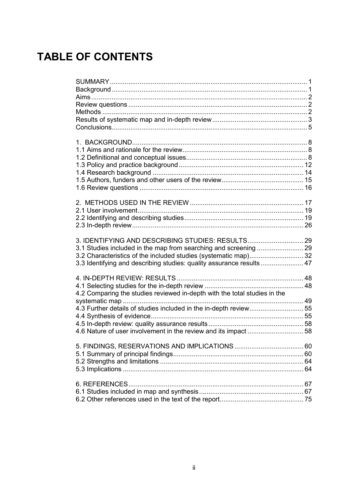## **TABLE OF CONTENTS**

| 3. IDENTIFYING AND DESCRIBING STUDIES: RESULTS 29<br>3.3 Identifying and describing studies: quality assurance results 47 |  |
|---------------------------------------------------------------------------------------------------------------------------|--|
| 4.2 Comparing the studies reviewed in-depth with the total studies in the                                                 |  |
| 4.3 Further details of studies included in the in-depth review 55                                                         |  |
|                                                                                                                           |  |
|                                                                                                                           |  |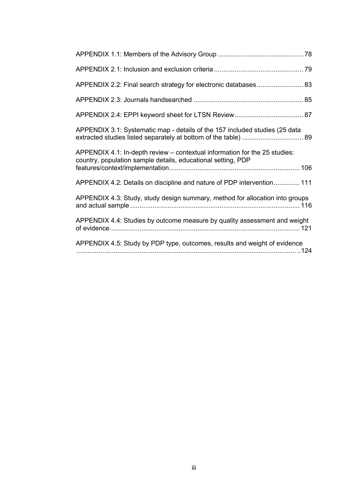| APPENDIX 3.1: Systematic map - details of the 157 included studies (25 data                                                                |
|--------------------------------------------------------------------------------------------------------------------------------------------|
| APPENDIX 4.1: In-depth review - contextual information for the 25 studies:<br>country, population sample details, educational setting, PDP |
| APPENDIX 4.2: Details on discipline and nature of PDP intervention 111                                                                     |
| APPENDIX 4.3: Study, study design summary, method for allocation into groups                                                               |
| APPENDIX 4.4: Studies by outcome measure by quality assessment and weight                                                                  |
| APPENDIX 4.5: Study by PDP type, outcomes, results and weight of evidence                                                                  |
|                                                                                                                                            |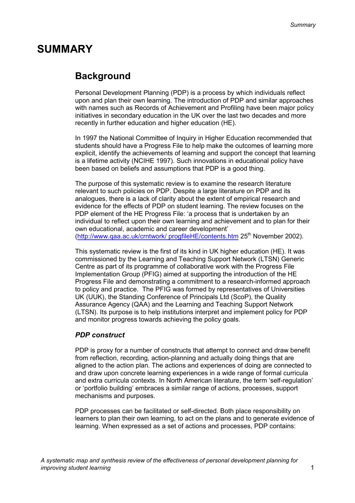## **SUMMARY**

## **Background**

Personal Development Planning (PDP) is a process by which individuals reflect upon and plan their own learning. The introduction of PDP and similar approaches with names such as Records of Achievement and Profiling have been major policy initiatives in secondary education in the UK over the last two decades and more recently in further education and higher education (HE).

In 1997 the National Committee of Inquiry in Higher Education recommended that students should have a Progress File to help make the outcomes of learning more explicit, identify the achievements of learning and support the concept that learning is a lifetime activity (NCIHE 1997). Such innovations in educational policy have been based on beliefs and assumptions that PDP is a good thing.

The purpose of this systematic review is to examine the research literature relevant to such policies on PDP. Despite a large literature on PDP and its analogues, there is a lack of clarity about the extent of empirical research and evidence for the effects of PDP on student learning. The review focuses on the PDP element of the HE Progress File: 'a process that is undertaken by an individual to reflect upon their own learning and achievement and to plan for their own educational, academic and career development' (http://www.qaa.ac.uk/crntwork/ progfileHE/contents.htm 25<sup>th</sup> November 2002).

This systematic review is the first of its kind in UK higher education (HE). It was commissioned by the Learning and Teaching Support Network (LTSN) Generic Centre as part of its programme of collaborative work with the Progress File Implementation Group (PFIG) aimed at supporting the introduction of the HE Progress File and demonstrating a commitment to a research-informed approach to policy and practice. The PFIG was formed by representatives of Universities UK (UUK), the Standing Conference of Principals Ltd (ScoP), the Quality Assurance Agency (QAA) and the Learning and Teaching Support Network (LTSN). Its purpose is to help institutions interpret and implement policy for PDP and monitor progress towards achieving the policy goals.

### *PDP construct*

PDP is proxy for a number of constructs that attempt to connect and draw benefit from reflection, recording, action-planning and actually doing things that are aligned to the action plan. The actions and experiences of doing are connected to and draw upon concrete learning experiences in a wide range of formal curricula and extra curricula contexts. In North American literature, the term 'self-regulation' or 'portfolio building' embraces a similar range of actions, processes, support mechanisms and purposes.

PDP processes can be facilitated or self-directed. Both place responsibility on learners to plan their own learning, to act on the plans and to generate evidence of learning. When expressed as a set of actions and processes, PDP contains: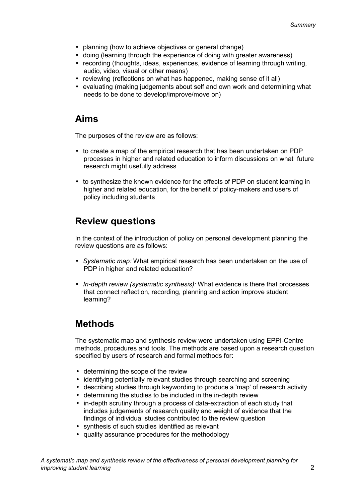- planning (how to achieve objectives or general change)
- doing (learning through the experience of doing with greater awareness)
- recording (thoughts, ideas, experiences, evidence of learning through writing, audio, video, visual or other means)
- reviewing (reflections on what has happened, making sense of it all)
- evaluating (making judgements about self and own work and determining what needs to be done to develop/improve/move on)

## **Aims**

The purposes of the review are as follows:

- to create a map of the empirical research that has been undertaken on PDP processes in higher and related education to inform discussions on what future research might usefully address
- to synthesize the known evidence for the effects of PDP on student learning in higher and related education, for the benefit of policy-makers and users of policy including students

## **Review questions**

In the context of the introduction of policy on personal development planning the review questions are as follows:

- *Systematic map:* What empirical research has been undertaken on the use of PDP in higher and related education?
- *In-depth review (systematic synthesis):* What evidence is there that processes that connect reflection, recording, planning and action improve student learning?

## **Methods**

The systematic map and synthesis review were undertaken using EPPI-Centre methods, procedures and tools. The methods are based upon a research question specified by users of research and formal methods for:

- determining the scope of the review
- identifying potentially relevant studies through searching and screening
- describing studies through keywording to produce a 'map' of research activity
- determining the studies to be included in the in-depth review
- in-depth scrutiny through a process of data-extraction of each study that includes judgements of research quality and weight of evidence that the findings of individual studies contributed to the review question
- synthesis of such studies identified as relevant
- quality assurance procedures for the methodology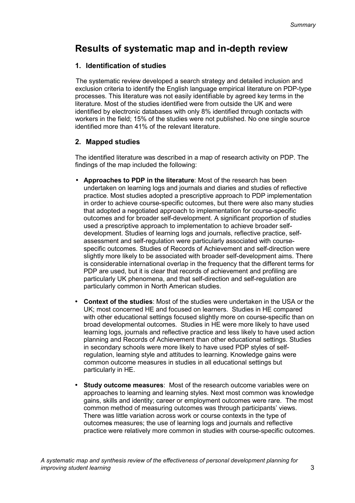## **Results of systematic map and in-depth review**

#### **1. Identification of studies**

The systematic review developed a search strategy and detailed inclusion and exclusion criteria to identify the English language empirical literature on PDP-type processes. This literature was not easily identifiable by agreed key terms in the literature. Most of the studies identified were from outside the UK and were identified by electronic databases with only 8% identified through contacts with workers in the field; 15% of the studies were not published. No one single source identified more than 41% of the relevant literature.

### **2. Mapped studies**

The identified literature was described in a map of research activity on PDP. The findings of the map included the following:

- **Approaches to PDP in the literature**: Most of the research has been undertaken on learning logs and journals and diaries and studies of reflective practice. Most studies adopted a prescriptive approach to PDP implementation in order to achieve course-specific outcomes, but there were also many studies that adopted a negotiated approach to implementation for course-specific outcomes and for broader self-development. A significant proportion of studies used a prescriptive approach to implementation to achieve broader selfdevelopment. Studies of learning logs and journals, reflective practice, selfassessment and self-regulation were particularly associated with coursespecific outcomes. Studies of Records of Achievement and self-direction were slightly more likely to be associated with broader self-development aims. There is considerable international overlap in the frequency that the different terms for PDP are used, but it is clear that records of achievement and profiling are particularly UK phenomena, and that self-direction and self-regulation are particularly common in North American studies.
- **Context of the studies**: Most of the studies were undertaken in the USA or the UK; most concerned HE and focused on learners. Studies in HE compared with other educational settings focused slightly more on course-specific than on broad developmental outcomes. Studies in HE were more likely to have used learning logs, journals and reflective practice and less likely to have used action planning and Records of Achievement than other educational settings. Studies in secondary schools were more likely to have used PDP styles of selfregulation, learning style and attitudes to learning. Knowledge gains were common outcome measures in studies in all educational settings but particularly in HE.
- **Study outcome measures**: Most of the research outcome variables were on approaches to learning and learning styles. Next most common was knowledge gains, skills and identity; career or employment outcomes were rare. The most common method of measuring outcomes was through participants' views. There was little variation across work or course contexts in the type of outcomes measures; the use of learning logs and journals and reflective practice were relatively more common in studies with course-specific outcomes.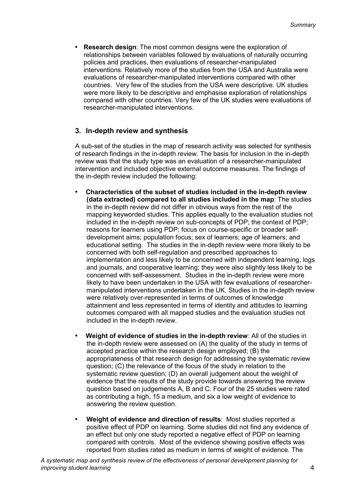**Research design:** The most common designs were the exploration of relationships between variables followed by evaluations of naturally occurring policies and practices, then evaluations of researcher-manipulated interventions. Relatively more of the studies from the USA and Australia were evaluations of researcher-manipulated interventions compared with other countries. Very few of the studies from the USA were descriptive. UK studies were more likely to be descriptive and emphasise exploration of relationships compared with other countries. Very few of the UK studies were evaluations of researcher-manipulated interventions.

#### **3. In-depth review and synthesis**

A sub-set of the studies in the map of research activity was selected for synthesis of research findings in the in-depth review. The basis for inclusion in the in-depth review was that the study type was an evaluation of a researcher-manipulated intervention and included objective external outcome measures. The findings of the in-depth review included the following:

- **Characteristics of the subset of studies included in the in-depth review (data extracted) compared to all studies included in the map**: The studies in the in-depth review did not differ in obvious ways from the rest of the mapping keyworded studies. This applies equally to the evaluation studies not included in the in-depth review on sub-concepts of PDP; the context of PDP; reasons for learners using PDP; focus on course-specific or broader selfdevelopment aims; population focus; sex of learners; age of learners; and educational setting. The studies in the in-depth review were more likely to be concerned with both self-regulation and prescribed approaches to implementation and less likely to be concerned with independent learning, logs and journals, and cooperative learning; they were also slightly less likely to be concerned with self-assessment. Studies in the in-depth review were more likely to have been undertaken in the USA with few evaluations of researchermanipulated interventions undertaken in the UK. Studies in the in-depth review were relatively over-represented in terms of outcomes of knowledge attainment and less represented in terms of identity and attitudes to learning outcomes compared with all mapped studies and the evaluation studies not included in the in-depth review.
- **Weight of evidence of studies in the in-depth review**: All of the studies in the in-depth review were assessed on (A) the quality of the study in terms of accepted practice within the research design employed; (B) the appropriateness of that research design for addressing the systematic review question; (C) the relevance of the focus of the study in relation to the systematic review question; (D) an overall judgement about the weight of evidence that the results of the study provide towards answering the review question based on judgements A, B and C. Four of the 25 studies were rated as contributing a high, 15 a medium, and six a low weight of evidence to answering the review question.
- **Weight of evidence and direction of results**: Most studies reported a positive effect of PDP on learning. Some studies did not find any evidence of an effect but only one study reported a negative effect of PDP on learning compared with controls. Most of the evidence showing positive effects was reported from studies rated as medium in terms of weight of evidence. The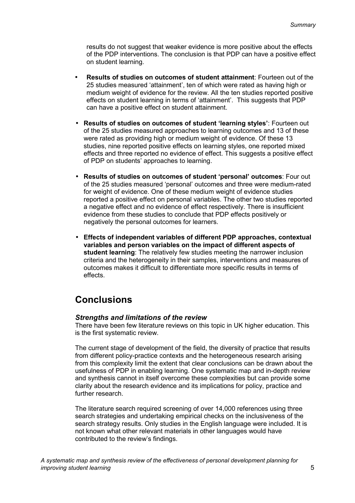results do not suggest that weaker evidence is more positive about the effects of the PDP interventions. The conclusion is that PDP can have a positive effect on student learning.

- **Results of studies on outcomes of student attainment**: Fourteen out of the 25 studies measured 'attainment', ten of which were rated as having high or medium weight of evidence for the review. All the ten studies reported positive effects on student learning in terms of 'attainment'. This suggests that PDP can have a positive effect on student attainment.
- **Results of studies on outcomes of student 'learning styles'**: Fourteen out of the 25 studies measured approaches to learning outcomes and 13 of these were rated as providing high or medium weight of evidence. Of these 13 studies, nine reported positive effects on learning styles, one reported mixed effects and three reported no evidence of effect. This suggests a positive effect of PDP on students' approaches to learning.
- **Results of studies on outcomes of student 'personal' outcomes**: Four out of the 25 studies measured 'personal' outcomes and three were medium-rated for weight of evidence. One of these medium weight of evidence studies reported a positive effect on personal variables. The other two studies reported a negative effect and no evidence of effect respectively. There is insufficient evidence from these studies to conclude that PDP effects positively or negatively the personal outcomes for learners.
- **Effects of independent variables of different PDP approaches, contextual variables and person variables on the impact of different aspects of student learning**: The relatively few studies meeting the narrower inclusion criteria and the heterogeneity in their samples, interventions and measures of outcomes makes it difficult to differentiate more specific results in terms of effects.

## **Conclusions**

#### *Strengths and limitations of the review*

There have been few literature reviews on this topic in UK higher education. This is the first systematic review.

The current stage of development of the field, the diversity of practice that results from different policy-practice contexts and the heterogeneous research arising from this complexity limit the extent that clear conclusions can be drawn about the usefulness of PDP in enabling learning. One systematic map and in-depth review and synthesis cannot in itself overcome these complexities but can provide some clarity about the research evidence and its implications for policy, practice and further research.

The literature search required screening of over 14,000 references using three search strategies and undertaking empirical checks on the inclusiveness of the search strategy results. Only studies in the English language were included. It is not known what other relevant materials in other languages would have contributed to the review's findings.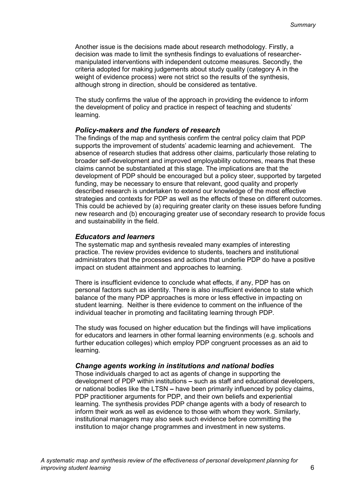Another issue is the decisions made about research methodology. Firstly, a decision was made to limit the synthesis findings to evaluations of researchermanipulated interventions with independent outcome measures. Secondly, the criteria adopted for making judgements about study quality (category A in the weight of evidence process) were not strict so the results of the synthesis, although strong in direction, should be considered as tentative.

The study confirms the value of the approach in providing the evidence to inform the development of policy and practice in respect of teaching and students' learning.

#### *Policy-makers and the funders of research*

The findings of the map and synthesis confirm the central policy claim that PDP supports the improvement of students' academic learning and achievement. The absence of research studies that address other claims, particularly those relating to broader self-development and improved employability outcomes, means that these claims cannot be substantiated at this stage. The implications are that the development of PDP should be encouraged but a policy steer, supported by targeted funding, may be necessary to ensure that relevant, good quality and properly described research is undertaken to extend our knowledge of the most effective strategies and contexts for PDP as well as the effects of these on different outcomes. This could be achieved by (a) requiring greater clarity on these issues before funding new research and (b) encouraging greater use of secondary research to provide focus and sustainability in the field.

#### *Educators and learners*

The systematic map and synthesis revealed many examples of interesting practice. The review provides evidence to students, teachers and institutional administrators that the processes and actions that underlie PDP do have a positive impact on student attainment and approaches to learning.

There is insufficient evidence to conclude what effects, if any, PDP has on personal factors such as identity. There is also insufficient evidence to state which balance of the many PDP approaches is more or less effective in impacting on student learning. Neither is there evidence to comment on the influence of the individual teacher in promoting and facilitating learning through PDP.

The study was focused on higher education but the findings will have implications for educators and learners in other formal learning environments (e.g. schools and further education colleges) which employ PDP congruent processes as an aid to learning.

#### *Change agents working in institutions and national bodies*

Those individuals charged to act as agents of change in supporting the development of PDP within institutions **–** such as staff and educational developers, or national bodies like the LTSN **–** have been primarily influenced by policy claims, PDP practitioner arguments for PDP, and their own beliefs and experiential learning. The synthesis provides PDP change agents with a body of research to inform their work as well as evidence to those with whom they work. Similarly, institutional managers may also seek such evidence before committing the institution to major change programmes and investment in new systems.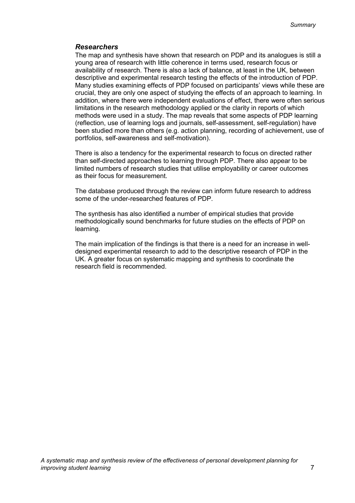#### *Researchers*

The map and synthesis have shown that research on PDP and its analogues is still a young area of research with little coherence in terms used, research focus or availability of research. There is also a lack of balance, at least in the UK, between descriptive and experimental research testing the effects of the introduction of PDP. Many studies examining effects of PDP focused on participants' views while these are crucial, they are only one aspect of studying the effects of an approach to learning. In addition, where there were independent evaluations of effect, there were often serious limitations in the research methodology applied or the clarity in reports of which methods were used in a study. The map reveals that some aspects of PDP learning (reflection, use of learning logs and journals, self-assessment, self-regulation) have been studied more than others (e.g. action planning, recording of achievement, use of portfolios, self-awareness and self-motivation).

There is also a tendency for the experimental research to focus on directed rather than self-directed approaches to learning through PDP. There also appear to be limited numbers of research studies that utilise employability or career outcomes as their focus for measurement.

The database produced through the review can inform future research to address some of the under-researched features of PDP.

The synthesis has also identified a number of empirical studies that provide methodologically sound benchmarks for future studies on the effects of PDP on learning.

The main implication of the findings is that there is a need for an increase in welldesigned experimental research to add to the descriptive research of PDP in the UK. A greater focus on systematic mapping and synthesis to coordinate the research field is recommended.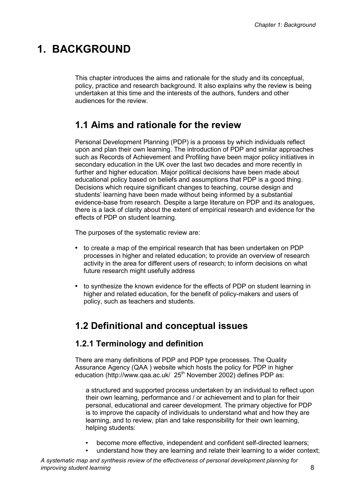## **1. BACKGROUND**

This chapter introduces the aims and rationale for the study and its conceptual, policy, practice and research background. It also explains why the review is being undertaken at this time and the interests of the authors, funders and other audiences for the review.

## **1.1 Aims and rationale for the review**

Personal Development Planning (PDP) is a process by which individuals reflect upon and plan their own learning. The introduction of PDP and similar approaches such as Records of Achievement and Profiling have been major policy initiatives in secondary education in the UK over the last two decades and more recently in further and higher education. Major political decisions have been made about educational policy based on beliefs and assumptions that PDP is a good thing. Decisions which require significant changes to teaching, course design and students' learning have been made without being informed by a substantial evidence-base from research. Despite a large literature on PDP and its analogues, there is a lack of clarity about the extent of empirical research and evidence for the effects of PDP on student learning.

The purposes of the systematic review are:

- to create a map of the empirical research that has been undertaken on PDP processes in higher and related education; to provide an overview of research activity in the area for different users of research; to inform decisions on what future research might usefully address
- to synthesize the known evidence for the effects of PDP on student learning in higher and related education, for the benefit of policy-makers and users of policy, such as teachers and students.

## **1.2 Definitional and conceptual issues**

### **1.2.1 Terminology and definition**

There are many definitions of PDP and PDP type processes. The Quality Assurance Agency (QAA ) website which hosts the policy for PDP in higher education (http://www.qaa.ac.uk/ 25<sup>th</sup> November 2002) defines PDP as:

a structured and supported process undertaken by an individual to reflect upon their own learning, performance and / or achievement and to plan for their personal, educational and career development. The primary objective for PDP is to improve the capacity of individuals to understand what and how they are learning, and to review, plan and take responsibility for their own learning, helping students:

- become more effective, independent and confident self-directed learners;
- understand how they are learning and relate their learning to a wider context;

*A systematic map and synthesis review of the effectiveness of personal development planning for improving student learning* 8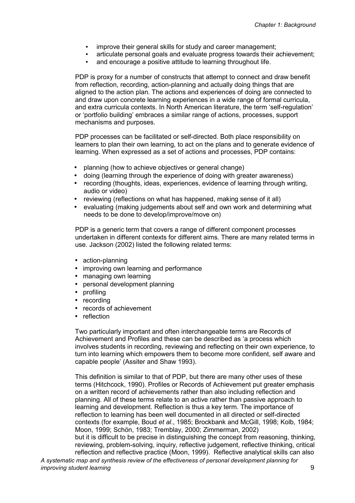- improve their general skills for study and career management;
- articulate personal goals and evaluate progress towards their achievement;
	- and encourage a positive attitude to learning throughout life.

PDP is proxy for a number of constructs that attempt to connect and draw benefit from reflection, recording, action-planning and actually doing things that are aligned to the action plan. The actions and experiences of doing are connected to and draw upon concrete learning experiences in a wide range of formal curricula, and extra curricula contexts. In North American literature, the term 'self-regulation' or 'portfolio building' embraces a similar range of actions, processes, support mechanisms and purposes.

PDP processes can be facilitated or self-directed. Both place responsibility on learners to plan their own learning, to act on the plans and to generate evidence of learning. When expressed as a set of actions and processes, PDP contains:

- planning (how to achieve objectives or general change)
- doing (learning through the experience of doing with greater awareness)
- recording (thoughts, ideas, experiences, evidence of learning through writing, audio or video)
- reviewing (reflections on what has happened, making sense of it all)
- evaluating (making judgements about self and own work and determining what needs to be done to develop/improve/move on)

PDP is a generic term that covers a range of different component processes undertaken in different contexts for different aims. There are many related terms in use. Jackson (2002) listed the following related terms:

- action-planning
- improving own learning and performance
- managing own learning
- personal development planning
- profiling
- recording
- records of achievement
- reflection

Two particularly important and often interchangeable terms are Records of Achievement and Profiles and these can be described as 'a process which involves students in recording, reviewing and reflecting on their own experience, to turn into learning which empowers them to become more confident, self aware and capable people' (Assiter and Shaw 1993).

This definition is similar to that of PDP, but there are many other uses of these terms (Hitchcock, 1990). Profiles or Records of Achievement put greater emphasis on a written record of achievements rather than also including reflection and planning. All of these terms relate to an active rather than passive approach to learning and development. Reflection is thus a key term. The importance of reflection to learning has been well documented in all directed or self-directed contexts (for example, Boud *et al*., 1985; Brockbank and McGill, 1998; Kolb, 1984; Moon, 1999; Schön, 1983; Tremblay, 2000; Zimmerman, 2002) but it is difficult to be precise in distinguishing the concept from reasoning, thinking, reviewing, problem-solving, inquiry, reflective judgement, reflective thinking, critical

*A systematic map and synthesis review of the effectiveness of personal development planning for improving student learning* 9 reflection and reflective practice (Moon, 1999). Reflective analytical skills can also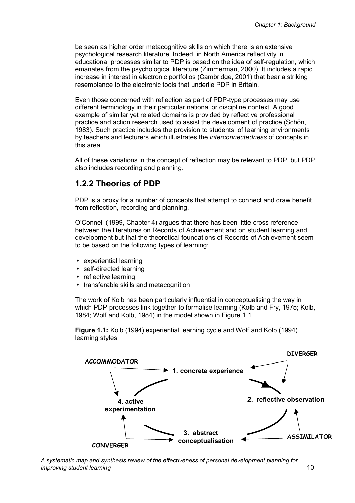be seen as higher order metacognitive skills on which there is an extensive psychological research literature. Indeed, in North America reflectivity in educational processes similar to PDP is based on the idea of self-regulation, which emanates from the psychological literature (Zimmerman, 2000). It includes a rapid increase in interest in electronic portfolios (Cambridge, 2001) that bear a striking resemblance to the electronic tools that underlie PDP in Britain.

Even those concerned with reflection as part of PDP-type processes may use different terminology in their particular national or discipline context. A good example of similar yet related domains is provided by reflective professional practice and action research used to assist the development of practice (Schön, 1983). Such practice includes the provision to students, of learning environments by teachers and lecturers which illustrates the *interconnectedness* of concepts in this area.

All of these variations in the concept of reflection may be relevant to PDP, but PDP also includes recording and planning.

### **1.2.2 Theories of PDP**

PDP is a proxy for a number of concepts that attempt to connect and draw benefit from reflection, recording and planning.

O'Connell (1999, Chapter 4) argues that there has been little cross reference between the literatures on Records of Achievement and on student learning and development but that the theoretical foundations of Records of Achievement seem to be based on the following types of learning:

- experiential learning
- self-directed learning
- reflective learning
- transferable skills and metacognition

The work of Kolb has been particularly influential in conceptualising the way in which PDP processes link together to formalise learning (Kolb and Fry, 1975; Kolb, 1984; Wolf and Kolb, 1984) in the model shown in Figure 1.1.

**Figure 1.1:** Kolb (1994) experiential learning cycle and Wolf and Kolb (1994) learning styles



*A systematic map and synthesis review of the effectiveness of personal development planning for improving student learning* 10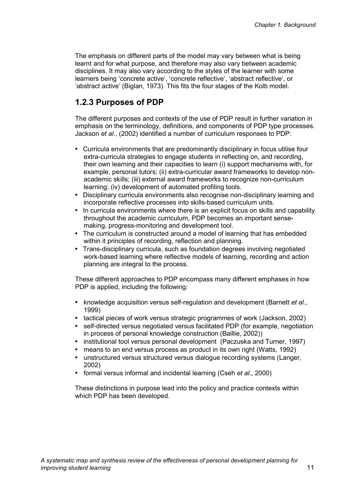The emphasis on different parts of the model may vary between what is being learnt and for what purpose, and therefore may also vary between academic disciplines. It may also vary according to the styles of the learner with some learners being 'concrete active', 'concrete reflective', 'abstract reflective', or 'abstract active' (Biglan, 1973). This fits the four stages of the Kolb model.

### **1.2.3 Purposes of PDP**

The different purposes and contexts of the use of PDP result in further variation in emphasis on the terminology, definitions, and components of PDP type processes. Jackson *et al*., (2002) identified a number of curriculum responses to PDP:

- Curricula environments that are predominantly disciplinary in focus utilise four extra-curricula strategies to engage students in reflecting on, and recording, their own learning and their capacities to learn (i) support mechanisms with, for example, personal tutors; (ii) extra-curricular award frameworks to develop nonacademic skills; (iii) external award frameworks to recognize non-curriculum learning; (iv) development of automated profiling tools.
- Disciplinary curricula environments also recognise non-disciplinary learning and incorporate reflective processes into skills-based curriculum units.
- In curricula environments where there is an explicit focus on skills and capability throughout the academic curriculum, PDP becomes an important sensemaking, progress-monitoring and development tool.
- The curriculum is constructed around a model of learning that has embedded within it principles of recording, reflection and planning.
- Trans-disciplinary curricula, such as foundation degrees involving negotiated work-based learning where reflective models of learning, recording and action planning are integral to the process.

These different approaches to PDP encompass many different emphases in how PDP is applied, including the following:

- knowledge acquisition versus self-regulation and development (Barnett *et al.*, 1999)
- tactical pieces of work versus strategic programmes of work (Jackson, 2002)
- self-directed versus negotiated versus facilitated PDP (for example, negotiation in process of personal knowledge construction (Baillie, 2002))
- institutional tool versus personal development (Paczuska and Turner, 1997)
- means to an end versus process as product in its own right (Watts, 1992)
- unstructured versus structured versus dialogue recording systems (Langer, 2002)
- formal versus informal and incidental learning (Cseh *et al*., 2000)

These distinctions in purpose lead into the policy and practice contexts within which PDP has been developed.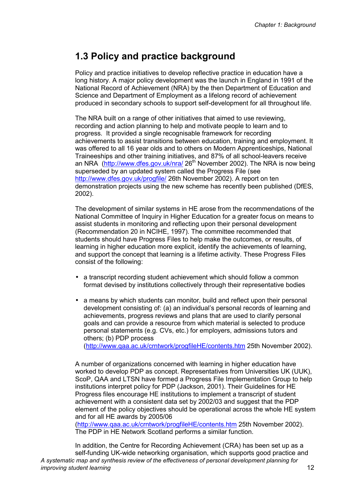## **1.3 Policy and practice background**

Policy and practice initiatives to develop reflective practice in education have a long history. A major policy development was the launch in England in 1991 of the National Record of Achievement (NRA) by the then Department of Education and Science and Department of Employment as a lifelong record of achievement produced in secondary schools to support self-development for all throughout life.

The NRA built on a range of other initiatives that aimed to use reviewing, recording and action planning to help and motivate people to learn and to progress. It provided a single recognisable framework for recording achievements to assist transitions between education, training and employment. It was offered to all 16 year olds and to others on Modern Apprenticeships, National Traineeships and other training initiatives, and 87% of all school-leavers receive an NRA (http://www.dfes.gov.uk/nra/ 26<sup>th</sup> November 2002). The NRA is now being superseded by an updated system called the Progress File (see http://www.dfes.gov.uk/progfile/ 26th November 2002). A report on ten demonstration projects using the new scheme has recently been published (DfES, 2002).

The development of similar systems in HE arose from the recommendations of the National Committee of Inquiry in Higher Education for a greater focus on means to assist students in monitoring and reflecting upon their personal development (Recommendation 20 in NCIHE, 1997). The committee recommended that students should have Progress Files to help make the outcomes, or results, of learning in higher education more explicit, identify the achievements of learning, and support the concept that learning is a lifetime activity. These Progress Files consist of the following:

- a transcript recording student achievement which should follow a common format devised by institutions collectively through their representative bodies
- a means by which students can monitor, build and reflect upon their personal development consisting of: (a) an individual's personal records of learning and achievements, progress reviews and plans that are used to clarify personal goals and can provide a resource from which material is selected to produce personal statements (e.g. CVs, etc.) for employers, admissions tutors and others; (b) PDP process

(http://www.qaa.ac.uk/crntwork/progfileHE/contents.htm 25th November 2002).

A number of organizations concerned with learning in higher education have worked to develop PDP as concept. Representatives from Universities UK (UUK), ScoP, QAA and LTSN have formed a Progress File Implementation Group to help institutions interpret policy for PDP (Jackson, 2001). Their Guidelines for HE Progress files encourage HE institutions to implement a transcript of student achievement with a consistent data set by 2002/03 and suggest that the PDP element of the policy objectives should be operational across the whole HE system and for all HE awards by 2005/06

(http://www.qaa.ac.uk/crntwork/progfileHE/contents.htm 25th November 2002). The PDP in HE Network Scotland performs a similar function.

*A systematic map and synthesis review of the effectiveness of personal development planning for improving student learning* 12 In addition, the Centre for Recording Achievement (CRA) has been set up as a self-funding UK-wide networking organisation, which supports good practice and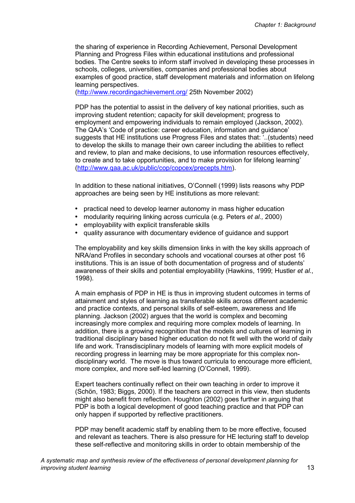the sharing of experience in Recording Achievement, Personal Development Planning and Progress Files within educational institutions and professional bodies. The Centre seeks to inform staff involved in developing these processes in schools, colleges, universities, companies and professional bodies about examples of good practice, staff development materials and information on lifelong learning perspectives.

(http://www.recordingachievement.org/ 25th November 2002)

PDP has the potential to assist in the delivery of key national priorities, such as improving student retention; capacity for skill development; progress to employment and empowering individuals to remain employed (Jackson, 2002). The QAA's 'Code of practice: career education, information and guidance' suggests that HE institutions use Progress Files and states that: '..(students) need to develop the skills to manage their own career including the abilities to reflect and review, to plan and make decisions, to use information resources effectively, to create and to take opportunities, and to make provision for lifelong learning' (http://www.qaa.ac.uk/public/cop/copcex/precepts.htm).

In addition to these national initiatives, O'Connell (1999) lists reasons why PDP approaches are being seen by HE institutions as more relevant:

- practical need to develop learner autonomy in mass higher education
- modularity requiring linking across curricula (e.g. Peters *et al.,* 2000)
- employability with explicit transferable skills
- quality assurance with documentary evidence of guidance and support

The employability and key skills dimension links in with the key skills approach of NRA/and Profiles in secondary schools and vocational courses at other post 16 institutions. This is an issue of both documentation of progress and of students' awareness of their skills and potential employability (Hawkins, 1999; Hustler *et al.*, 1998).

A main emphasis of PDP in HE is thus in improving student outcomes in terms of attainment and styles of learning as transferable skills across different academic and practice contexts, and personal skills of self-esteem, awareness and life planning. Jackson (2002) argues that the world is complex and becoming increasingly more complex and requiring more complex models of learning. In addition, there is a growing recognition that the models and cultures of learning in traditional disciplinary based higher education do not fit well with the world of daily life and work. Transdisciplinary models of learning with more explicit models of recording progress in learning may be more appropriate for this complex nondisciplinary world. The move is thus toward curricula to encourage more efficient, more complex, and more self-led learning (O'Connell, 1999).

Expert teachers continually reflect on their own teaching in order to improve it (Schön, 1983; Biggs, 2000). If the teachers are correct in this view, then students might also benefit from reflection. Houghton (2002) goes further in arguing that PDP is both a logical development of good teaching practice and that PDP can only happen if supported by reflective practitioners.

PDP may benefit academic staff by enabling them to be more effective, focused and relevant as teachers. There is also pressure for HE lecturing staff to develop these self-reflective and monitoring skills in order to obtain membership of the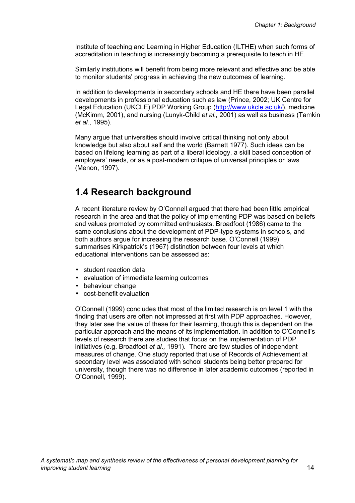Institute of teaching and Learning in Higher Education (ILTHE) when such forms of accreditation in teaching is increasingly becoming a prerequisite to teach in HE.

Similarly institutions will benefit from being more relevant and effective and be able to monitor students' progress in achieving the new outcomes of learning.

In addition to developments in secondary schools and HE there have been parallel developments in professional education such as law (Prince, 2002; UK Centre for Legal Education (UKCLE) PDP Working Group (http://www.ukcle.ac.uk/), medicine (McKimm, 2001), and nursing (Lunyk-Child *et al.,* 2001) as well as business (Tamkin *et al.*, 1995).

Many argue that universities should involve critical thinking not only about knowledge but also about self and the world (Barnett 1977). Such ideas can be based on lifelong learning as part of a liberal ideology, a skill based conception of employers' needs, or as a post-modern critique of universal principles or laws (Menon, 1997).

### **1.4 Research background**

A recent literature review by O'Connell argued that there had been little empirical research in the area and that the policy of implementing PDP was based on beliefs and values promoted by committed enthusiasts. Broadfoot (1986) came to the same conclusions about the development of PDP-type systems in schools, and both authors argue for increasing the research base. O'Connell (1999) summarises Kirkpatrick's (1967) distinction between four levels at which educational interventions can be assessed as:

- student reaction data
- evaluation of immediate learning outcomes
- behaviour change
- cost-benefit evaluation

O'Connell (1999) concludes that most of the limited research is on level 1 with the finding that users are often not impressed at first with PDP approaches. However, they later see the value of these for their learning, though this is dependent on the particular approach and the means of its implementation. In addition to O'Connell's levels of research there are studies that focus on the implementation of PDP initiatives (e.g. Broadfoot *et al.,* 1991). There are few studies of independent measures of change. One study reported that use of Records of Achievement at secondary level was associated with school students being better prepared for university, though there was no difference in later academic outcomes (reported in O'Connell, 1999).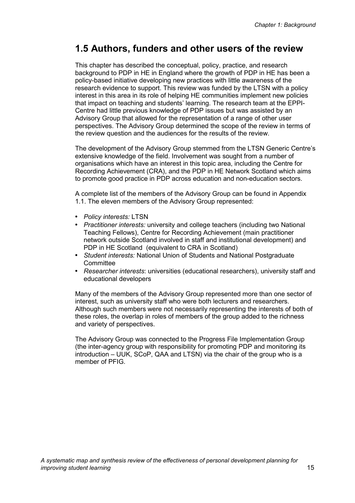## **1.5 Authors, funders and other users of the review**

This chapter has described the conceptual, policy, practice, and research background to PDP in HE in England where the growth of PDP in HE has been a policy-based initiative developing new practices with little awareness of the research evidence to support. This review was funded by the LTSN with a policy interest in this area in its role of helping HE communities implement new policies that impact on teaching and students' learning. The research team at the EPPI-Centre had little previous knowledge of PDP issues but was assisted by an Advisory Group that allowed for the representation of a range of other user perspectives. The Advisory Group determined the scope of the review in terms of the review question and the audiences for the results of the review.

The development of the Advisory Group stemmed from the LTSN Generic Centre's extensive knowledge of the field. Involvement was sought from a number of organisations which have an interest in this topic area, including the Centre for Recording Achievement (CRA), and the PDP in HE Network Scotland which aims to promote good practice in PDP across education and non-education sectors.

A complete list of the members of the Advisory Group can be found in Appendix 1.1. The eleven members of the Advisory Group represented:

- *Policy interests:* LTSN
- *Practitioner interests:* university and college teachers (including two National Teaching Fellows), Centre for Recording Achievement (main practitioner network outside Scotland involved in staff and institutional development) and PDP in HE Scotland (equivalent to CRA in Scotland)
- *Student interests:* National Union of Students and National Postgraduate **Committee**
- *Researcher interests*: universities (educational researchers), university staff and educational developers

Many of the members of the Advisory Group represented more than one sector of interest, such as university staff who were both lecturers and researchers. Although such members were not necessarily representing the interests of both of these roles, the overlap in roles of members of the group added to the richness and variety of perspectives.

The Advisory Group was connected to the Progress File Implementation Group (the inter-agency group with responsibility for promoting PDP and monitoring its introduction – UUK, SCoP, QAA and LTSN) via the chair of the group who is a member of PFIG.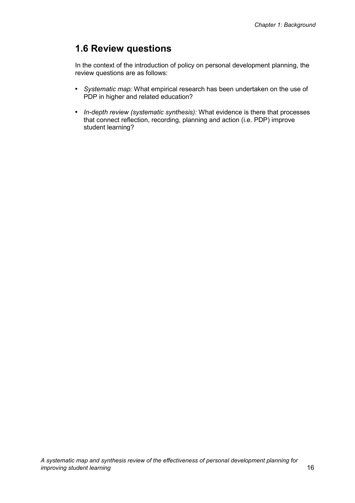## **1.6 Review questions**

In the context of the introduction of policy on personal development planning, the review questions are as follows:

- *Systematic map:* What empirical research has been undertaken on the use of PDP in higher and related education?
- *In-depth review (systematic synthesis):* What evidence is there that processes that connect reflection, recording, planning and action (i.e. PDP) improve student learning?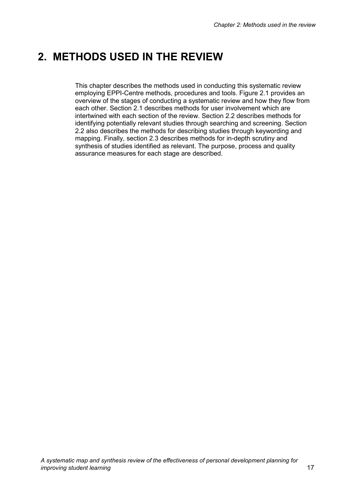## **2. METHODS USED IN THE REVIEW**

This chapter describes the methods used in conducting this systematic review employing EPPI-Centre methods, procedures and tools. Figure 2.1 provides an overview of the stages of conducting a systematic review and how they flow from each other. Section 2.1 describes methods for user involvement which are intertwined with each section of the review. Section 2.2 describes methods for identifying potentially relevant studies through searching and screening. Section 2.2 also describes the methods for describing studies through keywording and mapping. Finally, section 2.3 describes methods for in-depth scrutiny and synthesis of studies identified as relevant. The purpose, process and quality assurance measures for each stage are described.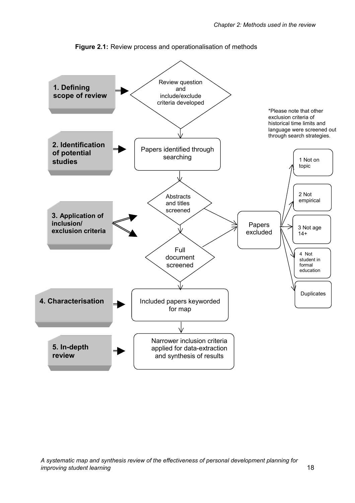

**Figure 2.1:** Review process and operationalisation of methods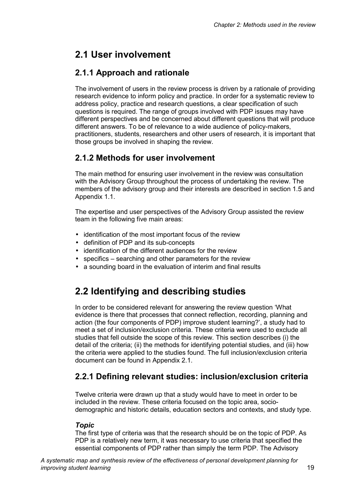## **2.1 User involvement**

### **2.1.1 Approach and rationale**

The involvement of users in the review process is driven by a rationale of providing research evidence to inform policy and practice. In order for a systematic review to address policy, practice and research questions, a clear specification of such questions is required. The range of groups involved with PDP issues may have different perspectives and be concerned about different questions that will produce different answers. To be of relevance to a wide audience of policy-makers, practitioners, students, researchers and other users of research, it is important that those groups be involved in shaping the review.

### **2.1.2 Methods for user involvement**

The main method for ensuring user involvement in the review was consultation with the Advisory Group throughout the process of undertaking the review. The members of the advisory group and their interests are described in section 1.5 and Appendix 1.1.

The expertise and user perspectives of the Advisory Group assisted the review team in the following five main areas:

- identification of the most important focus of the review
- definition of PDP and its sub-concepts
- identification of the different audiences for the review
- specifics searching and other parameters for the review
- a sounding board in the evaluation of interim and final results

## **2.2 Identifying and describing studies**

In order to be considered relevant for answering the review question 'What evidence is there that processes that connect reflection, recording, planning and action (the four components of PDP) improve student learning?', a study had to meet a set of inclusion/exclusion criteria. These criteria were used to exclude all studies that fell outside the scope of this review. This section describes (i) the detail of the criteria; (ii) the methods for identifying potential studies, and (iii) how the criteria were applied to the studies found. The full inclusion/exclusion criteria document can be found in Appendix 2.1.

### **2.2.1 Defining relevant studies: inclusion/exclusion criteria**

Twelve criteria were drawn up that a study would have to meet in order to be included in the review. These criteria focused on the topic area, sociodemographic and historic details, education sectors and contexts, and study type.

### *Topic*

The first type of criteria was that the research should be on the topic of PDP. As PDP is a relatively new term, it was necessary to use criteria that specified the essential components of PDP rather than simply the term PDP. The Advisory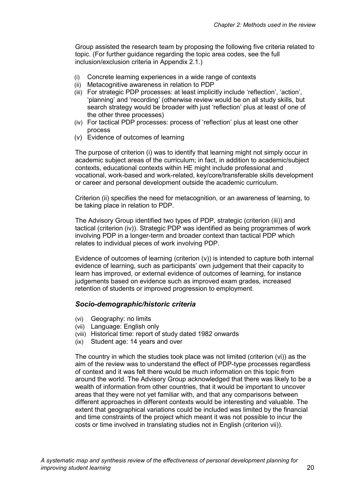Group assisted the research team by proposing the following five criteria related to topic. (For further guidance regarding the topic area codes, see the full inclusion/exclusion criteria in Appendix 2.1.)

- (i) Concrete learning experiences in a wide range of contexts
- (ii) Metacognitive awareness in relation to PDP
- (iii) For strategic PDP processes: at least implicitly include 'reflection', 'action', 'planning' and 'recording' (otherwise review would be on all study skills, but search strategy would be broader with just 'reflection' plus at least of one of the other three processes)
- (iv) For tactical PDP processes: process of 'reflection' plus at least one other process
- (v) Evidence of outcomes of learning

The purpose of criterion (i) was to identify that learning might not simply occur in academic subject areas of the curriculum; in fact, in addition to academic/subject contexts, educational contexts within HE might include professional and vocational, work-based and work-related, key/core/transferable skills development or career and personal development outside the academic curriculum.

Criterion (ii) specifies the need for metacognition, or an awareness of learning, to be taking place in relation to PDP.

The Advisory Group identified two types of PDP, strategic (criterion (iii)) and tactical (criterion (iv)). Strategic PDP was identified as being programmes of work involving PDP in a longer-term and broader context than tactical PDP which relates to individual pieces of work involving PDP.

Evidence of outcomes of learning (criterion (v)) is intended to capture both internal evidence of learning, such as participants' own judgement that their capacity to learn has improved, or external evidence of outcomes of learning, for instance judgements based on evidence such as improved exam grades, increased retention of students or improved progression to employment.

#### *Socio-demographic/historic criteria*

- (vi) Geography: no limits
- (vii) Language: English only
- (viii) Historical time: report of study dated 1982 onwards
- (ix) Student age: 14 years and over

The country in which the studies took place was not limited (criterion (vi)) as the aim of the review was to understand the effect of PDP-type processes regardless of context and it was felt there would be much information on this topic from around the world. The Advisory Group acknowledged that there was likely to be a wealth of information from other countries, that it would be important to uncover areas that they were not yet familiar with, and that any comparisons between different approaches in different contexts would be interesting and valuable. The extent that geographical variations could be included was limited by the financial and time constraints of the project which meant it was not possible to incur the costs or time involved in translating studies not in English (criterion vii)).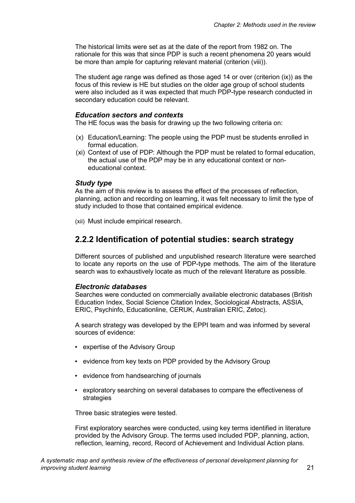The historical limits were set as at the date of the report from 1982 on. The rationale for this was that since PDP is such a recent phenomena 20 years would be more than ample for capturing relevant material (criterion (viii)).

The student age range was defined as those aged 14 or over (criterion (ix)) as the focus of this review is HE but studies on the older age group of school students were also included as it was expected that much PDP-type research conducted in secondary education could be relevant.

#### *Education sectors and contexts*

The HE focus was the basis for drawing up the two following criteria on:

- (x) Education/Learning: The people using the PDP must be students enrolled in formal education.
- (xi) Context of use of PDP: Although the PDP must be related to formal education, the actual use of the PDP may be in any educational context or noneducational context.

#### *Study type*

As the aim of this review is to assess the effect of the processes of reflection, planning, action and recording on learning, it was felt necessary to limit the type of study included to those that contained empirical evidence.

(xii) Must include empirical research.

#### **2.2.2 Identification of potential studies: search strategy**

Different sources of published and unpublished research literature were searched to locate any reports on the use of PDP-type methods. The aim of the literature search was to exhaustively locate as much of the relevant literature as possible.

#### *Electronic databases*

Searches were conducted on commercially available electronic databases (British Education Index, Social Science Citation Index, Sociological Abstracts, ASSIA, ERIC, Psychinfo, Educationline, CERUK, Australian ERIC, Zetoc).

A search strategy was developed by the EPPI team and was informed by several sources of evidence:

- expertise of the Advisory Group
- evidence from key texts on PDP provided by the Advisory Group
- evidence from handsearching of journals
- exploratory searching on several databases to compare the effectiveness of strategies

Three basic strategies were tested.

First exploratory searches were conducted, using key terms identified in literature provided by the Advisory Group. The terms used included PDP, planning, action, reflection, learning, record, Record of Achievement and Individual Action plans.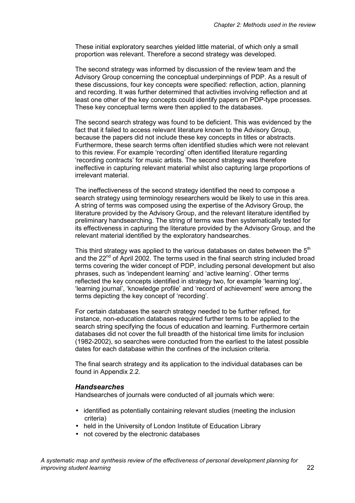These initial exploratory searches yielded little material, of which only a small proportion was relevant. Therefore a second strategy was developed.

The second strategy was informed by discussion of the review team and the Advisory Group concerning the conceptual underpinnings of PDP. As a result of these discussions, four key concepts were specified: reflection, action, planning and recording. It was further determined that activities involving reflection and at least one other of the key concepts could identify papers on PDP-type processes. These key conceptual terms were then applied to the databases.

The second search strategy was found to be deficient. This was evidenced by the fact that it failed to access relevant literature known to the Advisory Group, because the papers did not include these key concepts in titles or abstracts. Furthermore, these search terms often identified studies which were not relevant to this review. For example 'recording' often identified literature regarding 'recording contracts' for music artists. The second strategy was therefore ineffective in capturing relevant material whilst also capturing large proportions of irrelevant material.

The ineffectiveness of the second strategy identified the need to compose a search strategy using terminology researchers would be likely to use in this area. A string of terms was composed using the expertise of the Advisory Group, the literature provided by the Advisory Group, and the relevant literature identified by preliminary handsearching. The string of terms was then systematically tested for its effectiveness in capturing the literature provided by the Advisory Group, and the relevant material identified by the exploratory handsearches.

This third strategy was applied to the various databases on dates between the  $5<sup>th</sup>$ and the 22<sup>nd</sup> of April 2002. The terms used in the final search string included broad terms covering the wider concept of PDP, including personal development but also phrases, such as 'independent learning' and 'active learning'. Other terms reflected the key concepts identified in strategy two, for example 'learning log', 'learning journal', 'knowledge profile' and 'record of achievement' were among the terms depicting the key concept of 'recording'.

For certain databases the search strategy needed to be further refined, for instance, non-education databases required further terms to be applied to the search string specifying the focus of education and learning. Furthermore certain databases did not cover the full breadth of the historical time limits for inclusion (1982-2002), so searches were conducted from the earliest to the latest possible dates for each database within the confines of the inclusion criteria.

The final search strategy and its application to the individual databases can be found in Appendix 2.2.

#### *Handsearches*

Handsearches of journals were conducted of all journals which were:

- identified as potentially containing relevant studies (meeting the inclusion criteria)
- held in the University of London Institute of Education Library
- not covered by the electronic databases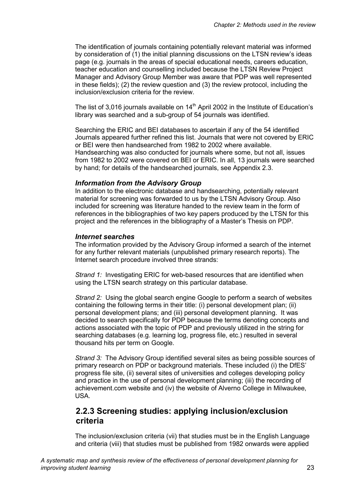The identification of journals containing potentially relevant material was informed by consideration of (1) the initial planning discussions on the LTSN review's ideas page (e.g. journals in the areas of special educational needs, careers education, teacher education and counselling included because the LTSN Review Project Manager and Advisory Group Member was aware that PDP was well represented in these fields); (2) the review question and (3) the review protocol, including the inclusion/exclusion criteria for the review.

The list of 3,016 journals available on  $14<sup>th</sup>$  April 2002 in the Institute of Education's library was searched and a sub-group of 54 journals was identified.

Searching the ERIC and BEI databases to ascertain if any of the 54 identified Journals appeared further refined this list. Journals that were not covered by ERIC or BEI were then handsearched from 1982 to 2002 where available. Handsearching was also conducted for journals where some, but not all, issues from 1982 to 2002 were covered on BEI or ERIC. In all, 13 journals were searched by hand; for details of the handsearched journals, see Appendix 2.3.

#### *Information from the Advisory Group*

In addition to the electronic database and handsearching, potentially relevant material for screening was forwarded to us by the LTSN Advisory Group. Also included for screening was literature handed to the review team in the form of references in the bibliographies of two key papers produced by the LTSN for this project and the references in the bibliography of a Master's Thesis on PDP.

#### *Internet searches*

The information provided by the Advisory Group informed a search of the internet for any further relevant materials (unpublished primary research reports). The Internet search procedure involved three strands:

*Strand 1:* Investigating ERIC for web-based resources that are identified when using the LTSN search strategy on this particular database.

*Strand 2:* Using the global search engine Google to perform a search of websites containing the following terms in their title: (i) personal development plan; (ii) personal development plans; and (iii) personal development planning. It was decided to search specifically for PDP because the terms denoting concepts and actions associated with the topic of PDP and previously utilized in the string for searching databases (e.g. learning log, progress file, etc.) resulted in several thousand hits per term on Google.

*Strand 3:* The Advisory Group identified several sites as being possible sources of primary research on PDP or background materials. These included (i) the DfES' progress file site, (ii) several sites of universities and colleges developing policy and practice in the use of personal development planning; (iii) the recording of achievement.com website and (iv) the website of Alverno College in Milwaukee, USA.

### **2.2.3 Screening studies: applying inclusion/exclusion criteria**

The inclusion/exclusion criteria (vii) that studies must be in the English Language and criteria (viii) that studies must be published from 1982 onwards were applied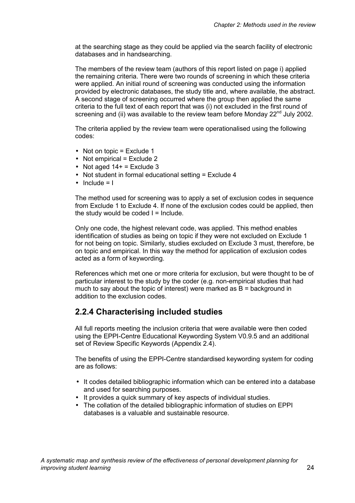at the searching stage as they could be applied via the search facility of electronic databases and in handsearching.

The members of the review team (authors of this report listed on page i) applied the remaining criteria. There were two rounds of screening in which these criteria were applied. An initial round of screening was conducted using the information provided by electronic databases, the study title and, where available, the abstract. A second stage of screening occurred where the group then applied the same criteria to the full text of each report that was (i) not excluded in the first round of screening and (ii) was available to the review team before Monday  $22<sup>nd</sup>$  July 2002.

The criteria applied by the review team were operationalised using the following codes:

- Not on topic  $=$  Exclude 1
- Not empirical  $=$  Exclude 2
- Not aged  $14+$  = Exclude 3
- Not student in formal educational setting = Exclude 4
- $\bullet$  Include = I

The method used for screening was to apply a set of exclusion codes in sequence from Exclude 1 to Exclude 4. If none of the exclusion codes could be applied, then the study would be coded  $I = Include.$ 

Only one code, the highest relevant code, was applied. This method enables identification of studies as being on topic if they were not excluded on Exclude 1 for not being on topic. Similarly, studies excluded on Exclude 3 must, therefore, be on topic and empirical. In this way the method for application of exclusion codes acted as a form of keywording.

References which met one or more criteria for exclusion, but were thought to be of particular interest to the study by the coder (e.g. non-empirical studies that had much to say about the topic of interest) were marked as  $B =$  background in addition to the exclusion codes.

### **2.2.4 Characterising included studies**

All full reports meeting the inclusion criteria that were available were then coded using the EPPI-Centre Educational Keywording System V0.9.5 and an additional set of Review Specific Keywords (Appendix 2.4).

The benefits of using the EPPI-Centre standardised keywording system for coding are as follows:

- It codes detailed bibliographic information which can be entered into a database and used for searching purposes.
- It provides a quick summary of key aspects of individual studies.
- The collation of the detailed bibliographic information of studies on EPPI databases is a valuable and sustainable resource.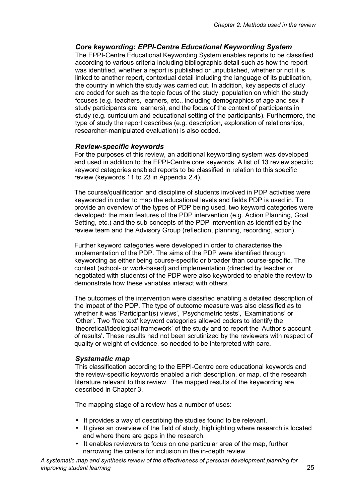#### *Core keywording: EPPI-Centre Educational Keywording System*

The EPPI-Centre Educational Keywording System enables reports to be classified according to various criteria including bibliographic detail such as how the report was identified, whether a report is published or unpublished, whether or not it is linked to another report, contextual detail including the language of its publication, the country in which the study was carried out. In addition, key aspects of study are coded for such as the topic focus of the study, population on which the study focuses (e.g. teachers, learners, etc., including demographics of age and sex if study participants are learners), and the focus of the context of participants in study (e.g. curriculum and educational setting of the participants). Furthermore, the type of study the report describes (e.g. description, exploration of relationships, researcher-manipulated evaluation) is also coded.

#### *Review-specific keywords*

For the purposes of this review, an additional keywording system was developed and used in addition to the EPPI-Centre core keywords. A list of 13 review specific keyword categories enabled reports to be classified in relation to this specific review (keywords 11 to 23 in Appendix 2.4).

The course/qualification and discipline of students involved in PDP activities were keyworded in order to map the educational levels and fields PDP is used in. To provide an overview of the types of PDP being used, two keyword categories were developed: the main features of the PDP intervention (e.g. Action Planning, Goal Setting, etc.) and the sub-concepts of the PDP intervention as identified by the review team and the Advisory Group (reflection, planning, recording, action).

Further keyword categories were developed in order to characterise the implementation of the PDP. The aims of the PDP were identified through keywording as either being course-specific or broader than course-specific. The context (school- or work-based) and implementation (directed by teacher or negotiated with students) of the PDP were also keyworded to enable the review to demonstrate how these variables interact with others.

The outcomes of the intervention were classified enabling a detailed description of the impact of the PDP. The type of outcome measure was also classified as to whether it was 'Participant(s) views', 'Psychometric tests', 'Examinations' or 'Other'. Two 'free text' keyword categories allowed coders to identify the 'theoretical/ideological framework' of the study and to report the 'Author's account of results'. These results had not been scrutinized by the reviewers with respect of quality or weight of evidence, so needed to be interpreted with care.

#### *Systematic map*

This classification according to the EPPI-Centre core educational keywords and the review-specific keywords enabled a rich description, or map, of the research literature relevant to this review. The mapped results of the keywording are described in Chapter 3.

The mapping stage of a review has a number of uses:

- It provides a way of describing the studies found to be relevant.
- It gives an overview of the field of study, highlighting where research is located and where there are gaps in the research.
- It enables reviewers to focus on one particular area of the map, further narrowing the criteria for inclusion in the in-depth review.

*A systematic map and synthesis review of the effectiveness of personal development planning for improving student learning* 25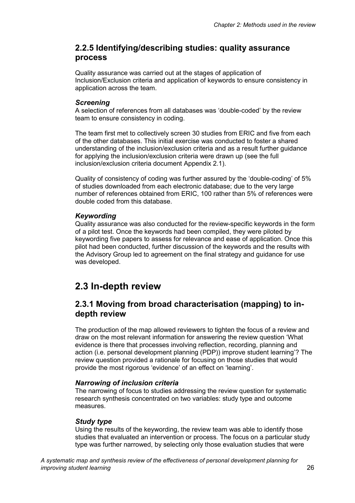### **2.2.5 Identifying/describing studies: quality assurance process**

Quality assurance was carried out at the stages of application of Inclusion/Exclusion criteria and application of keywords to ensure consistency in application across the team.

#### *Screening*

A selection of references from all databases was 'double-coded' by the review team to ensure consistency in coding.

The team first met to collectively screen 30 studies from ERIC and five from each of the other databases. This initial exercise was conducted to foster a shared understanding of the inclusion/exclusion criteria and as a result further guidance for applying the inclusion/exclusion criteria were drawn up (see the full inclusion/exclusion criteria document Appendix 2.1).

Quality of consistency of coding was further assured by the 'double-coding' of 5% of studies downloaded from each electronic database; due to the very large number of references obtained from ERIC, 100 rather than 5% of references were double coded from this database.

### *Keywording*

Quality assurance was also conducted for the review-specific keywords in the form of a pilot test. Once the keywords had been compiled, they were piloted by keywording five papers to assess for relevance and ease of application. Once this pilot had been conducted, further discussion of the keywords and the results with the Advisory Group led to agreement on the final strategy and guidance for use was developed.

## **2.3 In-depth review**

### **2.3.1 Moving from broad characterisation (mapping) to indepth review**

The production of the map allowed reviewers to tighten the focus of a review and draw on the most relevant information for answering the review question 'What evidence is there that processes involving reflection, recording, planning and action (i.e. personal development planning (PDP)) improve student learning'? The review question provided a rationale for focusing on those studies that would provide the most rigorous 'evidence' of an effect on 'learning'.

#### *Narrowing of inclusion criteria*

The narrowing of focus to studies addressing the review question for systematic research synthesis concentrated on two variables: study type and outcome measures.

### *Study type*

Using the results of the keywording, the review team was able to identify those studies that evaluated an intervention or process. The focus on a particular study type was further narrowed, by selecting only those evaluation studies that were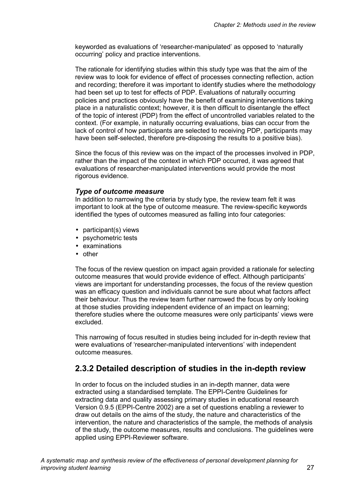keyworded as evaluations of 'researcher-manipulated' as opposed to 'naturally occurring' policy and practice interventions.

The rationale for identifying studies within this study type was that the aim of the review was to look for evidence of effect of processes connecting reflection, action and recording; therefore it was important to identify studies where the methodology had been set up to test for effects of PDP. Evaluations of naturally occurring policies and practices obviously have the benefit of examining interventions taking place in a naturalistic context; however, it is then difficult to disentangle the effect of the topic of interest (PDP) from the effect of uncontrolled variables related to the context. (For example, in naturally occurring evaluations, bias can occur from the lack of control of how participants are selected to receiving PDP, participants may have been self-selected, therefore pre-disposing the results to a positive bias).

Since the focus of this review was on the impact of the processes involved in PDP, rather than the impact of the context in which PDP occurred, it was agreed that evaluations of researcher-manipulated interventions would provide the most rigorous evidence.

#### *Type of outcome measure*

In addition to narrowing the criteria by study type, the review team felt it was important to look at the type of outcome measure. The review-specific keywords identified the types of outcomes measured as falling into four categories:

- participant(s) views
- psychometric tests
- examinations
- other

The focus of the review question on impact again provided a rationale for selecting outcome measures that would provide evidence of effect. Although participants' views are important for understanding processes, the focus of the review question was an efficacy question and individuals cannot be sure about what factors affect their behaviour. Thus the review team further narrowed the focus by only looking at those studies providing independent evidence of an impact on learning; therefore studies where the outcome measures were only participants' views were excluded.

This narrowing of focus resulted in studies being included for in-depth review that were evaluations of 'researcher-manipulated interventions' with independent outcome measures.

### **2.3.2 Detailed description of studies in the in-depth review**

In order to focus on the included studies in an in-depth manner, data were extracted using a standardised template. The EPPI-Centre Guidelines for extracting data and quality assessing primary studies in educational research Version 0.9.5 (EPPI-Centre 2002) are a set of questions enabling a reviewer to draw out details on the aims of the study, the nature and characteristics of the intervention, the nature and characteristics of the sample, the methods of analysis of the study, the outcome measures, results and conclusions. The guidelines were applied using EPPI-Reviewer software.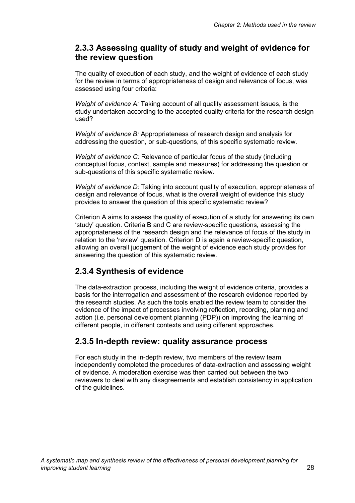### **2.3.3 Assessing quality of study and weight of evidence for the review question**

The quality of execution of each study, and the weight of evidence of each study for the review in terms of appropriateness of design and relevance of focus, was assessed using four criteria:

*Weight of evidence A:* Taking account of all quality assessment issues, is the study undertaken according to the accepted quality criteria for the research design used?

*Weight of evidence B:* Appropriateness of research design and analysis for addressing the question, or sub-questions, of this specific systematic review.

*Weight of evidence C:* Relevance of particular focus of the study (including conceptual focus, context, sample and measures) for addressing the question or sub-questions of this specific systematic review.

*Weight of evidence D:* Taking into account quality of execution, appropriateness of design and relevance of focus, what is the overall weight of evidence this study provides to answer the question of this specific systematic review?

Criterion A aims to assess the quality of execution of a study for answering its own 'study' question. Criteria B and C are review-specific questions, assessing the appropriateness of the research design and the relevance of focus of the study in relation to the 'review' question. Criterion D is again a review-specific question, allowing an overall judgement of the weight of evidence each study provides for answering the question of this systematic review.

### **2.3.4 Synthesis of evidence**

The data-extraction process, including the weight of evidence criteria, provides a basis for the interrogation and assessment of the research evidence reported by the research studies. As such the tools enabled the review team to consider the evidence of the impact of processes involving reflection, recording, planning and action (i.e. personal development planning (PDP)) on improving the learning of different people, in different contexts and using different approaches.

### **2.3.5 In-depth review: quality assurance process**

For each study in the in-depth review, two members of the review team independently completed the procedures of data-extraction and assessing weight of evidence. A moderation exercise was then carried out between the two reviewers to deal with any disagreements and establish consistency in application of the guidelines.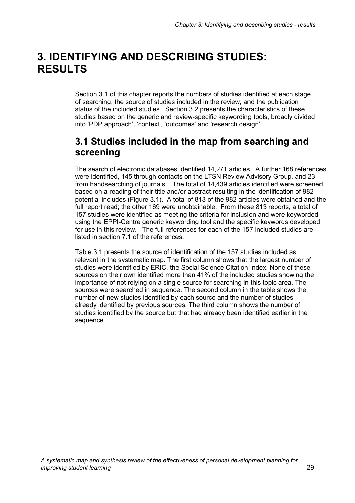## **3. IDENTIFYING AND DESCRIBING STUDIES: RESULTS**

Section 3.1 of this chapter reports the numbers of studies identified at each stage of searching, the source of studies included in the review, and the publication status of the included studies. Section 3.2 presents the characteristics of these studies based on the generic and review-specific keywording tools, broadly divided into 'PDP approach', 'context', 'outcomes' and 'research design'.

## **3.1 Studies included in the map from searching and screening**

The search of electronic databases identified 14,271 articles. A further 168 references were identified, 145 through contacts on the LTSN Review Advisory Group, and 23 from handsearching of journals. The total of 14,439 articles identified were screened based on a reading of their title and/or abstract resulting in the identification of 982 potential includes (Figure 3.1). A total of 813 of the 982 articles were obtained and the full report read; the other 169 were unobtainable. From these 813 reports, a total of 157 studies were identified as meeting the criteria for inclusion and were keyworded using the EPPI-Centre generic keywording tool and the specific keywords developed for use in this review. The full references for each of the 157 included studies are listed in section 7.1 of the references.

Table 3.1 presents the source of identification of the 157 studies included as relevant in the systematic map. The first column shows that the largest number of studies were identified by ERIC, the Social Science Citation Index. None of these sources on their own identified more than 41% of the included studies showing the importance of not relying on a single source for searching in this topic area. The sources were searched in sequence. The second column in the table shows the number of new studies identified by each source and the number of studies already identified by previous sources. The third column shows the number of studies identified by the source but that had already been identified earlier in the sequence.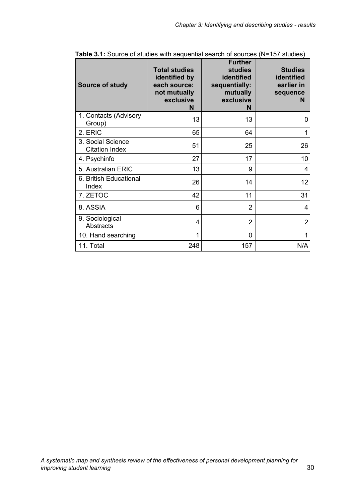| <b>Source of study</b>                     | <b>Total studies</b><br>identified by<br>each source:<br>not mutually<br>exclusive<br>N | <b>Further</b><br><b>studies</b><br>identified<br>sequentially:<br>mutually<br>exclusive<br>N | <b>Studies</b><br>identified<br>earlier in<br>sequence<br>N |
|--------------------------------------------|-----------------------------------------------------------------------------------------|-----------------------------------------------------------------------------------------------|-------------------------------------------------------------|
| 1. Contacts (Advisory<br>Group)            | 13                                                                                      | 13                                                                                            | 0                                                           |
| 2. ERIC                                    | 65                                                                                      | 64                                                                                            | 1                                                           |
| 3. Social Science<br><b>Citation Index</b> | 51                                                                                      | 25                                                                                            | 26                                                          |
| 4. Psychinfo                               | 27                                                                                      | 17                                                                                            | 10                                                          |
| 5. Australian ERIC                         | 13                                                                                      | 9                                                                                             | 4                                                           |
| 6. British Educational<br>Index            | 26                                                                                      | 14                                                                                            | 12                                                          |
| 7. ZETOC                                   | 42                                                                                      | 11                                                                                            | 31                                                          |
| 8. ASSIA                                   | 6                                                                                       | $\overline{2}$                                                                                | 4                                                           |
| 9. Sociological<br>Abstracts               | 4                                                                                       | $\overline{2}$                                                                                | $\overline{2}$                                              |
| 10. Hand searching                         | 1                                                                                       | 0                                                                                             | 1                                                           |
| 11. Total                                  | 248                                                                                     | 157                                                                                           | N/A                                                         |

**Table 3.1:** Source of studies with sequential search of sources (N=157 studies)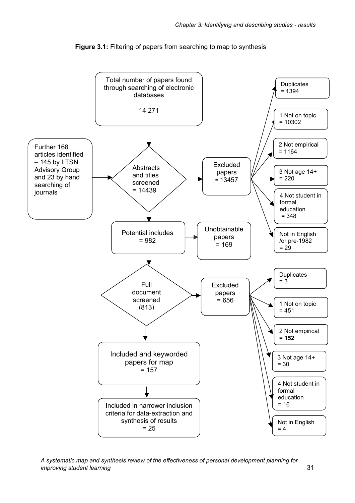

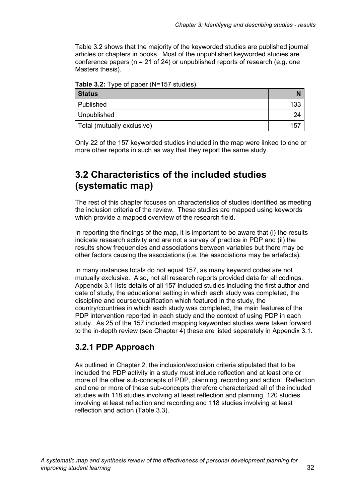Table 3.2 shows that the majority of the keyworded studies are published journal articles or chapters in books. Most of the unpublished keyworded studies are conference papers ( $n = 21$  of 24) or unpublished reports of research (e.g. one Masters thesis).

**Table 3.2:** Type of paper (N=157 studies)

| <b>Status</b>              |     |
|----------------------------|-----|
| Published                  | 133 |
| Unpublished                | 24  |
| Total (mutually exclusive) | 157 |

Only 22 of the 157 keyworded studies included in the map were linked to one or more other reports in such as way that they report the same study.

## **3.2 Characteristics of the included studies (systematic map)**

The rest of this chapter focuses on characteristics of studies identified as meeting the inclusion criteria of the review. These studies are mapped using keywords which provide a mapped overview of the research field.

In reporting the findings of the map, it is important to be aware that (i) the results indicate research activity and are not a survey of practice in PDP and (ii) the results show frequencies and associations between variables but there may be other factors causing the associations (i.e. the associations may be artefacts).

In many instances totals do not equal 157, as many keyword codes are not mutually exclusive. Also, not all research reports provided data for all codings. Appendix 3.1 lists details of all 157 included studies including the first author and date of study, the educational setting in which each study was completed, the discipline and course/qualification which featured in the study, the country/countries in which each study was completed, the main features of the PDP intervention reported in each study and the context of using PDP in each study. As 25 of the 157 included mapping keyworded studies were taken forward to the in-depth review (see Chapter 4) these are listed separately in Appendix 3.1.

### **3.2.1 PDP Approach**

As outlined in Chapter 2, the inclusion/exclusion criteria stipulated that to be included the PDP activity in a study must include reflection and at least one or more of the other sub-concepts of PDP, planning, recording and action. Reflection and one or more of these sub-concepts therefore characterized all of the included studies with 118 studies involving at least reflection and planning, 120 studies involving at least reflection and recording and 118 studies involving at least reflection and action (Table 3.3).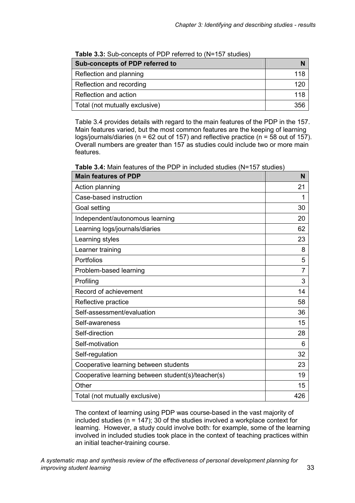| Sub-concepts of PDP referred to |     |  |
|---------------------------------|-----|--|
| Reflection and planning         | 118 |  |
| Reflection and recording        | 120 |  |
| Reflection and action           | 118 |  |
| Total (not mutually exclusive)  | 356 |  |

**Table 3.3:** Sub-concepts of PDP referred to (N=157 studies)

Table 3.4 provides details with regard to the main features of the PDP in the 157. Main features varied, but the most common features are the keeping of learning logs/journals/diaries ( $n = 62$  out of 157) and reflective practice ( $n = 58$  out of 157). Overall numbers are greater than 157 as studies could include two or more main features.

**Table 3.4:** Main features of the PDP in included studies (N=157 studies)

| <b>Main features of PDP</b>                        | N   |
|----------------------------------------------------|-----|
| Action planning                                    | 21  |
| Case-based instruction                             | 1   |
| Goal setting                                       | 30  |
| Independent/autonomous learning                    | 20  |
| Learning logs/journals/diaries                     | 62  |
| Learning styles                                    | 23  |
| Learner training                                   | 8   |
| Portfolios                                         | 5   |
| Problem-based learning                             | 7   |
| Profiling                                          | 3   |
| Record of achievement                              | 14  |
| Reflective practice                                | 58  |
| Self-assessment/evaluation                         | 36  |
| Self-awareness                                     | 15  |
| Self-direction                                     | 28  |
| Self-motivation                                    | 6   |
| Self-regulation                                    | 32  |
| Cooperative learning between students              | 23  |
| Cooperative learning between student(s)/teacher(s) | 19  |
| Other                                              | 15  |
| Total (not mutually exclusive)                     | 426 |

The context of learning using PDP was course-based in the vast majority of included studies (n = 147); 30 of the studies involved a workplace context for learning. However, a study could involve both: for example, some of the learning involved in included studies took place in the context of teaching practices within an initial teacher-training course.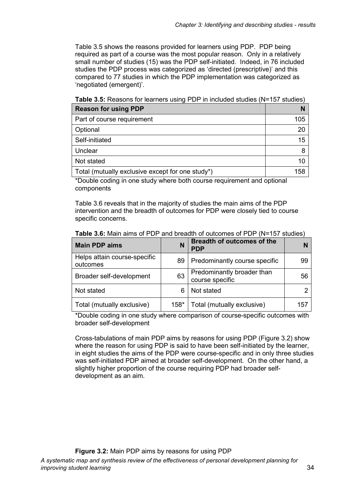Table 3.5 shows the reasons provided for learners using PDP. PDP being required as part of a course was the most popular reason. Only in a relatively small number of studies (15) was the PDP self-initiated. Indeed, in 76 included studies the PDP process was categorized as 'directed (prescriptive)' and this compared to 77 studies in which the PDP implementation was categorized as 'negotiated (emergent)'.

**Reason for using PDP** N Part of course requirement 105 Optional 20 Self-initiated 15 Unclear 8 Not stated 10 Total (mutually exclusive except for one study\*) 158

**Table 3.5:** Reasons for learners using PDP in included studies (N=157 studies)

\*Double coding in one study where both course requirement and optional components

Table 3.6 reveals that in the majority of studies the main aims of the PDP intervention and the breadth of outcomes for PDP were closely tied to course specific concerns.

| <b>Main PDP aims</b>                     | N      | <b>Breadth of outcomes of the</b><br><b>PDP</b> |     |
|------------------------------------------|--------|-------------------------------------------------|-----|
| Helps attain course-specific<br>outcomes | 89     | Predominantly course specific                   | 99  |
| Broader self-development                 | 63     | Predominantly broader than<br>course specific   | 56  |
| Not stated                               | 6      | Not stated                                      |     |
| Total (mutually exclusive)               | $158*$ | Total (mutually exclusive)                      | 157 |

**Table 3.6:** Main aims of PDP and breadth of outcomes of PDP (N=157 studies)

\*Double coding in one study where comparison of course-specific outcomes with broader self-development

Cross-tabulations of main PDP aims by reasons for using PDP (Figure 3.2) show where the reason for using PDP is said to have been self-initiated by the learner, in eight studies the aims of the PDP were course-specific and in only three studies was self-initiated PDP aimed at broader self-development. On the other hand, a slightly higher proportion of the course requiring PDP had broader selfdevelopment as an aim.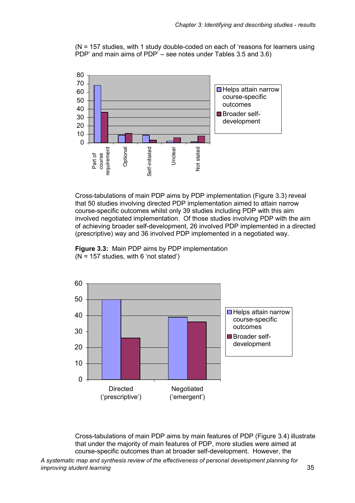(N = 157 studies, with 1 study double-coded on each of 'reasons for learners using PDP' and main aims of PDP' – see notes under Tables 3.5 and 3.6)



Cross-tabulations of main PDP aims by PDP implementation (Figure 3.3) reveal that 50 studies involving directed PDP implementation aimed to attain narrow course-specific outcomes whilst only 39 studies including PDP with this aim involved negotiated implementation. Of those studies involving PDP with the aim of achieving broader self-development, 26 involved PDP implemented in a directed (prescriptive) way and 36 involved PDP implemented in a negotiated way.

**Figure 3.3:** Main PDP aims by PDP implementation  $(N = 157$  studies, with 6 'not stated')



Cross-tabulations of main PDP aims by main features of PDP (Figure 3.4) illustrate that under the majority of main features of PDP, more studies were aimed at course-specific outcomes than at broader self-development. However, the

*A systematic map and synthesis review of the effectiveness of personal development planning for improving student learning* 35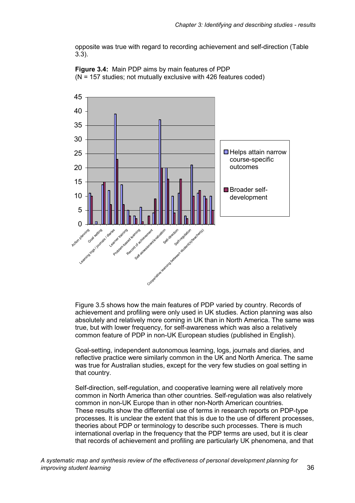opposite was true with regard to recording achievement and self-direction (Table 3.3).





Figure 3.5 shows how the main features of PDP varied by country. Records of achievement and profiling were only used in UK studies. Action planning was also absolutely and relatively more coming in UK than in North America. The same was true, but with lower frequency, for self-awareness which was also a relatively common feature of PDP in non-UK European studies (published in English).

Goal-setting, independent autonomous learning, logs, journals and diaries, and reflective practice were similarly common in the UK and North America. The same was true for Australian studies, except for the very few studies on goal setting in that country.

Self-direction, self-regulation, and cooperative learning were all relatively more common in North America than other countries. Self-regulation was also relatively common in non-UK Europe than in other non-North American countries. These results show the differential use of terms in research reports on PDP-type processes. It is unclear the extent that this is due to the use of different processes, theories about PDP or terminology to describe such processes. There is much international overlap in the frequency that the PDP terms are used, but it is clear that records of achievement and profiling are particularly UK phenomena, and that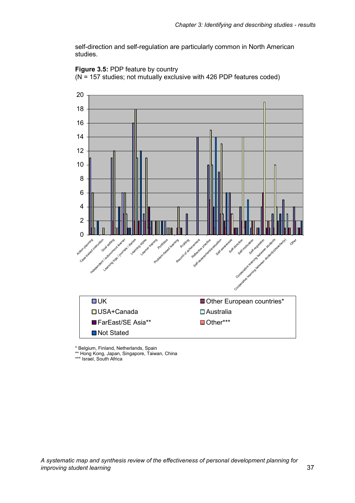self-direction and self-regulation are particularly common in North American studies.





\* Belgium, Finland, Netherlands, Spain

\*\* Hong Kong, Japan, Singapore, Taiwan, China

\*\*\* Israel, South Africa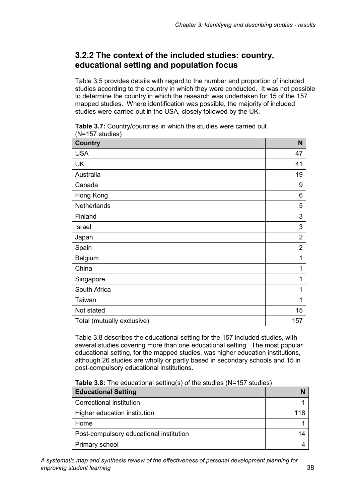### **3.2.2 The context of the included studies: country, educational setting and population focus**

Table 3.5 provides details with regard to the number and proportion of included studies according to the country in which they were conducted. It was not possible to determine the country in which the research was undertaken for 15 of the 157 mapped studies. Where identification was possible, the majority of included studies were carried out in the USA, closely followed by the UK.

**Country N** USA and the set of the set of the set of the set of the set of the set of the set of the set of the set of the UK and the set of the set of the set of the set of the set of the set of the set of the set of the set of the set of the set of the set of the set of the set of the set of the set of the set of the set of the set of the se Australia 19 Canada 9 Hong Kong 6 Netherlands 5 Finland 3 Israel 3 Japan 2 Spain 2014 - 2022 - 2022 - 2022 - 2022 - 2022 - 2022 - 2022 - 2022 - 2022 - 2022 - 2022 - 2022 - 202 Belgium 1 China 1 Singapore 1 and 1 and 1 and 1 and 1 and 1 and 1 and 1 and 1 and 1 and 1 and 1 and 1 and 1 and 1 and 1 and 1 and 1 and 1 and 1 and 1 and 1 and 1 and 1 and 1 and 1 and 1 and 1 and 1 and 1 and 1 and 1 and 1 and 1 and 1 and 1 South Africa **1** and 1 and 1 and 1 and 1 and 1 and 1 and 1 and 1 and 1 and 1 and 1 and 1 and 1 and 1 and 1 and 1 and 1 and 1 and 1 and 1 and 1 and 1 and 1 and 1 and 1 and 1 and 1 and 1 and 1 and 1 and 1 and 1 and 1 and 1 a Taiwan 1 Not stated 15 Total (mutually exclusive) 157

**Table 3.7:** Country/countries in which the studies were carried out (N=157 studies)

Table 3.8 describes the educational setting for the 157 included studies, with several studies covering more than one educational setting. The most popular educational setting, for the mapped studies, was higher education institutions, although 26 studies are wholly or partly based in secondary schools and 15 in post-compulsory educational institutions.

**Table 3.8:** The educational setting(s) of the studies (N=157 studies)

| <b>Educational Setting</b>              |    |
|-----------------------------------------|----|
| Correctional institution                |    |
| Higher education institution            |    |
| Home                                    |    |
| Post-compulsory educational institution | 14 |
| Primary school                          |    |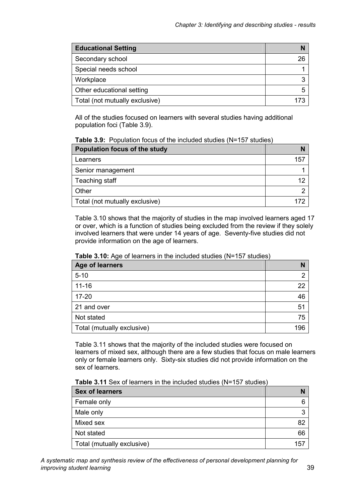| <b>Educational Setting</b>     |    |
|--------------------------------|----|
| Secondary school               | 26 |
| Special needs school           |    |
| Workplace                      | ≏  |
| Other educational setting      |    |
| Total (not mutually exclusive) |    |

All of the studies focused on learners with several studies having additional population foci (Table 3.9).

| Table 3.9: Population focus of the included studies (N=157 studies) |  |  |  |  |  |  |  |
|---------------------------------------------------------------------|--|--|--|--|--|--|--|
|---------------------------------------------------------------------|--|--|--|--|--|--|--|

| Population focus of the study  |     |
|--------------------------------|-----|
| Learners                       | 157 |
| Senior management              |     |
| Teaching staff                 | 12  |
| Other                          |     |
| Total (not mutually exclusive) |     |

Table 3.10 shows that the majority of studies in the map involved learners aged 17 or over, which is a function of studies being excluded from the review if they solely involved learners that were under 14 years of age. Seventy-five studies did not provide information on the age of learners.

| <b>Rable 3. TV.</b> Age of learners in the included studies (IV–TV7 studies)<br><b>Age of learners</b> | N   |
|--------------------------------------------------------------------------------------------------------|-----|
| $5 - 10$                                                                                               | ◠   |
| $11 - 16$                                                                                              | 22  |
| $17 - 20$                                                                                              | 46  |
| 21 and over                                                                                            | 51  |
| Not stated                                                                                             | 75  |
| Total (mutually exclusive)                                                                             | 196 |

**Table 3.10:** Age of learners in the included studies (N=157 studies)

Table 3.11 shows that the majority of the included studies were focused on learners of mixed sex, although there are a few studies that focus on male learners only or female learners only. Sixty-six studies did not provide information on the sex of learners.

| <b>Sex of learners</b>     |     |
|----------------------------|-----|
| Female only                |     |
| Male only                  |     |
| Mixed sex                  | 82  |
| Not stated                 | 66  |
| Total (mutually exclusive) | 157 |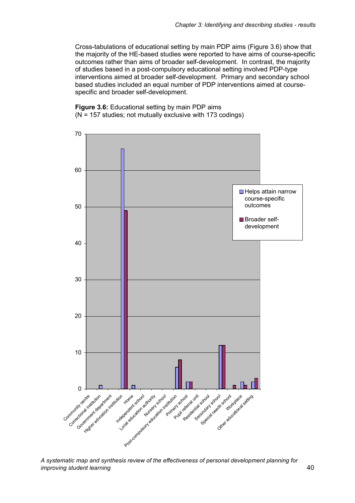Cross-tabulations of educational setting by main PDP aims (Figure 3.6) show that the majority of the HE-based studies were reported to have aims of course-specific outcomes rather than aims of broader self-development. In contrast, the majority of studies based in a post-compulsory educational setting involved PDP-type interventions aimed at broader self-development. Primary and secondary school based studies included an equal number of PDP interventions aimed at coursespecific and broader self-development.

**Figure 3.6:** Educational setting by main PDP aims (N = 157 studies; not mutually exclusive with 173 codings)



*A systematic map and synthesis review of the effectiveness of personal development planning for improving student learning* 40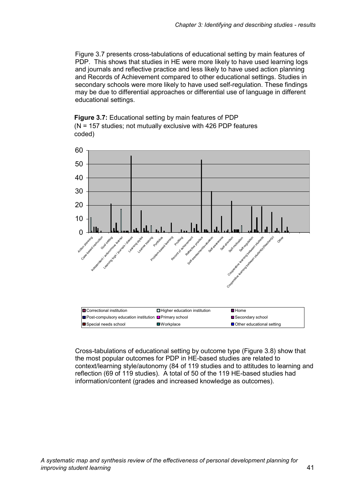Figure 3.7 presents cross-tabulations of educational setting by main features of PDP. This shows that studies in HE were more likely to have used learning logs and journals and reflective practice and less likely to have used action planning and Records of Achievement compared to other educational settings. Studies in secondary schools were more likely to have used self-regulation. These findings may be due to differential approaches or differential use of language in different educational settings.





Cross-tabulations of educational setting by outcome type (Figure 3.8) show that the most popular outcomes for PDP in HE-based studies are related to context/learning style/autonomy (84 of 119 studies and to attitudes to learning and reflection (69 of 119 studies). A total of 50 of the 119 HE-based studies had information/content (grades and increased knowledge as outcomes).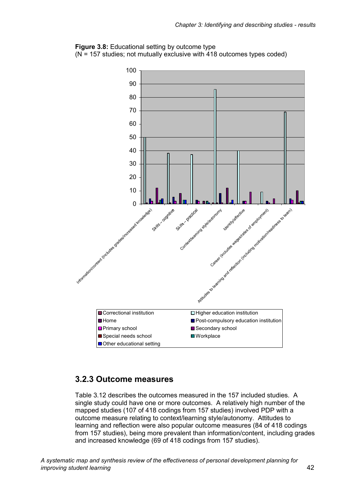



### **3.2.3 Outcome measures**

Table 3.12 describes the outcomes measured in the 157 included studies. A single study could have one or more outcomes. A relatively high number of the mapped studies (107 of 418 codings from 157 studies) involved PDP with a outcome measure relating to context/learning style/autonomy. Attitudes to learning and reflection were also popular outcome measures (84 of 418 codings from 157 studies), being more prevalent than information/content, including grades and increased knowledge (69 of 418 codings from 157 studies).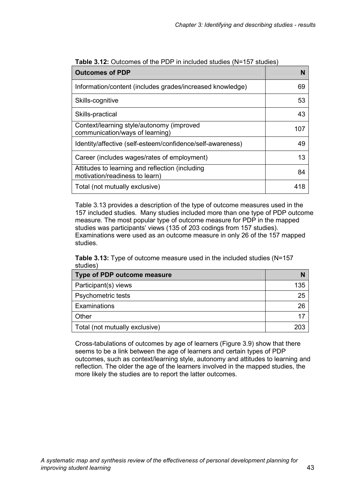| <b>Outcomes of PDP</b>                                                            | N   |
|-----------------------------------------------------------------------------------|-----|
| Information/content (includes grades/increased knowledge)                         | 69  |
| Skills-cognitive                                                                  | 53  |
| Skills-practical                                                                  | 43  |
| Context/learning style/autonomy (improved<br>communication/ways of learning)      | 107 |
| Identity/affective (self-esteem/confidence/self-awareness)                        | 49  |
| Career (includes wages/rates of employment)                                       | 13  |
| Attitudes to learning and reflection (including<br>motivation/readiness to learn) | 84  |
| Total (not mutually exclusive)                                                    | 418 |

**Table 3.12:** Outcomes of the PDP in included studies (N=157 studies)

Table 3.13 provides a description of the type of outcome measures used in the 157 included studies. Many studies included more than one type of PDP outcome measure. The most popular type of outcome measure for PDP in the mapped studies was participants' views (135 of 203 codings from 157 studies). Examinations were used as an outcome measure in only 26 of the 157 mapped studies.

|          | <b>Table 3.13:</b> Type of outcome measure used in the included studies (N=157) |  |  |
|----------|---------------------------------------------------------------------------------|--|--|
| studies) |                                                                                 |  |  |

| Type of PDP outcome measure    |     |
|--------------------------------|-----|
| Participant(s) views           | 135 |
| Psychometric tests             | 25  |
| Examinations                   | 26  |
| Other                          |     |
| Total (not mutually exclusive) |     |

Cross-tabulations of outcomes by age of learners (Figure 3.9) show that there seems to be a link between the age of learners and certain types of PDP outcomes, such as context/learning style, autonomy and attitudes to learning and reflection. The older the age of the learners involved in the mapped studies, the more likely the studies are to report the latter outcomes.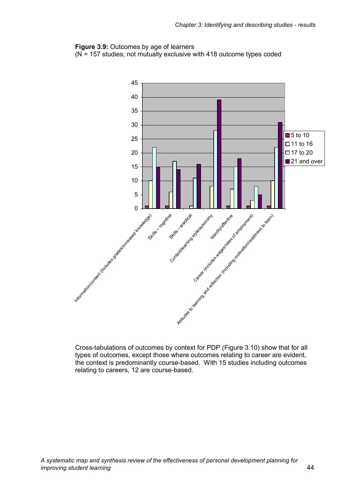#### **Figure 3.9:** Outcomes by age of learners

 $(N = 157$  studies; not mutually exclusive with 418 outcome types coded



Cross-tabulations of outcomes by context for PDP (Figure 3.10) show that for all types of outcomes, except those where outcomes relating to career are evident, the context is predominantly course-based. With 15 studies including outcomes relating to careers, 12 are course-based.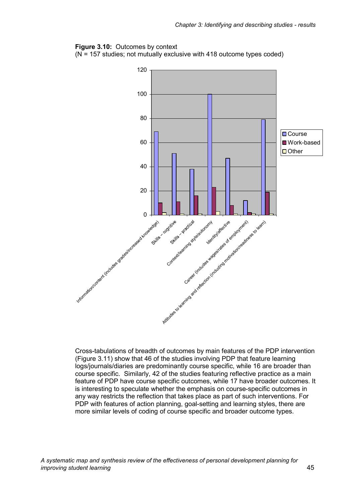#### **Figure 3.10:** Outcomes by context

 $(N = 157$  studies; not mutually exclusive with 418 outcome types coded)



Cross-tabulations of breadth of outcomes by main features of the PDP intervention (Figure 3.11) show that 46 of the studies involving PDP that feature learning logs/journals/diaries are predominantly course specific, while 16 are broader than course specific. Similarly, 42 of the studies featuring reflective practice as a main feature of PDP have course specific outcomes, while 17 have broader outcomes. It is interesting to speculate whether the emphasis on course-specific outcomes in any way restricts the reflection that takes place as part of such interventions. For PDP with features of action planning, goal-setting and learning styles, there are more similar levels of coding of course specific and broader outcome types.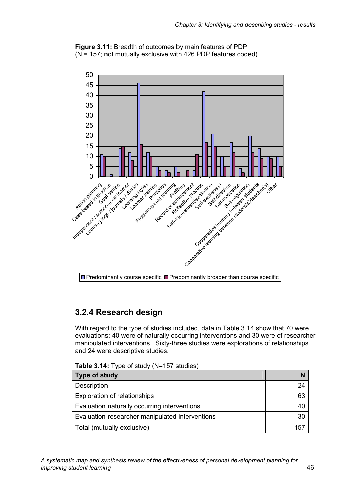



# **3.2.4 Research design**

With regard to the type of studies included, data in Table 3.14 show that 70 were evaluations; 40 were of naturally occurring interventions and 30 were of researcher manipulated interventions. Sixty-three studies were explorations of relationships and 24 were descriptive studies.

|  |  | Table 3.14: Type of study (N=157 studies) |
|--|--|-------------------------------------------|
|--|--|-------------------------------------------|

| Type of study                                   |    |
|-------------------------------------------------|----|
| Description                                     | 24 |
| <b>Exploration of relationships</b>             | 63 |
| Evaluation naturally occurring interventions    | 40 |
| Evaluation researcher manipulated interventions | 30 |
| Total (mutually exclusive)                      |    |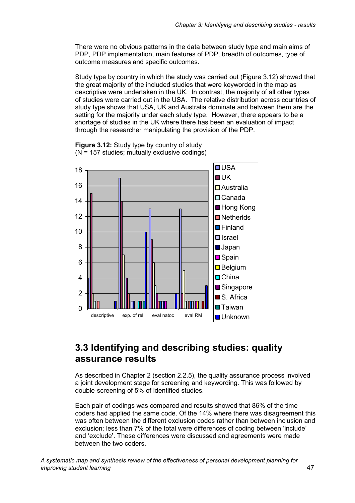There were no obvious patterns in the data between study type and main aims of PDP, PDP implementation, main features of PDP, breadth of outcomes, type of outcome measures and specific outcomes.

Study type by country in which the study was carried out (Figure 3.12) showed that the great majority of the included studies that were keyworded in the map as descriptive were undertaken in the UK. In contrast, the majority of all other types of studies were carried out in the USA. The relative distribution across countries of study type shows that USA, UK and Australia dominate and between them are the setting for the majority under each study type. However, there appears to be a shortage of studies in the UK where there has been an evaluation of impact through the researcher manipulating the provision of the PDP.



**Figure 3.12:** Study type by country of study  $(N = 157$  studies; mutually exclusive codings)

# **3.3 Identifying and describing studies: quality assurance results**

As described in Chapter 2 (section 2.2.5), the quality assurance process involved a joint development stage for screening and keywording. This was followed by double-screening of 5% of identified studies.

Each pair of codings was compared and results showed that 86% of the time coders had applied the same code. Of the 14% where there was disagreement this was often between the different exclusion codes rather than between inclusion and exclusion; less than 7% of the total were differences of coding between 'include' and 'exclude'. These differences were discussed and agreements were made between the two coders.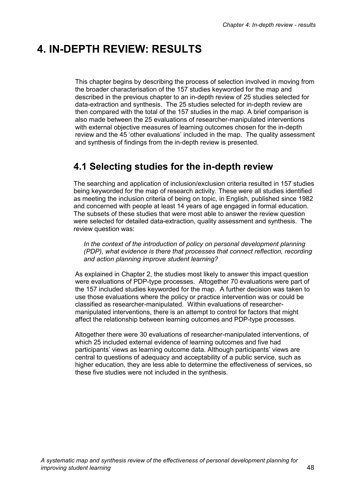# **4. IN-DEPTH REVIEW: RESULTS**

This chapter begins by describing the process of selection involved in moving from the broader characterisation of the 157 studies keyworded for the map and described in the previous chapter to an in-depth review of 25 studies selected for data-extraction and synthesis. The 25 studies selected for in-depth review are then compared with the total of the 157 studies in the map. A brief comparison is also made between the 25 evaluations of researcher-manipulated interventions with external objective measures of learning outcomes chosen for the in-depth review and the 45 'other evaluations' included in the map. The quality assessment and synthesis of findings from the in-depth review is presented.

# **4.1 Selecting studies for the in-depth review**

The searching and application of inclusion/exclusion criteria resulted in 157 studies being keyworded for the map of research activity. These were all studies identified as meeting the inclusion criteria of being on topic, in English, published since 1982 and concerned with people at least 14 years of age engaged in formal education. The subsets of these studies that were most able to answer the review question were selected for detailed data-extraction, quality assessment and synthesis. The review question was:

In the context of the introduction of policy on personal development planning *(PDP), what evidence is there that processes that connect reflection, recording and action planning improve student learning?* 

As explained in Chapter 2, the studies most likely to answer this impact question were evaluations of PDP-type processes. Altogether 70 evaluations were part of the 157 included studies keyworded for the map. A further decision was taken to use those evaluations where the policy or practice intervention was or could be classified as researcher-manipulated. Within evaluations of researchermanipulated interventions, there is an attempt to control for factors that might affect the relationship between learning outcomes and PDP-type processes.

Altogether there were 30 evaluations of researcher-manipulated interventions, of which 25 included external evidence of learning outcomes and five had participants' views as learning outcome data. Although participants' views are central to questions of adequacy and acceptability of a public service, such as higher education, they are less able to determine the effectiveness of services, so these five studies were not included in the synthesis.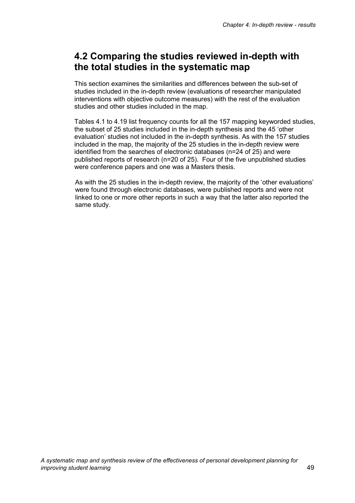# **4.2 Comparing the studies reviewed in-depth with the total studies in the systematic map**

This section examines the similarities and differences between the sub-set of studies included in the in-depth review (evaluations of researcher manipulated interventions with objective outcome measures) with the rest of the evaluation studies and other studies included in the map.

Tables 4.1 to 4.19 list frequency counts for all the 157 mapping keyworded studies, the subset of 25 studies included in the in-depth synthesis and the 45 'other evaluation' studies not included in the in-depth synthesis. As with the 157 studies included in the map, the majority of the 25 studies in the in-depth review were identified from the searches of electronic databases (n=24 of 25) and were published reports of research (n=20 of 25). Four of the five unpublished studies were conference papers and one was a Masters thesis.

As with the 25 studies in the in-depth review, the majority of the 'other evaluations' were found through electronic databases, were published reports and were not linked to one or more other reports in such a way that the latter also reported the same study.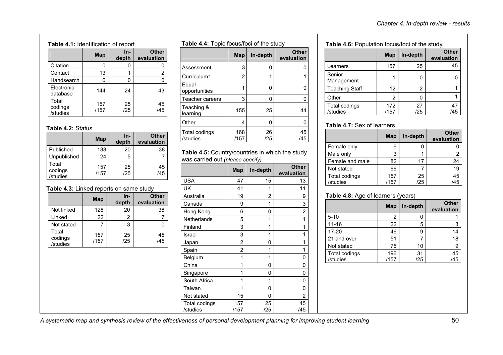$0 \qquad \qquad$  1

47 /45

27/25

#### **Table 4.1:** Identification of report

|                              | <b>Map</b>  | In-<br>depth | <b>Other</b><br>evaluation |  |
|------------------------------|-------------|--------------|----------------------------|--|
| Citation                     |             | 0            | U                          |  |
| Contact                      | 13          |              | 2                          |  |
| Handsearch                   | n           | Ω            | 0                          |  |
| Electronic<br>database       | 144         | 24           | 43                         |  |
| Total<br>codings<br>/studies | 157<br>/157 | 25<br>/25    | 45<br>/45                  |  |

#### **Table 4.2:** Status

|                              | Map         | In-<br>depth | <b>Other</b><br>evaluation |
|------------------------------|-------------|--------------|----------------------------|
| Published                    | 133         | 20           | 38                         |
| Unpublished                  | 24          | 5            |                            |
| Total<br>codings<br>/studies | 157<br>/157 | 25<br>/25    | 45<br>/45                  |

#### **Table 4.3:** Linked reports on same study

|                              | Map         | In-<br>depth | <b>Other</b><br>evaluation |
|------------------------------|-------------|--------------|----------------------------|
| Not linked                   | 128         | 20           | 38                         |
| Linked                       | 22          | 2            |                            |
| Not stated                   |             | 3            |                            |
| Total<br>codings<br>/studies | 157<br>/157 | 25<br>/25    | 45<br>/45                  |

**Table 4.4:** Topic focus/foci of the study

|                           | <b>Map</b>  | In-depth  | <b>Other</b><br>evaluation |
|---------------------------|-------------|-----------|----------------------------|
| Assessment                | 3           | 0         |                            |
| Curriculum*               | 2           |           |                            |
| Equal<br>opportunities    |             | O         |                            |
| Teacher careers           | 3           | 0         | 0                          |
| Teaching &<br>learning    | 155         | 25        | 44                         |
| Other                     | 4           | 0         | 0                          |
| Total codings<br>/studies | 168<br>/157 | 26<br>/25 | 45<br>/45                  |

#### **Table 4.5:** Country/countries in which the study was carried out *(please specify)*

|                           | <b>Map</b>     | In-depth  | <b>Other</b><br>evaluation |
|---------------------------|----------------|-----------|----------------------------|
| <b>USA</b>                | 47             | 15        | 13                         |
| UK                        | 41             | 1         | 11                         |
| Australia                 | 19             | 2         | 9                          |
| Canada                    | 9              | 1         | 3                          |
| Hong Kong                 | 6              | 0         | 2                          |
| Netherlands               | 5              | 1         | 1                          |
| Finland                   | 3              | 1         | 1                          |
| Israel                    | 3              | 1         | 1                          |
| Japan                     | $\overline{2}$ | 0         | 1                          |
| Spain                     | $\overline{2}$ | 1         | 1                          |
| Belgium                   | 1              | 1         | 0                          |
| China                     | 1              | 0         | 0                          |
| Singapore                 | 1              | 0         | 0                          |
| South Africa              | 1              | 1         | 0                          |
| Taiwan                    | 1              | 0         | 0                          |
| Not stated                | 15             | 0         | 2                          |
| Total codings<br>/studies | 157<br>/157    | 25<br>/25 | 45<br>/45                  |

| <b>Table 4.6:</b> Population focus/foci of the study |     |          |                            |  |
|------------------------------------------------------|-----|----------|----------------------------|--|
|                                                      | Map | In-depth | <b>Other</b><br>evaluation |  |
| Learners                                             | 157 | 25       | 45                         |  |
| Senior<br>Management                                 |     | O        |                            |  |
| <b>Teaching Staff</b>                                | 12  | 2        |                            |  |

172 /157

#### **Table 4.7:** Sex of learners

Total codings /studies

Other 2

|                 | Map  | In-depth | <b>Other</b><br>evaluation |
|-----------------|------|----------|----------------------------|
| Female only     | 6    |          |                            |
| Male only       | 3    |          | 2                          |
| Female and male | 82   | 17       | 24                         |
| Not stated      | 66   |          | 19                         |
| Total codings   | 157  | 25       | 45                         |
| /studies        | /157 | /25      | /45                        |

#### **Table 4.8:** Age of learners (years)

|                      | <b>Map</b> | In-depth | <b>Other</b><br>evaluation |
|----------------------|------------|----------|----------------------------|
| $5 - 10$             | 2          |          |                            |
| $11 - 16$            | 22         | 5        | 3                          |
| 17-20                | 46         | 9        | 14                         |
| 21 and over          | 51         |          | 18                         |
| Not stated           | 75         | 10       | 9                          |
| <b>Total codings</b> | 196        | 31       | 45                         |
| /studies             | /157       | /25      | /45                        |

*A systematic map and synthesis review of the effectiveness of personal development planning for improving student learning* 50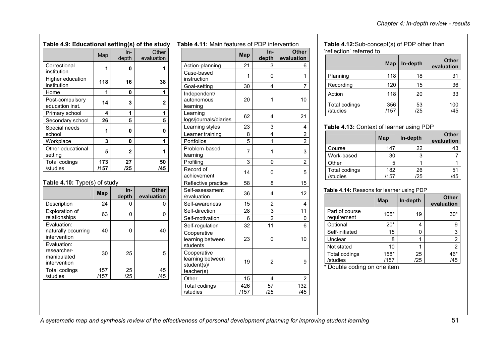| Table 4.9: Educational setting(s) of the study |             |              |                     |             |  |
|------------------------------------------------|-------------|--------------|---------------------|-------------|--|
|                                                | Map         | In-<br>depth | Other<br>evaluation |             |  |
| Correctional<br>institution                    | 1           | 0            | 1                   | Act<br>Cas  |  |
| Higher education<br>institution                | 118         | 16           | 38                  | inst<br>Goa |  |
| Home                                           | 1           | 0            | 1                   | Ind         |  |
| Post-compulsory<br>education inst.             | 14          | 3            | $\mathbf{2}$        | aut<br>lear |  |
| Primary school                                 | 4           | 1            | 1                   | Lea         |  |
| Secondary school                               | 26          | 5            | 5                   | logs        |  |
| Special needs<br>school                        | 1           | 0            | O                   | Lea<br>Lea  |  |
| Workplace                                      | 3           | 0            | 1                   | Por         |  |
| Other educational<br>setting                   | 5           | $\mathbf{2}$ | 1                   | Pro<br>lear |  |
| Total codings<br>/studies                      | 173<br>/157 | 27<br>/25    | 50<br>/45           | Pro<br>Red  |  |
|                                                |             |              |                     | - ما د      |  |

#### **Table 4.10:** Type(s) of study

|                                                           | Map         | ln-<br>depth | <b>Other</b><br>evaluation |
|-----------------------------------------------------------|-------------|--------------|----------------------------|
| Description                                               | 24          | 0            | 0                          |
| <b>Exploration of</b><br>relationships                    | 63          | 0            | O                          |
| Evaluation:<br>naturally occurring<br>intervention        | 40          | 0            | 40                         |
| Evaluation:<br>researcher-<br>manipulated<br>intervention | 30          | 25           | 5                          |
| Total codings<br>/studies                                 | 157<br>/157 | 25<br>/25    | 45<br>/45                  |
|                                                           |             |              |                            |

|                                                              | <b>Map</b>     | In-<br>depth   | <b>Other</b><br>evaluation |
|--------------------------------------------------------------|----------------|----------------|----------------------------|
| Action-planning                                              | 21             | 3              | 6                          |
| Case-based<br>instruction                                    | 1              | 0              | 1                          |
| Goal-setting                                                 | 30             | 4              | 7                          |
| Independent/<br>autonomous<br>learning                       | 20             | 1              | 10                         |
| Learning<br>logs/journals/diaries                            | 62             | 4              | 21                         |
| Learning styles                                              | 23             | 3              | 4                          |
| Learner training                                             | 8              | 4              | $\overline{c}$             |
| Portfolios                                                   | 5              | 1              | 2                          |
| Problem-based<br>learning                                    | $\overline{7}$ | 1              | 3                          |
| Profiling                                                    | 3              | 0              | 2                          |
| Record of<br>achievement                                     | 14             | 0              | 5                          |
| Reflective practice                                          | 58             | 8              | 15                         |
| Self-assessment<br>/evaluation                               | 36             | 4              | 12                         |
| Self-awareness                                               | 15             | 2              | 4                          |
| Self-direction                                               | 28             | 3              | 11                         |
| Self-motivation                                              | 6              | $\overline{2}$ | 0                          |
| Self-regulation                                              | 32             | 11             | 6                          |
| Cooperative<br>learning between<br>students                  | 23             | 0              | 10                         |
| Cooperative<br>learning between<br>student(s)/<br>teacher(s) | 19             | 2              | 9                          |
| Other                                                        | 15             | 4              | 2                          |
| <b>Total codings</b><br>/studies                             | 426<br>/157    | 57<br>/25      | 132<br>/45                 |

 **Table 4.12:**Sub-concept(s) of PDP other than 'reflection' referred to

|                           | <b>Map</b>  | In-depth  | <b>Other</b><br>evaluation |
|---------------------------|-------------|-----------|----------------------------|
| Planning                  | 118         | 18        | 31                         |
| Recording                 | 120         | 15        | 36                         |
| Action                    | 118         | 20        | 33                         |
| Total codings<br>/studies | 356<br>/157 | 53<br>/25 | 100<br>/45                 |

#### **Table 4.13:** Context of learner using PDP

|               | Map  | In-depth | <b>Other</b><br>evaluation |
|---------------|------|----------|----------------------------|
| Course        | 147  | 22       | 43                         |
| Work-based    | 30   | 3        |                            |
| Other         | 5    |          |                            |
| Total codings | 182  | 26       | 51                         |
| /studies      | /157 | /25      | /45                        |

#### **Table 4.14:** Reasons for learner using PDP

|                               | Map    | In-depth | <b>Other</b><br>evaluation |  |  |
|-------------------------------|--------|----------|----------------------------|--|--|
| Part of course<br>requirement | $105*$ | 19       | $30*$                      |  |  |
| Optional                      | $20*$  | 4        | 9                          |  |  |
| Self-initiated                | 15     | 0        | 3                          |  |  |
| Unclear                       | 8      | 1        | $\overline{c}$             |  |  |
| Not stated                    | 10     |          | $\overline{2}$             |  |  |
| Total codings                 | 158*   | 25       | 46*                        |  |  |
| /studies                      | /157   | /25      | /45                        |  |  |
| * Daubla coding on one item   |        |          |                            |  |  |

Touble coding on one item

*A systematic map and synthesis review of the effectiveness of personal development planning for improving student learning* 51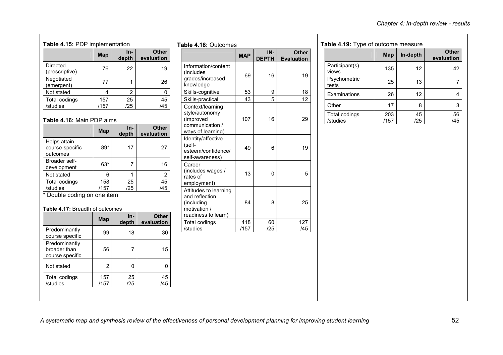| Table 4.15: PDP implementation    |             |              |                            |  |
|-----------------------------------|-------------|--------------|----------------------------|--|
|                                   | Map         | In-<br>depth | <b>Other</b><br>evaluation |  |
| <b>Directed</b><br>(prescriptive) | 76          | 22           | 19                         |  |
| Negotiated<br>(emergent)          | 77          |              | 26                         |  |
| Not stated                        | 4           | 2            | n                          |  |
| Total codings<br>/studies         | 157<br>/157 | 25<br>/25    | 45<br>/45                  |  |

#### **Table 4.16:** Main PDP aims

|                                             | Map         | In-<br>depth | <b>Other</b><br>evaluation |
|---------------------------------------------|-------------|--------------|----------------------------|
| Helps attain<br>course-specific<br>outcomes | 89*         | 17           | 27                         |
| Broader self-<br>development                | $63*$       |              | 16                         |
| Not stated                                  | 6           |              | 2                          |
| Total codings<br>/studies                   | 158<br>/157 | 25<br>/25    | 45<br>/45                  |

\* Double coding on one item

#### **Table 4.17:** Breadth of outcomes

|             | depth     | evaluation |
|-------------|-----------|------------|
| 99          | 18        | 30         |
| 56          |           | 15         |
| 2           | ŋ         |            |
| 157<br>/157 | 25<br>/25 | 45<br>/45  |
|             |           |            |

| Information/content<br>(includes<br>grades/increased                                         |             | <b>DEPTH</b> | <b>Evaluation</b> |
|----------------------------------------------------------------------------------------------|-------------|--------------|-------------------|
| knowledge                                                                                    | 69          | 16           | 19                |
| Skills-cognitive                                                                             | 53          | 9            | 18                |
| Skills-practical                                                                             | 43          | 5            | 12                |
| Context/learning<br>style/autonomy<br>(improved<br>communication /<br>ways of learning)      | 107         | 16           | 29                |
| Identity/affective<br>(self-<br>esteem/confidence/<br>self-awareness)                        | 49          | 6            | 19                |
| Career<br>(includes wages /<br>rates of<br>employment)                                       | 13          | 0            | 5                 |
| Attitudes to learning<br>and reflection<br>(including<br>motivation /<br>readiness to learn) | 84          | 8            | 25                |
| <b>Total codings</b><br>/studies                                                             | 418<br>/157 | 60<br>/25    | 127<br>/45        |

#### **Table 4.19:** Type of outcome measure

| aple 4.15. Type of outcome measure |             |           |                            |
|------------------------------------|-------------|-----------|----------------------------|
|                                    | Map         | In-depth  | <b>Other</b><br>evaluation |
| Participant(s)<br>views            | 135         | 12        | 42                         |
| Psychometric<br>tests              | 25          | 13        |                            |
| Examinations                       | 26          | 12        |                            |
| Other                              | 17          | 8         | 3                          |
| Total codings<br>/studies          | 203<br>/157 | 45<br>/25 | 56<br>/45                  |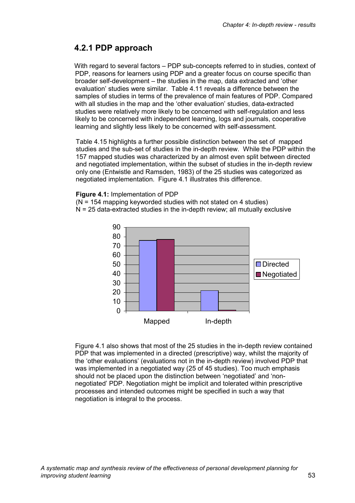### **4.2.1 PDP approach**

With regard to several factors – PDP sub-concepts referred to in studies, context of PDP, reasons for learners using PDP and a greater focus on course specific than broader self-development – the studies in the map, data extracted and 'other evaluation' studies were similar. Table 4.11 reveals a difference between the samples of studies in terms of the prevalence of main features of PDP. Compared with all studies in the map and the 'other evaluation' studies, data-extracted studies were relatively more likely to be concerned with self-regulation and less likely to be concerned with independent learning, logs and journals, cooperative learning and slightly less likely to be concerned with self-assessment.

Table 4.15 highlights a further possible distinction between the set of mapped studies and the sub-set of studies in the in-depth review. While the PDP within the 157 mapped studies was characterized by an almost even split between directed and negotiated implementation, within the subset of studies in the in-depth review only one (Entwistle and Ramsden, 1983) of the 25 studies was categorized as negotiated implementation. Figure 4.1 illustrates this difference.

#### **Figure 4.1:** Implementation of PDP

(N = 154 mapping keyworded studies with not stated on 4 studies)  $N = 25$  data-extracted studies in the in-depth review; all mutually exclusive



Figure 4.1 also shows that most of the 25 studies in the in-depth review contained PDP that was implemented in a directed (prescriptive) way, whilst the majority of the 'other evaluations' (evaluations not in the in-depth review) involved PDP that was implemented in a negotiated way (25 of 45 studies). Too much emphasis should not be placed upon the distinction between 'negotiated' and 'nonnegotiated' PDP. Negotiation might be implicit and tolerated within prescriptive processes and intended outcomes might be specified in such a way that negotiation is integral to the process.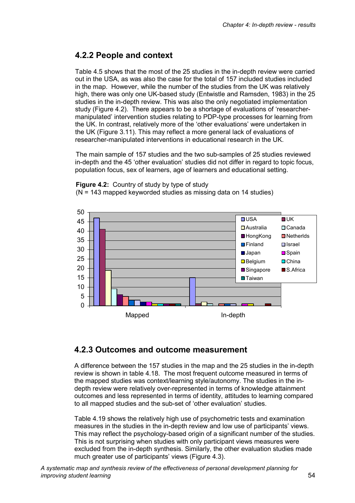## **4.2.2 People and context**

Table 4.5 shows that the most of the 25 studies in the in-depth review were carried out in the USA, as was also the case for the total of 157 included studies included in the map. However, while the number of the studies from the UK was relatively high, there was only one UK-based study (Entwistle and Ramsden, 1983) in the 25 studies in the in-depth review. This was also the only negotiated implementation study (Figure 4.2). There appears to be a shortage of evaluations of 'researchermanipulated' intervention studies relating to PDP-type processes for learning from the UK. In contrast, relatively more of the 'other evaluations' were undertaken in the UK (Figure 3.11). This may reflect a more general lack of evaluations of researcher-manipulated interventions in educational research in the UK.

The main sample of 157 studies and the two sub-samples of 25 studies reviewed in-depth and the 45 'other evaluation' studies did not differ in regard to topic focus, population focus, sex of learners, age of learners and educational setting.



**Figure 4.2:** Country of study by type of study (N = 143 mapped keyworded studies as missing data on 14 studies)

# **4.2.3 Outcomes and outcome measurement**

A difference between the 157 studies in the map and the 25 studies in the in-depth review is shown in table 4.18. The most frequent outcome measured in terms of the mapped studies was context/learning style/autonomy. The studies in the indepth review were relatively over-represented in terms of knowledge attainment outcomes and less represented in terms of identity, attitudes to learning compared to all mapped studies and the sub-set of 'other evaluation' studies.

Table 4.19 shows the relatively high use of psychometric tests and examination measures in the studies in the in-depth review and low use of participants' views. This may reflect the psychology-based origin of a significant number of the studies. This is not surprising when studies with only participant views measures were excluded from the in-depth synthesis. Similarly, the other evaluation studies made much greater use of participants' views (Figure 4.3).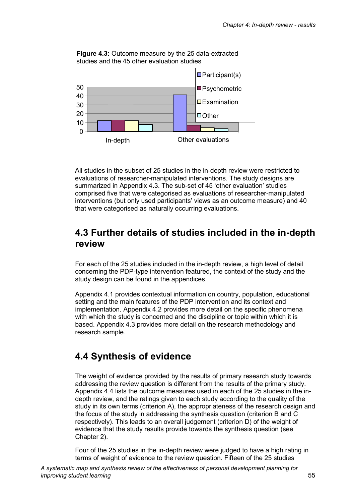

**Figure 4.3:** Outcome measure by the 25 data-extracted studies and the 45 other evaluation studies

All studies in the subset of 25 studies in the in-depth review were restricted to evaluations of researcher-manipulated interventions. The study designs are summarized in Appendix 4.3. The sub-set of 45 'other evaluation' studies comprised five that were categorised as evaluations of researcher-manipulated interventions (but only used participants' views as an outcome measure) and 40 that were categorised as naturally occurring evaluations.

## **4.3 Further details of studies included in the in-depth review**

For each of the 25 studies included in the in-depth review, a high level of detail concerning the PDP-type intervention featured, the context of the study and the study design can be found in the appendices.

Appendix 4.1 provides contextual information on country, population, educational setting and the main features of the PDP intervention and its context and implementation. Appendix 4.2 provides more detail on the specific phenomena with which the study is concerned and the discipline or topic within which it is based. Appendix 4.3 provides more detail on the research methodology and research sample.

# **4.4 Synthesis of evidence**

The weight of evidence provided by the results of primary research study towards addressing the review question is different from the results of the primary study. Appendix 4.4 lists the outcome measures used in each of the 25 studies in the indepth review, and the ratings given to each study according to the quality of the study in its own terms (criterion A), the appropriateness of the research design and the focus of the study in addressing the synthesis question (criterion B and C respectively). This leads to an overall judgement (criterion D) of the weight of evidence that the study results provide towards the synthesis question (see Chapter 2).

Four of the 25 studies in the in-depth review were judged to have a high rating in terms of weight of evidence to the review question. Fifteen of the 25 studies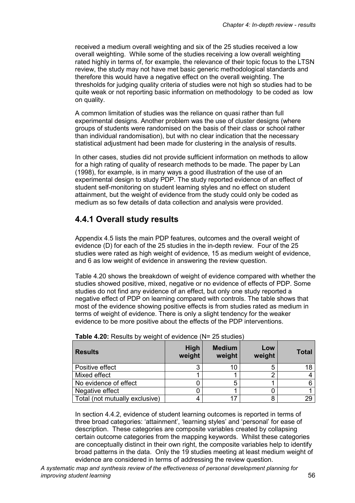received a medium overall weighting and six of the 25 studies received a low overall weighting. While some of the studies receiving a low overall weighting rated highly in terms of, for example, the relevance of their topic focus to the LTSN review, the study may not have met basic generic methodological standards and therefore this would have a negative effect on the overall weighting. The thresholds for judging quality criteria of studies were not high so studies had to be quite weak or not reporting basic information on methodology to be coded as low on quality.

A common limitation of studies was the reliance on quasi rather than full experimental designs. Another problem was the use of cluster designs (where groups of students were randomised on the basis of their class or school rather than individual randomisation), but with no clear indication that the necessary statistical adjustment had been made for clustering in the analysis of results.

In other cases, studies did not provide sufficient information on methods to allow for a high rating of quality of research methods to be made. The paper by Lan (1998), for example, is in many ways a good illustration of the use of an experimental design to study PDP. The study reported evidence of an effect of student self-monitoring on student learning styles and no effect on student attainment, but the weight of evidence from the study could only be coded as medium as so few details of data collection and analysis were provided.

### **4.4.1 Overall study results**

Appendix 4.5 lists the main PDP features, outcomes and the overall weight of evidence (D) for each of the 25 studies in the in-depth review. Four of the 25 studies were rated as high weight of evidence, 15 as medium weight of evidence, and 6 as low weight of evidence in answering the review question.

Table 4.20 shows the breakdown of weight of evidence compared with whether the studies showed positive, mixed, negative or no evidence of effects of PDP. Some studies do not find any evidence of an effect, but only one study reported a negative effect of PDP on learning compared with controls. The table shows that most of the evidence showing positive effects is from studies rated as medium in terms of weight of evidence. There is only a slight tendency for the weaker evidence to be more positive about the effects of the PDP interventions.

| <b>Results</b>                 | High<br>weight | <b>Medium</b><br>weight | Low<br>weight | <b>Total</b> |
|--------------------------------|----------------|-------------------------|---------------|--------------|
| Positive effect                |                | 10                      | b             | 18           |
| Mixed effect                   |                |                         |               |              |
| No evidence of effect          |                | 5                       |               |              |
| Negative effect                |                |                         |               |              |
| Total (not mutually exclusive) |                | 17                      |               | 29           |

|  | Table 4.20: Results by weight of evidence (N= 25 studies) |  |
|--|-----------------------------------------------------------|--|
|--|-----------------------------------------------------------|--|

In section 4.4.2, evidence of student learning outcomes is reported in terms of three broad categories: 'attainment', 'learning styles' and 'personal' for ease of description. These categories are composite variables created by collapsing certain outcome categories from the mapping keywords. Whilst these categories are conceptually distinct in their own right, the composite variables help to identify broad patterns in the data. Only the 19 studies meeting at least medium weight of evidence are considered in terms of addressing the review question.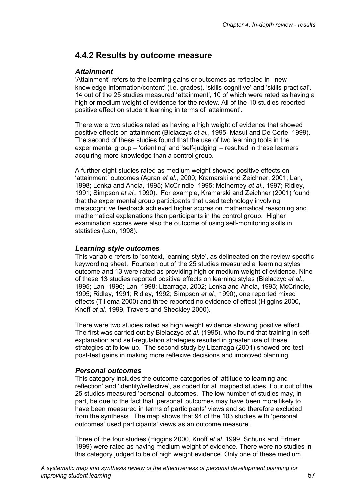### **4.4.2 Results by outcome measure**

#### *Attainment*

'Attainment' refers to the learning gains or outcomes as reflected in 'new knowledge information/content' (i.e. grades), 'skills-cognitive' and 'skills-practical'. 14 out of the 25 studies measured 'attainment', 10 of which were rated as having a high or medium weight of evidence for the review. All of the 10 studies reported positive effect on student learning in terms of 'attainment'.

There were two studies rated as having a high weight of evidence that showed positive effects on attainment (Bielaczyc *et al.*, 1995; Masui and De Corte, 1999). The second of these studies found that the use of two learning tools in the experimental group – 'orienting' and 'self-judging' – resulted in these learners acquiring more knowledge than a control group.

A further eight studies rated as medium weight showed positive effects on 'attainment' outcomes (Agran *et al*., 2000; Kramarski and Zeichner, 2001; Lan, 1998; Lonka and Ahola, 1995; McCrindle, 1995; McInerney *et al*.*,* 1997; Ridley, 1991; Simpson *et al*., 1990). For example, Kramarski and Zeichner (2001) found that the experimental group participants that used technology involving metacognitive feedback achieved higher scores on mathematical reasoning and mathematical explanations than participants in the control group. Higher examination scores were also the outcome of using self-monitoring skills in statistics (Lan, 1998).

#### *Learning style outcomes*

This variable refers to 'context, learning style', as delineated on the review-specific keywording sheet. Fourteen out of the 25 studies measured a 'learning styles' outcome and 13 were rated as providing high or medium weight of evidence. Nine of these 13 studies reported positive effects on learning styles (Bielaczyc *et al.*, 1995; Lan, 1996; Lan, 1998; Lizarraga, 2002; Lonka and Ahola, 1995; McCrindle, 1995; Ridley, 1991; Ridley, 1992; Simpson *et al.,* 1990), one reported mixed effects (Tillema 2000) and three reported no evidence of effect (Higgins 2000, Knoff *et al.* 1999, Travers and Sheckley 2000).

There were two studies rated as high weight evidence showing positive effect. The first was carried out by Bielaczyc *et al.* (1995), who found that training in selfexplanation and self-regulation strategies resulted in greater use of these strategies at follow-up. The second study by Lizarraga (2001) showed pre-test – post-test gains in making more reflexive decisions and improved planning.

#### *Personal outcomes*

This category includes the outcome categories of 'attitude to learning and reflection' and 'identity/reflective', as coded for all mapped studies. Four out of the 25 studies measured 'personal' outcomes. The low number of studies may, in part, be due to the fact that 'personal' outcomes may have been more likely to have been measured in terms of participants' views and so therefore excluded from the synthesis. The map shows that 94 of the 103 studies with 'personal outcomes' used participants' views as an outcome measure.

Three of the four studies (Higgins 2000, Knoff *et al.* 1999, Schunk and Ertmer 1999) were rated as having medium weight of evidence. There were no studies in this category judged to be of high weight evidence. Only one of these medium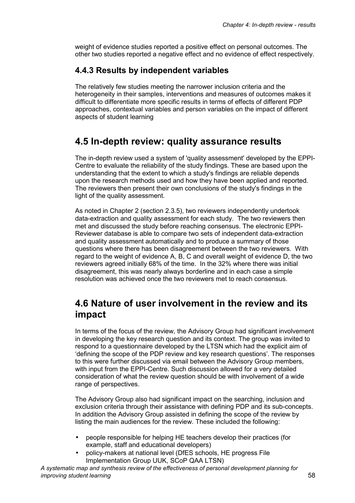weight of evidence studies reported a positive effect on personal outcomes. The other two studies reported a negative effect and no evidence of effect respectively.

### **4.4.3 Results by independent variables**

The relatively few studies meeting the narrower inclusion criteria and the heterogeneity in their samples, interventions and measures of outcomes makes it difficult to differentiate more specific results in terms of effects of different PDP approaches, contextual variables and person variables on the impact of different aspects of student learning

### **4.5 In-depth review: quality assurance results**

The in-depth review used a system of 'quality assessment' developed by the EPPI-Centre to evaluate the reliability of the study findings. These are based upon the understanding that the extent to which a study's findings are reliable depends upon the research methods used and how they have been applied and reported. The reviewers then present their own conclusions of the study's findings in the light of the quality assessment.

As noted in Chapter 2 (section 2.3.5), two reviewers independently undertook data-extraction and quality assessment for each study. The two reviewers then met and discussed the study before reaching consensus. The electronic EPPI-Reviewer database is able to compare two sets of independent data-extraction and quality assessment automatically and to produce a summary of those questions where there has been disagreement between the two reviewers. With regard to the weight of evidence A, B, C and overall weight of evidence D, the two reviewers agreed initially 68% of the time. In the 32% where there was initial disagreement, this was nearly always borderline and in each case a simple resolution was achieved once the two reviewers met to reach consensus.

## **4.6 Nature of user involvement in the review and its impact**

In terms of the focus of the review, the Advisory Group had significant involvement in developing the key research question and its context. The group was invited to respond to a questionnaire developed by the LTSN which had the explicit aim of 'defining the scope of the PDP review and key research questions'. The responses to this were further discussed via email between the Advisory Group members, with input from the EPPI-Centre. Such discussion allowed for a very detailed consideration of what the review question should be with involvement of a wide range of perspectives.

The Advisory Group also had significant impact on the searching, inclusion and exclusion criteria through their assistance with defining PDP and its sub-concepts. In addition the Advisory Group assisted in defining the scope of the review by listing the main audiences for the review. These included the following:

- people responsible for helping HE teachers develop their practices (for example, staff and educational developers)
- policy-makers at national level (DfES schools, HE progress File Implementation Group UUK, SCoP QAA LTSN)

*A systematic map and synthesis review of the effectiveness of personal development planning for improving student learning* 58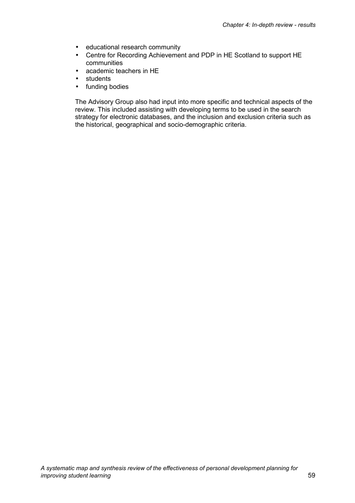- educational research community
- Centre for Recording Achievement and PDP in HE Scotland to support HE communities
- academic teachers in HE
- students
- funding bodies

The Advisory Group also had input into more specific and technical aspects of the review. This included assisting with developing terms to be used in the search strategy for electronic databases, and the inclusion and exclusion criteria such as the historical, geographical and socio-demographic criteria.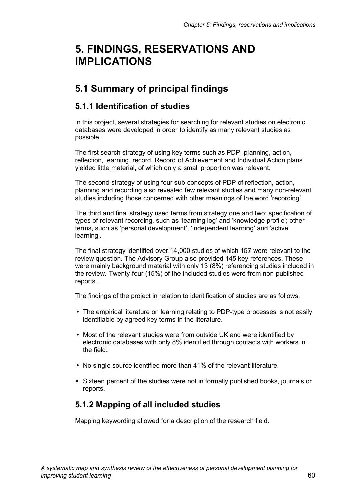# **5. FINDINGS, RESERVATIONS AND IMPLICATIONS**

# **5.1 Summary of principal findings**

### **5.1.1 Identification of studies**

In this project, several strategies for searching for relevant studies on electronic databases were developed in order to identify as many relevant studies as possible.

The first search strategy of using key terms such as PDP, planning, action, reflection, learning, record, Record of Achievement and Individual Action plans yielded little material, of which only a small proportion was relevant.

The second strategy of using four sub-concepts of PDP of reflection, action, planning and recording also revealed few relevant studies and many non-relevant studies including those concerned with other meanings of the word 'recording'.

The third and final strategy used terms from strategy one and two; specification of types of relevant recording, such as 'learning log' and 'knowledge profile'; other terms, such as 'personal development', 'independent learning' and 'active learning'.

The final strategy identified over 14,000 studies of which 157 were relevant to the review question. The Advisory Group also provided 145 key references. These were mainly background material with only 13 (8%) referencing studies included in the review. Twenty-four (15%) of the included studies were from non-published reports.

The findings of the project in relation to identification of studies are as follows:

- The empirical literature on learning relating to PDP-type processes is not easily identifiable by agreed key terms in the literature.
- Most of the relevant studies were from outside UK and were identified by electronic databases with only 8% identified through contacts with workers in the field.
- No single source identified more than 41% of the relevant literature.
- Sixteen percent of the studies were not in formally published books, journals or reports.

### **5.1.2 Mapping of all included studies**

Mapping keywording allowed for a description of the research field.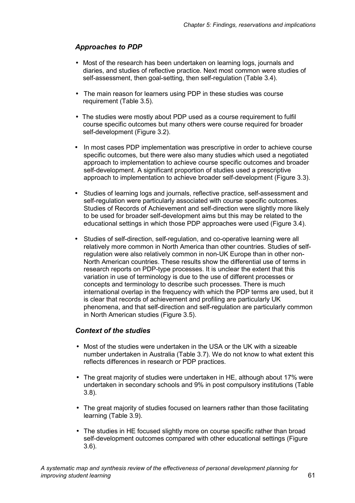### *Approaches to PDP*

- Most of the research has been undertaken on learning logs, journals and diaries, and studies of reflective practice. Next most common were studies of self-assessment, then goal-setting, then self-regulation (Table 3.4).
- The main reason for learners using PDP in these studies was course requirement (Table 3.5).
- The studies were mostly about PDP used as a course requirement to fulfil course specific outcomes but many others were course required for broader self-development (Figure 3.2).
- In most cases PDP implementation was prescriptive in order to achieve course specific outcomes, but there were also many studies which used a negotiated approach to implementation to achieve course specific outcomes and broader self-development. A significant proportion of studies used a prescriptive approach to implementation to achieve broader self-development (Figure 3.3).
- Studies of learning logs and journals, reflective practice, self-assessment and self-regulation were particularly associated with course specific outcomes. Studies of Records of Achievement and self-direction were slightly more likely to be used for broader self-development aims but this may be related to the educational settings in which those PDP approaches were used (Figure 3.4).
- Studies of self-direction, self-regulation, and co-operative learning were all relatively more common in North America than other countries. Studies of selfregulation were also relatively common in non-UK Europe than in other non-North American countries. These results show the differential use of terms in research reports on PDP-type processes. It is unclear the extent that this variation in use of terminology is due to the use of different processes or concepts and terminology to describe such processes. There is much international overlap in the frequency with which the PDP terms are used, but it is clear that records of achievement and profiling are particularly UK phenomena, and that self-direction and self-regulation are particularly common in North American studies (Figure 3.5).

### *Context of the studies*

- Most of the studies were undertaken in the USA or the UK with a sizeable number undertaken in Australia (Table 3.7). We do not know to what extent this reflects differences in research or PDP practices.
- The great majority of studies were undertaken in HE, although about 17% were undertaken in secondary schools and 9% in post compulsory institutions (Table 3.8).
- The great majority of studies focused on learners rather than those facilitating learning (Table 3.9).
- The studies in HE focused slightly more on course specific rather than broad self-development outcomes compared with other educational settings (Figure 3.6).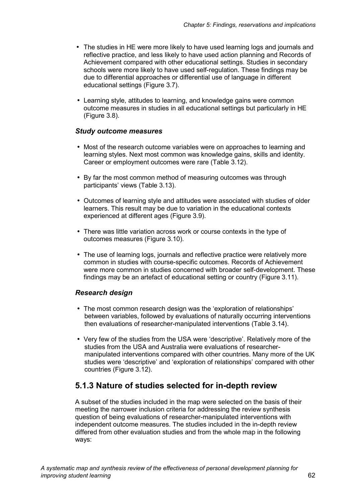- The studies in HE were more likely to have used learning logs and journals and reflective practice, and less likely to have used action planning and Records of Achievement compared with other educational settings. Studies in secondary schools were more likely to have used self-regulation. These findings may be due to differential approaches or differential use of language in different educational settings (Figure 3.7).
- Learning style, attitudes to learning, and knowledge gains were common outcome measures in studies in all educational settings but particularly in HE (Figure 3.8).

#### *Study outcome measures*

- Most of the research outcome variables were on approaches to learning and learning styles. Next most common was knowledge gains, skills and identity. Career or employment outcomes were rare (Table 3.12).
- By far the most common method of measuring outcomes was through participants' views (Table 3.13).
- Outcomes of learning style and attitudes were associated with studies of older learners. This result may be due to variation in the educational contexts experienced at different ages (Figure 3.9).
- There was little variation across work or course contexts in the type of outcomes measures (Figure 3.10).
- The use of learning logs, journals and reflective practice were relatively more common in studies with course-specific outcomes. Records of Achievement were more common in studies concerned with broader self-development. These findings may be an artefact of educational setting or country (Figure 3.11).

### *Research design*

- The most common research design was the 'exploration of relationships' between variables, followed by evaluations of naturally occurring interventions then evaluations of researcher-manipulated interventions (Table 3.14).
- Very few of the studies from the USA were 'descriptive'. Relatively more of the studies from the USA and Australia were evaluations of researchermanipulated interventions compared with other countries. Many more of the UK studies were 'descriptive' and 'exploration of relationships' compared with other countries (Figure 3.12).

### **5.1.3 Nature of studies selected for in-depth review**

A subset of the studies included in the map were selected on the basis of their meeting the narrower inclusion criteria for addressing the review synthesis question of being evaluations of researcher-manipulated interventions with independent outcome measures. The studies included in the in-depth review differed from other evaluation studies and from the whole map in the following ways: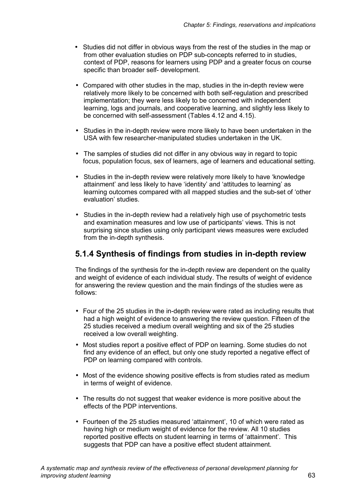- Studies did not differ in obvious ways from the rest of the studies in the map or from other evaluation studies on PDP sub-concepts referred to in studies, context of PDP, reasons for learners using PDP and a greater focus on course specific than broader self- development.
- Compared with other studies in the map, studies in the in-depth review were relatively more likely to be concerned with both self-regulation and prescribed implementation; they were less likely to be concerned with independent learning, logs and journals, and cooperative learning, and slightly less likely to be concerned with self-assessment (Tables 4.12 and 4.15).
- Studies in the in-depth review were more likely to have been undertaken in the USA with few researcher-manipulated studies undertaken in the UK.
- The samples of studies did not differ in any obvious way in regard to topic focus, population focus, sex of learners, age of learners and educational setting.
- Studies in the in-depth review were relatively more likely to have 'knowledge attainment' and less likely to have 'identity' and 'attitudes to learning' as learning outcomes compared with all mapped studies and the sub-set of 'other evaluation' studies.
- Studies in the in-depth review had a relatively high use of psychometric tests and examination measures and low use of participants' views. This is not surprising since studies using only participant views measures were excluded from the in-depth synthesis.

### **5.1.4 Synthesis of findings from studies in in-depth review**

The findings of the synthesis for the in-depth review are dependent on the quality and weight of evidence of each individual study. The results of weight of evidence for answering the review question and the main findings of the studies were as follows:

- Four of the 25 studies in the in-depth review were rated as including results that had a high weight of evidence to answering the review question. Fifteen of the 25 studies received a medium overall weighting and six of the 25 studies received a low overall weighting.
- Most studies report a positive effect of PDP on learning. Some studies do not find any evidence of an effect, but only one study reported a negative effect of PDP on learning compared with controls.
- Most of the evidence showing positive effects is from studies rated as medium in terms of weight of evidence.
- The results do not suggest that weaker evidence is more positive about the effects of the PDP interventions.
- Fourteen of the 25 studies measured 'attainment', 10 of which were rated as having high or medium weight of evidence for the review. All 10 studies reported positive effects on student learning in terms of 'attainment'. This suggests that PDP can have a positive effect student attainment.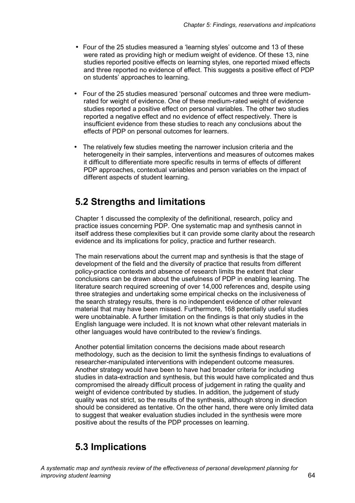- Four of the 25 studies measured a 'learning styles' outcome and 13 of these were rated as providing high or medium weight of evidence. Of these 13, nine studies reported positive effects on learning styles, one reported mixed effects and three reported no evidence of effect. This suggests a positive effect of PDP on students' approaches to learning.
- Four of the 25 studies measured 'personal' outcomes and three were mediumrated for weight of evidence. One of these medium-rated weight of evidence studies reported a positive effect on personal variables. The other two studies reported a negative effect and no evidence of effect respectively. There is insufficient evidence from these studies to reach any conclusions about the effects of PDP on personal outcomes for learners.
- The relatively few studies meeting the narrower inclusion criteria and the heterogeneity in their samples, interventions and measures of outcomes makes it difficult to differentiate more specific results in terms of effects of different PDP approaches, contextual variables and person variables on the impact of different aspects of student learning.

# **5.2 Strengths and limitations**

Chapter 1 discussed the complexity of the definitional, research, policy and practice issues concerning PDP. One systematic map and synthesis cannot in itself address these complexities but it can provide some clarity about the research evidence and its implications for policy, practice and further research.

The main reservations about the current map and synthesis is that the stage of development of the field and the diversity of practice that results from different policy-practice contexts and absence of research limits the extent that clear conclusions can be drawn about the usefulness of PDP in enabling learning. The literature search required screening of over 14,000 references and, despite using three strategies and undertaking some empirical checks on the inclusiveness of the search strategy results, there is no independent evidence of other relevant material that may have been missed. Furthermore, 168 potentially useful studies were unobtainable. A further limitation on the findings is that only studies in the English language were included. It is not known what other relevant materials in other languages would have contributed to the review's findings.

Another potential limitation concerns the decisions made about research methodology, such as the decision to limit the synthesis findings to evaluations of researcher-manipulated interventions with independent outcome measures. Another strategy would have been to have had broader criteria for including studies in data-extraction and synthesis, but this would have complicated and thus compromised the already difficult process of judgement in rating the quality and weight of evidence contributed by studies. In addition, the judgement of study quality was not strict, so the results of the synthesis, although strong in direction should be considered as tentative. On the other hand, there were only limited data to suggest that weaker evaluation studies included in the synthesis were more positive about the results of the PDP processes on learning.

# **5.3 Implications**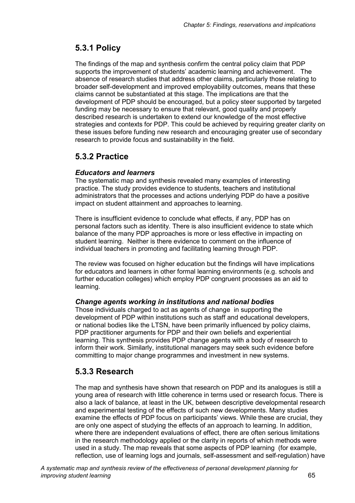## **5.3.1 Policy**

The findings of the map and synthesis confirm the central policy claim that PDP supports the improvement of students' academic learning and achievement. The absence of research studies that address other claims, particularly those relating to broader self-development and improved employability outcomes, means that these claims cannot be substantiated at this stage. The implications are that the development of PDP should be encouraged, but a policy steer supported by targeted funding may be necessary to ensure that relevant, good quality and properly described research is undertaken to extend our knowledge of the most effective strategies and contexts for PDP. This could be achieved by requiring greater clarity on these issues before funding new research and encouraging greater use of secondary research to provide focus and sustainability in the field.

### **5.3.2 Practice**

### *Educators and learners*

The systematic map and synthesis revealed many examples of interesting practice. The study provides evidence to students, teachers and institutional administrators that the processes and actions underlying PDP do have a positive impact on student attainment and approaches to learning.

There is insufficient evidence to conclude what effects, if any, PDP has on personal factors such as identity. There is also insufficient evidence to state which balance of the many PDP approaches is more or less effective in impacting on student learning. Neither is there evidence to comment on the influence of individual teachers in promoting and facilitating learning through PDP.

The review was focused on higher education but the findings will have implications for educators and learners in other formal learning environments (e.g. schools and further education colleges) which employ PDP congruent processes as an aid to learning.

### *Change agents working in institutions and national bodies*

Those individuals charged to act as agents of change in supporting the development of PDP within institutions such as staff and educational developers, or national bodies like the LTSN, have been primarily influenced by policy claims, PDP practitioner arguments for PDP and their own beliefs and experiential learning. This synthesis provides PDP change agents with a body of research to inform their work. Similarly, institutional managers may seek such evidence before committing to major change programmes and investment in new systems.

### **5.3.3 Research**

The map and synthesis have shown that research on PDP and its analogues is still a young area of research with little coherence in terms used or research focus. There is also a lack of balance, at least in the UK, between descriptive developmental research and experimental testing of the effects of such new developments. Many studies examine the effects of PDP focus on participants' views. While these are crucial, they are only one aspect of studying the effects of an approach to learning. In addition, where there are independent evaluations of effect, there are often serious limitations in the research methodology applied or the clarity in reports of which methods were used in a study. The map reveals that some aspects of PDP learning (for example, reflection, use of learning logs and journals, self-assessment and self-regulation) have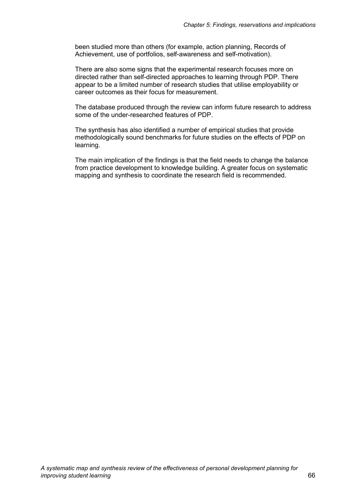been studied more than others (for example, action planning, Records of Achievement, use of portfolios, self-awareness and self-motivation).

There are also some signs that the experimental research focuses more on directed rather than self-directed approaches to learning through PDP. There appear to be a limited number of research studies that utilise employability or career outcomes as their focus for measurement.

The database produced through the review can inform future research to address some of the under-researched features of PDP.

The synthesis has also identified a number of empirical studies that provide methodologically sound benchmarks for future studies on the effects of PDP on learning.

The main implication of the findings is that the field needs to change the balance from practice development to knowledge building. A greater focus on systematic mapping and synthesis to coordinate the research field is recommended.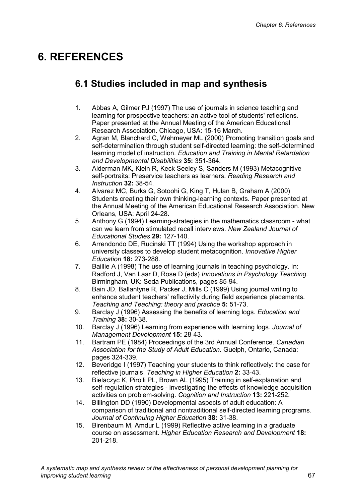# **6. REFERENCES**

# **6.1 Studies included in map and synthesis**

- 1. Abbas A, Gilmer PJ (1997) The use of journals in science teaching and learning for prospective teachers: an active tool of students' reflections. Paper presented at the Annual Meeting of the American Educational Research Association. Chicago, USA: 15-16 March.
- 2. Agran M, Blanchard C, Wehmeyer ML (2000) Promoting transition goals and self-determination through student self-directed learning: the self-determined learning model of instruction. *Education and Training in Mental Retardation and Developmental Disabilities* **35:** 351-364.
- 3. Alderman MK, Klein R, Keck Seeley S, Sanders M (1993) Metacognitive self-portraits: Preservice teachers as learners. *Reading Research and Instruction* **32:** 38-54.
- 4. Alvarez MC, Burks G, Sotoohi G, King T, Hulan B, Graham A (2000) Students creating their own thinking-learning contexts. Paper presented at the Annual Meeting of the American Educational Research Association. New Orleans, USA: April 24-28.
- 5. Anthony G (1994) Learning-strategies in the mathematics classroom what can we learn from stimulated recall interviews. *New Zealand Journal of Educational Studies* **29:** 127-140.
- 6. Arrendondo DE, Rucinski TT (1994) Using the workshop approach in university classes to develop student metacognition. *Innovative Higher Education* **18:** 273-288.
- 7. Baillie A (1998) The use of learning journals in teaching psychology. In: Radford J, Van Laar D, Rose D (eds) *Innovations in Psychology Teaching.*  Birmingham, UK: Seda Publications, pages 85-94.
- 8. Bain JD, Ballantyne R, Packer J, Mills C (1999) Using journal writing to enhance student teachers' reflectivity during field experience placements. *Teaching and Teaching: theory and practice* **5:** 51-73.
- 9. Barclay J (1996) Assessing the benefits of learning logs. *Education and Training* **38:** 30-38.
- 10. Barclay J (1996) Learning from experience with learning logs. *Journal of Management Development* **15:** 28-43.
- 11. Bartram PE (1984) Proceedings of the 3rd Annual Conference. *Canadian Association for the Study of Adult Education.* Guelph, Ontario, Canada: pages 324-339.
- 12. Beveridge I (1997) Teaching your students to think reflectively: the case for reflective journals. *Teaching in Higher Education* **2:** 33-43.
- 13. Bielaczyc K, Pirolli PL, Brown AL (1995) Training in self-explanation and self-regulation strategies - investigating the effects of knowledge acquisition activities on problem-solving. *Cognition and Instruction* **13:** 221-252.
- 14. Billington DD (1990) Developmental aspects of adult education: A comparison of traditional and nontraditional self-directed learning programs. *Journal of Continuing Higher Education* **38:** 31-38.
- 15. Birenbaum M, Amdur L (1999) Reflective active learning in a graduate course on assessment. *Higher Education Research and Development* **18:**  201-218.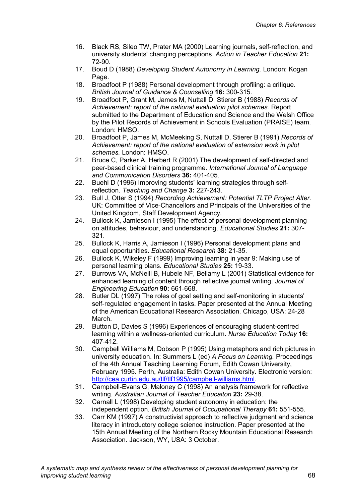- 16. Black RS, Sileo TW, Prater MA (2000) Learning journals, self-reflection, and university students' changing perceptions. *Action in Teacher Education* **21:**  72-90.
- 17. Boud D (1988) *Developing Student Autonomy in Learning.* London: Kogan Page.
- 18. Broadfoot P (1988) Personal development through profiling: a critique. *British Journal of Guidance & Counselling* **16:** 300-315.
- 19. Broadfoot P, Grant M, James M, Nuttall D, Stierer B (1988) *Records of Achievement: report of the national evaluation pilot schemes.* Report submitted to the Department of Education and Science and the Welsh Office by the Pilot Records of Achievement in Schools Evaluation (PRAISE) team. London: HMSO.
- 20. Broadfoot P, James M, McMeeking S, Nuttall D, Stierer B (1991) *Records of Achievement: report of the national evaluation of extension work in pilot schemes.* London: HMSO.
- 21. Bruce C, Parker A, Herbert R (2001) The development of self-directed and peer-based clinical training programme. *International Journal of Language and Communication Disorders* **36:** 401-405.
- 22. Buehl D (1996) Improving students' learning strategies through selfreflection. *Teaching and Change* **3:** 227-243.
- 23. Bull J, Otter S (1994) *Recording Achievement: Potential TLTP Project Alter*. UK: Committee of Vice-Chancellors and Principals of the Universities of the United Kingdom, Staff Development Agency.
- 24. Bullock K, Jamieson I (1995) The effect of personal development planning on attitudes, behaviour, and understanding. *Educational Studies* **21:** 307- 321.
- 25. Bullock K, Harris A, Jamieson I (1996) Personal development plans and equal opportunities. *Educational Research* **38:** 21-35.
- 26. Bullock K, Wikeley F (1999) Improving learning in year 9: Making use of personal learning plans. *Educational Studies* **25:** 19-33.
- 27. Burrows VA, McNeill B, Hubele NF, Bellamy L (2001) Statistical evidence for enhanced learning of content through reflective journal writing. *Journal of Engineering Education* **90:** 661-668.
- 28. Butler DL (1997) The roles of goal setting and self-monitoring in students' self-regulated engagement in tasks. Paper presented at the Annual Meeting of the American Educational Research Association. Chicago, USA: 24-28 March.
- 29. Button D, Davies S (1996) Experiences of encouraging student-centred learning within a wellness-oriented curriculum. *Nurse Education Today* **16:**  407-412.
- 30. Campbell Williams M, Dobson P (1995) Using metaphors and rich pictures in university education. In: Summers L (ed) *A Focus on Learning.* Proceedings of the 4th Annual Teaching Learning Forum, Edith Cowan University, February 1995. Perth, Australia: Edith Cowan University. Electronic version: http://cea.curtin.edu.au/tlf/tlf1995/campbell-williams.html.
- 31. Campbell-Evans G, Maloney C (1998) An analysis framework for reflective writing. *Australian Journal of Teacher Educaiton* **23:** 29-38.
- 32. Carnall L (1998) Developing student autonomy in education: the independent option. *British Journal of Occupational Therapy* **61:** 551-555.
- 33. Carr KM (1997) A constructivist approach to reflective judgment and science literacy in introductory college science instruction. Paper presented at the 15th Annual Meeting of the Northern Rocky Mountain Educational Research Association. Jackson, WY, USA: 3 October.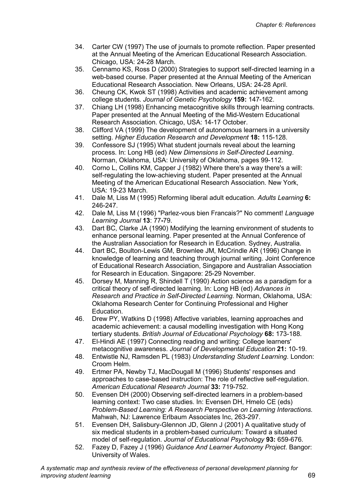- 34. Carter CW (1997) The use of journals to promote reflection. Paper presented at the Annual Meeting of the American Educational Research Association. Chicago, USA: 24-28 March.
- 35. Cennamo KS, Ross D (2000) Strategies to support self-directed learning in a web-based course. Paper presented at the Annual Meeting of the American Educational Research Association. New Orleans, USA: 24-28 April.
- 36. Cheung CK, Kwok ST (1998) Activities and academic achievement among college students. *Journal of Genetic Psychology* **159:** 147-162.
- 37. Chiang LH (1998) Enhancing metacognitive skills through learning contracts. Paper presented at the Annual Meeting of the Mid-Western Educational Research Association. Chicago, USA: 14-17 October.
- 38. Clifford VA (1999) The development of autonomous learners in a university setting. *Higher Education Research and Development* **18:** 115-128.
- 39. Confessore SJ (1995) What student journals reveal about the learning process. In: Long HB (ed) *New Dimensions in Self-Directed Learning*. Norman, Oklahoma, USA: University of Oklahoma, pages 99-112.
- 40. Corno L, Collins KM, Capper J (1982) Where there's a way there's a will: self-regulating the low-achieving student. Paper presented at the Annual Meeting of the American Educational Research Association. New York, USA: 19-23 March.
- 41. Dale M, Liss M (1995) Reforming liberal adult education. *Adults Learning* **6:**  246-247.
- 42. Dale M, Liss M (1996) "Parlez-vous bien Francais?" No comment! *Language Learning Journal* **13**: 77**-**79.
- 43. Dart BC, Clarke JA (1990) Modifying the learning environment of students to enhance personal learning. Paper presented at the Annual Conference of the Australian Association for Research in Education. Sydney, Australia.
- 44. Dart BC, Boulton-Lewis GM, Brownlee JM, McCrindle AR (1996) Change in knowledge of learning and teaching through journal writing. Joint Conference of Educational Research Association, Singapore and Australian Association for Research in Education. Singapore: 25-29 November.
- 45. Dorsey M, Manning R, Shindell T (1990) Action science as a paradigm for a critical theory of self-directed learning. In: Long HB (ed) *Advances in Research and Practice in Self-Directed Learning.* Norman, Oklahoma, USA: Oklahoma Research Center for Continuing Professional and Higher Education.
- 46. Drew PY, Watkins D (1998) Affective variables, learning approaches and academic achievement: a causal modelling investigation with Hong Kong tertiary students. *British Journal of Educational Psychology* **68:** 173-188.
- 47. El-Hindi AE (1997) Connecting reading and writing: College learners' metacognitive awareness. *Journal of Developmental Education* **21:** 10-19.
- 48. Entwistle NJ, Ramsden PL (1983) *Understanding Student Learning*. London: Croom Helm.
- 49. Ertmer PA, Newby TJ, MacDougall M (1996) Students' responses and approaches to case-based instruction: The role of reflective self-regulation. *American Educational Research Journal* **33:** 719-752.
- 50. Evensen DH (2000) Observing self-directed learners in a problem-based learning context: Two case studies. In: Evensen DH, Hmelo CE (eds) *Problem-Based Learning: A Research Perspective on Learning Interactions.*  Mahwah, NJ: Lawrence Erlbaum Associates Inc, 263-297.
- 51. Evensen DH, Salisbury-Glennon JD, Glenn J (2001) A qualitative study of six medical students in a problem-based curriculum: Toward a situated model of self-regulation. *Journal of Educational Psychology* **93:** 659-676.
- 52. Fazey D, Fazey J (1996) *Guidance And Learner Autonomy Project*. Bangor: University of Wales.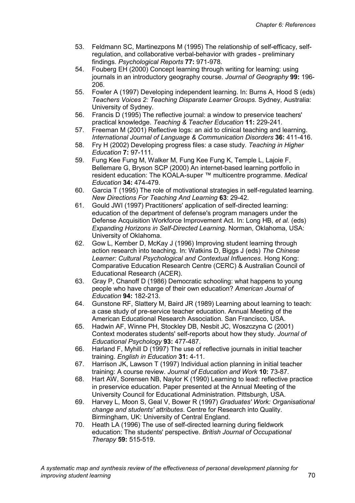- 53. Feldmann SC, Martinezpons M (1995) The relationship of self-efficacy, selfregulation, and collaborative verbal-behavior with grades - preliminary findings. *Psychological Reports* **77:** 971-978.
- 54. Fouberg EH (2000) Concept learning through writing for learning: using journals in an introductory geography course. *Journal of Geography* **99:** 196- 206.
- 55. Fowler A (1997) Developing independent learning. In: Burns A, Hood S (eds) *Teachers Voices 2: Teaching Disparate Learner Groups.* Sydney, Australia: University of Sydney.
- 56. Francis D (1995) The reflective journal: a window to preservice teachers' practical knowledge. *Teaching & Teacher Education* **11:** 229-241.
- 57. Freeman M (2001) Reflective logs: an aid to clinical teaching and learning. *International Journal of Language & Communication Disorders* **36:** 411-416.
- 58. Fry H (2002) Developing progress files: a case study. *Teaching in Higher Education* **7:** 97-111.
- 59. Fung Kee Fung M, Walker M, Fung Kee Fung K, Temple L, Lajoie F, Bellemare G, Bryson SCP (2000) An internet-based learning portfolio in resident education: The KOALA-super ™ multicentre programme. *Medical Education* **34:** 474-479.
- 60. Garcia T (1995) The role of motivational strategies in self-regulated learning. *New Directions For Teaching And Learning* **63**: 29-42.
- 61. Gould JWI (1997) Practitioners' application of self-directed learning: education of the department of defense's program managers under the Defense Acquisition Workforce Improvement Act. In: Long HB, *et al*. (eds) *Expanding Horizons in Self-Directed Learning.* Norman, Oklahoma, USA: University of Oklahoma.
- 62. Gow L, Kember D, McKay J (1996) Improving student learning through action research into teaching. In: Watkins D, Biggs J (eds) *The Chinese*  Learner: Cultural Psychological and Contextual Influences. Hong Kong: Comparative Education Research Centre (CERC) & Australian Council of Educational Research (ACER).
- 63. Gray P, Chanoff D (1986) Democratic schooling: what happens to young people who have charge of their own education? *American Journal of Education* **94:** 182-213.
- 64. Gunstone RF, Slattery M, Baird JR (1989) Learning about learning to teach: a case study of pre-service teacher education. Annual Meeting of the American Educational Research Association. San Francisco, USA.
- 65. Hadwin AF, Winne PH, Stockley DB, Nesbit JC, Woszczyna C (2001) Context moderates students' self-reports about how they study. *Journal of Educational Psychology* **93:** 477-487.
- 66. Harland F, Myhill D (1997) The use of reflective journals in initial teacher training. *English in Education* **31:** 4-11.
- 67. Harrison JK, Lawson T (1997) Individual action planning in initial teacher training: A course review. *Journal of Education and Work* **10:** 73-87.
- 68. Hart AW, Sorensen NB, Naylor K (1990) Learning to lead: reflective practice in preservice education. Paper presented at the Annual Meeting of the University Council for Educational Administration. Pittsburgh, USA.
- 69. Harvey L, Moon S, Geal V, Bower R (1997) *Graduates' Work: Organisational change and students' attributes*. Centre for Research into Quality. Birmingham, UK: University of Central England.
- 70. Heath LA (1996) The use of self-directed learning during fieldwork education: The students' perspective. *British Journal of Occupational Therapy* **59:** 515-519.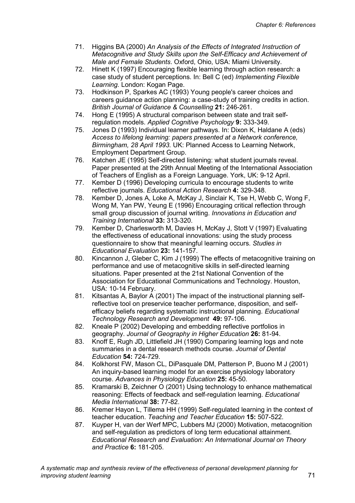- 71. Higgins BA (2000) *An Analysis of the Effects of Integrated Instruction of Metacognitive and Study Skills upon the Self-Efficacy and Achievement of Male and Female Students*. Oxford, Ohio, USA: Miami University.
- 72. Hinett K (1997) Encouraging flexible learning through action research: a case study of student perceptions. In: Bell C (ed) *Implementing Flexible Learning.* London: Kogan Page.
- 73. Hodkinson P, Sparkes AC (1993) Young people's career choices and careers guidance action planning: a case-study of training credits in action. *British Journal of Guidance & Counselling* **21:** 246-261.
- 74. Hong E (1995) A structural comparison between state and trait selfregulation models. *Applied Cognitive Psychology* **9:** 333-349.
- 75. Jones D (1993) Individual learner pathways. In: Dixon K, Haldane A (eds) *Access to lifelong learning: papers presented at a Network conference, Birmingham, 28 April 1993.* UK: Planned Access to Learning Network, Employment Department Group.
- 76. Katchen JE (1995) Self-directed listening: what student journals reveal. Paper presented at the 29th Annual Meeting of the International Association of Teachers of English as a Foreign Language. York, UK: 9-12 April.
- 77. Kember D (1996) Developing curricula to encourage students to write reflective journals. *Educational Action Research* **4:** 329-348.
- 78. Kember D, Jones A, Loke A, McKay J, Sinclair K, Tse H, Webb C, Wong F, Wong M, Yan PW, Yeung E (1996) Encouraging critical reflection through small group discussion of journal writing. *Innovations in Education and Training International* **33:** 313-320.
- 79. Kember D, Charlesworth M, Davies H, McKay J, Stott V (1997) Evaluating the effectiveness of educational innovations: using the study process questionnaire to show that meaningful learning occurs. *Studies in Educational Evaluation* **23:** 141-157.
- 80. Kincannon J, Gleber C, Kim J (1999) The effects of metacognitive training on performance and use of metacognitive skills in self-directed learning situations. Paper presented at the 21st National Convention of the Association for Educational Communications and Technology. Houston, USA: 10-14 February.
- 81. Kitsantas A, Baylor A (2001) The impact of the instructional planning selfreflective tool on preservice teacher performance, disposition, and selfefficacy beliefs regarding systematic instructional planning. *Educational Technology Research and Development* **49:** 97-106.
- 82. Kneale P (2002) Developing and embedding reflective portfolios in geography. *Journal of Geography in Higher Education* **26:** 81-94.
- 83. Knoff E, Rugh JD, Littlefield JH (1990) Comparing learning logs and note summaries in a dental research methods course. *Journal of Dental Education* **54:** 724-729.
- 84. Kolkhorst FW, Mason CL, DiPasquale DM, Patterson P, Buono M J (2001) An inquiry-based learning model for an exercise physiology laboratory course. *Advances in Physiology Education* **25:** 45-50.
- 85. Kramarski B, Zeichner O (2001) Using technology to enhance mathematical reasoning: Effects of feedback and self-regulation learning. *Educational Media International* **38:** 77-82.
- 86. Kremer Hayon L, Tillema HH (1999) Self-regulated learning in the context of teacher education. *Teaching and Teacher Education* **15:** 507-522.
- 87. Kuyper H, van der Werf MPC, Lubbers MJ (2000) Motivation, metacognition and self-regulation as predictors of long term educational attainment. *Educational Research and Evaluation: An International Journal on Theory and Practice* **6:** 181-205.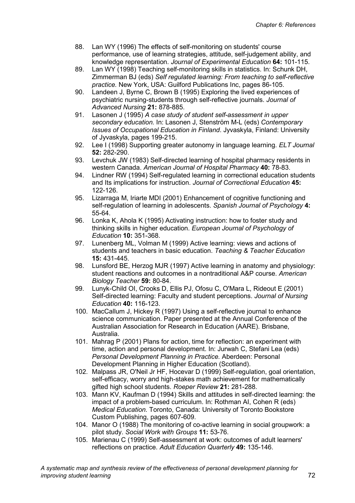- 88. Lan WY (1996) The effects of self-monitoring on students' course performance, use of learning strategies, attitude, self-judgement ability, and knowledge representation. *Journal of Experimental Education* **64:** 101-115.
- 89. Lan WY (1998) Teaching self-monitoring skills in statistics. In: Schunk DH, Zimmerman BJ (eds) *Self regulated learning: From teaching to self-reflective practice.* New York, USA: Guilford Publications Inc, pages 86-105.
- 90. Landeen J, Byrne C, Brown B (1995) Exploring the lived experiences of psychiatric nursing-students through self-reflective journals. *Journal of Advanced Nursing* **21:** 878-885.
- 91. Lasonen J (1995) *A case study of student self-assessment in upper secondary education.* In: Lasonen J, Stenström M-L (eds) *Contemporary Issues of Occupational Education in Finland*. Jyvaskyla, Finland: University of Jyvaskyla, pages 199-215.
- 92. Lee I (1998) Supporting greater autonomy in language learning. *ELT Journal* **52:** 282-290.
- 93. Levchuk JW (1983) Self-directed learning of hospital pharmacy residents in western Canada. *American Journal of Hospital Pharmacy* **40:** 78-83.
- 94. Lindner RW (1994) Self-regulated learning in correctional education students and Its implications for instruction. *Journal of Correctional Education* **45:**  122-126.
- 95. Lizarraga M, Iriarte MDI (2001) Enhancement of cognitive functioning and self-regulation of learning in adolescents. *Spanish Journal of Psychology* **4:**  55-64.
- 96. Lonka K, Ahola K (1995) Activating instruction: how to foster study and thinking skills in higher education. *European Journal of Psychology of Education* **10:** 351-368.
- 97. Lunenberg ML, Volman M (1999) Active learning: views and actions of students and teachers in basic education. *Teaching & Teacher Education* **15:** 431-445.
- 98. Lunsford BE, Herzog MJR (1997) Active learning in anatomy and physiology: student reactions and outcomes in a nontraditional A&P course. *American Biology Teacher* **59:** 80-84.
- 99. Lunyk-Child OI, Crooks D, Ellis PJ, Ofosu C, O'Mara L, Rideout E (2001) Self-directed learning: Faculty and student perceptions. *Journal of Nursing Education* **40:** 116-123.
- 100. MacCallum J, Hickey R (1997) Using a self-reflective journal to enhance science communication. Paper presented at the Annual Conference of the Australian Association for Research in Education (AARE). Brisbane, Australia.
- 101. Mahrag P (2001) Plans for action, time for reflection: an experiment with time, action and personal development. In: Jurwah C, Stefani Lea (eds) *Personal Development Planning in Practice.* Aberdeen: Personal Development Planning in Higher Education (Scotland).
- 102. Malpass JR, O'Neil Jr HF, Hocevar D (1999) Self-regulation, goal orientation, self-efficacy, worry and high-stakes math achievement for mathematically gifted high school students. *Roeper Review* **21:** 281-288.
- 103. Mann KV, Kaufman D (1994) Skills and attitudes in self-directed learning: the impact of a problem-based curriculum. In: Rothman AI, Cohen R (eds) *Medical Education.* Toronto, Canada: University of Toronto Bookstore Custom Publishing, pages 607-609.
- 104. Manor O (1988) The monitoring of co-active learning in social groupwork: a pilot study. *Social Work with Groups* **11:** 53-76.
- 105. Marienau C (1999) Self-assessment at work: outcomes of adult learners' reflections on practice. *Adult Education Quarterly* **49:** 135-146.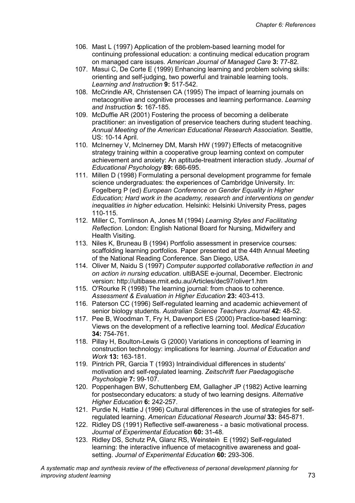- 106. Mast L (1997) Application of the problem-based learning model for continuing professional education: a continuing medical education program on managed care issues. *American Journal of Managed Care* **3:** 77-82.
- 107. Masui C, De Corte E (1999) Enhancing learning and problem solving skills: orienting and self-judging, two powerful and trainable learning tools. *Learning and Instruction* **9:** 517-542.
- 108. McCrindle AR, Christensen CA (1995) The impact of learning journals on metacognitive and cognitive processes and learning performance. *Learning and Instruction* **5:** 167-185.
- 109. McDuffie AR (2001) Fostering the process of becoming a deliberate practitioner: an investigation of preservice teachers during student teaching. *Annual Meeting of the American Educational Research Association.* Seattle, US: 10-14 April.
- 110. McInerney V, McInerney DM, Marsh HW (1997) Effects of metacognitive strategy training within a cooperative group learning context on computer achievement and anxiety: An aptitude-treatment interaction study. *Journal of Educational Psychology* **89:** 686-695.
- 111. Millen D (1998) Formulating a personal development programme for female science undergraduates: the experiences of Cambridge University. In: Fogelberg P (ed) *European Conference on Gender Equality in Higher Education; Hard work in the academy, research and interventions on gender inequalities in higher education.* Helsinki: Helsinki University Press, pages 110-115.
- 112. Miller C, Tomlinson A, Jones M (1994) *Learning Styles and Facilitating Reflection*. London: English National Board for Nursing, Midwifery and Health Visiting.
- 113. Niles K, Bruneau B (1994) Portfolio assessment in preservice courses: scaffolding learning portfolios. Paper presented at the 44th Annual Meeting of the National Reading Conference. San Diego, USA.
- 114. Oliver M, Naidu S (1997) *Computer supported collaborative reflection in and on action in nursing education*. ultiBASE e-journal, December. Electronic version: http://ultibase.rmit.edu.au/Articles/dec97/oliver1.htm
- 115. O'Rourke R (1998) The learning journal: from chaos to coherence. *Assessment & Evaluation in Higher Education* **23:** 403-413.
- 116. Paterson CC (1996) Self-regulated learning and academic achievement of senior biology students. *Australian Science Teachers Journal* **42:** 48-52.
- 117. Pee B, Woodman T, Fry H, Davenport ES (2000) Practice-based learning: Views on the development of a reflective learning tool. *Medical Education* **34:** 754-761.
- 118. Pillay H, Boulton-Lewis G (2000) Variations in conceptions of learning in construction technology: implications for learning. *Journal of Education and Work* **13:** 163-181.
- 119. Pintrich PR, Garcia T (1993) Intraindividual differences in students' motivation and self-regulated learning. *Zeitschrift fuer Paedagogische Psychologie* **7:** 99-107.
- 120. Poppenhagen BW, Schuttenberg EM, Gallagher JP (1982) Active learning for postsecondary educators: a study of two learning designs. *Alternative Higher Education* **6:** 242-257.
- 121. Purdie N, Hattie J (1996) Cultural differences in the use of strategies for selfregulated learning. *American Educational Research Journal* **33:** 845-871.
- 122. Ridley DS (1991) Reflective self-awareness a basic motivational process. *Journal of Experimental Education* **60:** 31-48.
- 123. Ridley DS, Schutz PA, Glanz RS, Weinstein E (1992) Self-regulated learning: the interactive influence of metacognitive awareness and goalsetting. *Journal of Experimental Education* **60:** 293-306.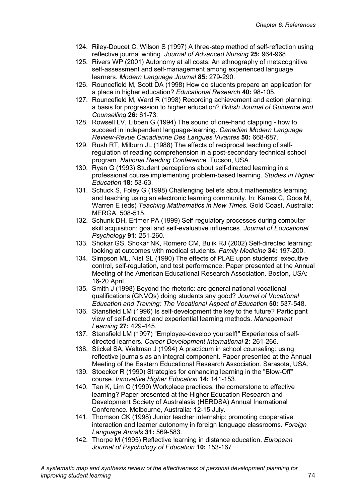- 124. Riley-Doucet C, Wilson S (1997) A three-step method of self-reflection using reflective journal writing. *Journal of Advanced Nursing* **25:** 964-968.
- 125. Rivers WP (2001) Autonomy at all costs: An ethnography of metacognitive self-assessment and self-management among experienced language learners. *Modern Language Journal* **85:** 279-290.
- 126. Rouncefield M, Scott DA (1998) How do students prepare an application for a place in higher education? *Educational Research* **40:** 98-105.
- 127. Rouncefield M, Ward R (1998) Recording achievement and action planning: a basis for progression to higher education? *British Journal of Guidance and Counselling* **26:** 61-73.
- 128. Rowsell LV, Libben G (1994) The sound of one-hand clapping how to succeed in independent language-learning. *Canadian Modern Language Review-Revue Canadienne Des Langues Vivantes* **50:** 668-687.
- 129. Rush RT, Milburn JL (1988) The effects of reciprocal teaching of selfregulation of reading comprehension in a post-secondary technical school program. *National Reading Conference.* Tucson, USA.
- 130. Ryan G (1993) Student perceptions about self-directed learning in a professional course implementing problem-based learning. *Studies in Higher Education* **18:** 53-63.
- 131. Schuck S, Foley G (1998) Challenging beliefs about mathematics learning and teaching using an electronic learning community. In: Kanes C, Goos M, Warren E (eds) *Teaching Mathematics in New Times.* Gold Coast, Australia: MERGA, 508-515.
- 132. Schunk DH, Ertmer PA (1999) Self-regulatory processes during computer skill acquisition: goal and self-evaluative influences. *Journal of Educational Psychology* **91:** 251-260.
- 133. Shokar GS, Shokar NK, Romero CM, Bulik RJ (2002) Self-directed learning: looking at outcomes with medical students. *Family Medicine* **34:** 197-200.
- 134. Simpson ML, Nist SL (1990) The effects of PLAE upon students' executive control, self-regulation, and test performance. Paper presented at the Annual Meeting of the American Educational Research Association. Boston, USA: 16-20 April.
- 135. Smith J (1998) Beyond the rhetoric: are general national vocational qualifications (GNVQs) doing students any good? *Journal of Vocational Education and Training: The Vocational Aspect of Education* **50:** 537-548.
- 136. Stansfield LM (1996) Is self-development the key to the future? Participant view of self-directed and experiential learning methods. *Management Learning* **27:** 429-445.
- 137. Stansfield LM (1997) "Employee-develop yourself!" Experiences of selfdirected learners. *Career Development International* **2:** 261-266.
- 138. Stickel SA, Waltman J (1994) A practicum in school counseling: using reflective journals as an integral component. Paper presented at the Annual Meeting of the Eastern Educational Research Association*.* Sarasota, USA.
- 139. Stoecker R (1990) Strategies for enhancing learning in the "Blow-Off" course. *Innovative Higher Education* **14:** 141-153.
- 140. Tan K, Lim C (1999) Workplace practices: the cornerstone to effective learning? Paper presented at the Higher Education Research and Development Society of Australasia (HERDSA) Annual Inernational Conference*.* Melbourne, Australia: 12-15 July.
- 141. Thomson CK (1998) Junior teacher internship: promoting cooperative interaction and learner autonomy in foreign language classrooms. *Foreign Language Annals* **31:** 569-583.
- 142. Thorpe M (1995) Reflective learning in distance education. *European Journal of Psychology of Education* **10:** 153-167.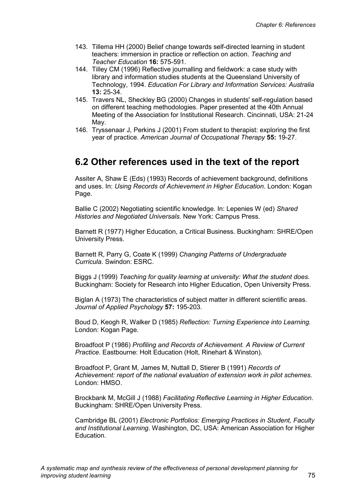- 143. Tillema HH (2000) Belief change towards self-directed learning in student teachers: immersion in practice or reflection on action. *Teaching and Teacher Education* **16:** 575-591.
- 144. Tilley CM (1996) Reflective journalling and fieldwork: a case study with library and information studies students at the Queensland University of Technology, 1994. *Education For Library and Information Services: Australia* **13:** 25-34.
- 145. Travers NL, Sheckley BG (2000) Changes in students' self-regulation based on different teaching methodologies. Paper presented at the 40th Annual Meeting of the Association for Institutional Research. Cincinnati, USA: 21-24 May.
- 146. Tryssenaar J, Perkins J (2001) From student to therapist: exploring the first year of practice. *American Journal of Occupational Therapy* **55:** 19-27.

# **6.2 Other references used in the text of the report**

Assiter A, Shaw E (Eds) (1993) Records of achievement background, definitions and uses. In: *Using Records of Achievement in Higher Education*. London: Kogan Page.

Ballie C (2002) Negotiating scientific knowledge. In: Lepenies W (ed) *Shared Histories and Negotiated Universals.* New York: Campus Press.

Barnett R (1977) Higher Education, a Critical Business. Buckingham: SHRE/Open University Press.

Barnett R, Parry G, Coate K (1999) *Changing Patterns of Undergraduate Curricula*. Swindon: ESRC.

Biggs J (1999) *Teaching for quality learning at university: What the student does*. Buckingham: Society for Research into Higher Education, Open University Press.

Biglan A (1973) The characteristics of subject matter in different scientific areas. *Journal of Applied Psychology* **57:** 195-203.

Boud D, Keogh R, Walker D (1985) *Reflection: Turning Experience into Learning.*  London: Kogan Page.

Broadfoot P (1986) *Profiling and Records of Achievement. A Review of Current Practice*. Eastbourne: Holt Education (Holt, Rinehart & Winston).

Broadfoot P, Grant M, James M, Nuttall D, Stierer B (1991) *Records of Achievement: report of the national evaluation of extension work in pilot schemes.* London: HMSO.

Brockbank M, McGill J (1988) *Facilitating Reflective Learning in Higher Education*. Buckingham: SHRE/Open University Press.

Cambridge BL (2001) *Electronic Portfolios: Emerging Practices in Student, Faculty and Institutional Learning*. Washington, DC, USA: American Association for Higher Education.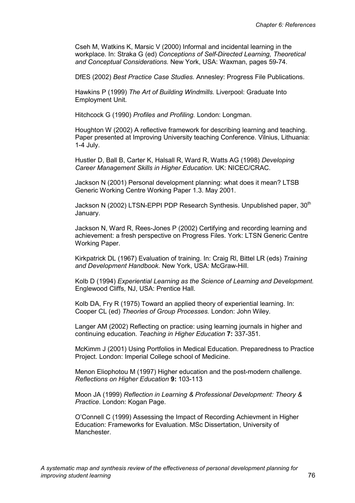Cseh M, Watkins K, Marsic V (2000) Informal and incidental learning in the workplace. In: Straka G (ed) *Conceptions of Self-Directed Learning, Theoretical and Conceptual Considerations.* New York, USA: Waxman, pages 59-74.

DfES (2002) *Best Practice Case Studies.* Annesley: Progress File Publications.

Hawkins P (1999) *The Art of Building Windmills.* Liverpool: Graduate Into Employment Unit.

Hitchcock G (1990) *Profiles and Profiling.* London: Longman.

Houghton W (2002) A reflective framework for describing learning and teaching. Paper presented at Improving University teaching Conference. Vilnius, Lithuania: 1-4 July.

Hustler D, Ball B, Carter K, Halsall R, Ward R, Watts AG (1998) *Developing Career Management Skills in Higher Education*. UK: NICEC/CRAC.

Jackson N (2001) Personal development planning: what does it mean? LTSB Generic Working Centre Working Paper 1.3. May 2001.

Jackson N (2002) LTSN-EPPI PDP Research Synthesis. Unpublished paper, 30<sup>th</sup> January.

Jackson N, Ward R, Rees-Jones P (2002) Certifying and recording learning and achievement: a fresh perspective on Progress Files. York: LTSN Generic Centre Working Paper.

Kirkpatrick DL (1967) Evaluation of training. In: Craig Rl, Bittel LR (eds) *Training and Development Handbook*. New York, USA: McGraw-Hill.

Kolb D (1994) *Experiential Learning as the Science of Learning and Development.*  Englewood Cliffs, NJ, USA: Prentice Hall.

Kolb DA, Fry R (1975) Toward an applied theory of experiential learning. In: Cooper CL (ed) *Theories of Group Processes*. London: John Wiley.

Langer AM (2002) Reflecting on practice: using learning journals in higher and continuing education. *Teaching in Higher Education* **7:** 337-351.

McKimm J (2001) Using Portfolios in Medical Education. Preparedness to Practice Project. London: Imperial College school of Medicine.

Menon Eliophotou M (1997) Higher education and the post-modern challenge. *Reflections on Higher Education* **9:** 103-113

Moon JA (1999) *Reflection in Learning & Professional Development: Theory & Practice*. London: Kogan Page.

O'Connell C (1999) Assessing the Impact of Recording Achievment in Higher Education: Frameworks for Evaluation. MSc Dissertation, University of Manchester.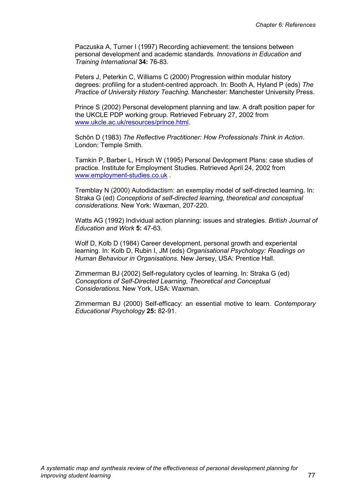Paczuska A, Turner I (1997) Recording achievement: the tensions between personal development and academic standards*. Innovations in Education and Training International* **34:** 76-83.

Peters J, Peterkin C, Williams C (2000) Progression within modular history degrees: profiling for a student-centred approach. In: Booth A, Hyland P (eds) *The Practice of University History Teaching.* Manchester: Manchester University Press.

Prince S (2002) Personal development planning and law. A draft position paper for the UKCLE PDP working group. Retrieved February 27, 2002 from www.ukcle.ac.uk/resources/prince.html.

Schön D (1983) *The Reflective Practitioner: How Professionals Think in Action*. London: Temple Smith.

Tamkin P, Barber L, Hirsch W (1995) Personal Devlopment Plans: case studies of practice. Institute for Employment Studies. Retrieved April 24, 2002 from www.employment-studies.co.uk .

Tremblay N (2000) Autodidactism: an exemplay model of self-directed learning. In: Straka G (ed) *Conceptions of self-directed learning, theoretical and conceptual considerations.* New York: Waxman, 207-220.

Watts AG (1992) Individual action planning: issues and strategies. *British Journal of Education and Work* **5:** 47-63.

Wolf D, Kolb D (1984) Career development, personal growth and experiental learning. In: Kolb D, Rubin I, JM (eds) *Organisational Psychology: Readings on Human Behaviour in Organisations.* New Jersey, USA: Prentice Hall.

Zimmerman BJ (2002) Self-regulatory cycles of learning. In: Straka G (ed) *Conceptions of Self-Directed Learning, Theoretical and Conceptual Considerations.* New York, USA: Waxman.

Zimmerman BJ (2000) Self-efficacy: an essential motive to learn. *Contemporary Educational Psychology* **25:** 82-91.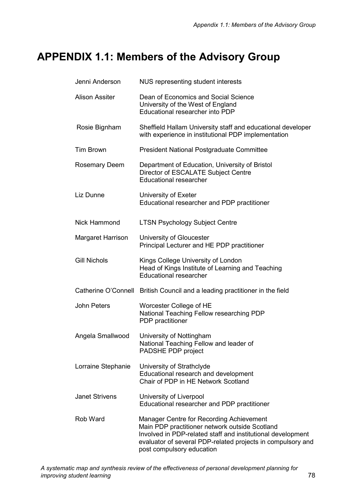# **APPENDIX 1.1: Members of the Advisory Group**

| Jenni Anderson        | NUS representing student interests                                                                                                                                                                                                                    |
|-----------------------|-------------------------------------------------------------------------------------------------------------------------------------------------------------------------------------------------------------------------------------------------------|
| <b>Alison Assiter</b> | Dean of Economics and Social Science<br>University of the West of England<br>Educational researcher into PDP                                                                                                                                          |
| Rosie Bignham         | Sheffield Hallam University staff and educational developer<br>with experience in institutional PDP implementation                                                                                                                                    |
| <b>Tim Brown</b>      | <b>President National Postgraduate Committee</b>                                                                                                                                                                                                      |
| <b>Rosemary Deem</b>  | Department of Education, University of Bristol<br>Director of ESCALATE Subject Centre<br><b>Educational researcher</b>                                                                                                                                |
| Liz Dunne             | University of Exeter<br>Educational researcher and PDP practitioner                                                                                                                                                                                   |
| Nick Hammond          | <b>LTSN Psychology Subject Centre</b>                                                                                                                                                                                                                 |
| Margaret Harrison     | University of Gloucester<br>Principal Lecturer and HE PDP practitioner                                                                                                                                                                                |
| <b>Gill Nichols</b>   | Kings College University of London<br>Head of Kings Institute of Learning and Teaching<br><b>Educational researcher</b>                                                                                                                               |
| Catherine O'Connell   | British Council and a leading practitioner in the field                                                                                                                                                                                               |
| <b>John Peters</b>    | Worcester College of HE<br>National Teaching Fellow researching PDP<br>PDP practitioner                                                                                                                                                               |
| Angela Smallwood      | University of Nottingham<br>National Teaching Fellow and leader of<br>PADSHE PDP project                                                                                                                                                              |
| Lorraine Stephanie    | University of Strathclyde<br>Educational research and development<br>Chair of PDP in HE Network Scotland                                                                                                                                              |
| <b>Janet Strivens</b> | University of Liverpool<br>Educational researcher and PDP practitioner                                                                                                                                                                                |
| Rob Ward              | Manager Centre for Recording Achievement<br>Main PDP practitioner network outside Scotland<br>Involved in PDP-related staff and institutional development<br>evaluator of several PDP-related projects in compulsory and<br>post compulsory education |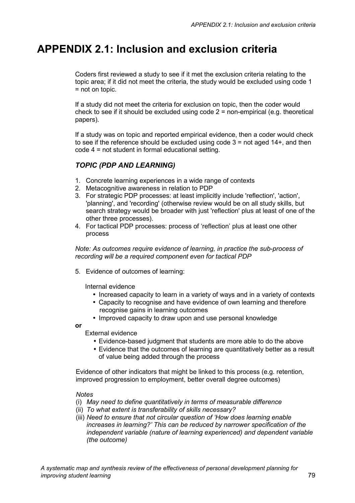# **APPENDIX 2.1: Inclusion and exclusion criteria**

Coders first reviewed a study to see if it met the exclusion criteria relating to the topic area; if it did not meet the criteria, the study would be excluded using code 1 = not on topic.

If a study did not meet the criteria for exclusion on topic, then the coder would check to see if it should be excluded using code  $2 =$  non-empirical (e.g. theoretical papers).

If a study was on topic and reported empirical evidence, then a coder would check to see if the reference should be excluded using code  $3 =$  not aged  $14 +$ , and then code 4 = not student in formal educational setting.

# *TOPIC (PDP AND LEARNING)*

- 1. Concrete learning experiences in a wide range of contexts
- 2. Metacognitive awareness in relation to PDP
- 3. For strategic PDP processes: at least implicitly include 'reflection', 'action', 'planning', and 'recording' (otherwise review would be on all study skills, but search strategy would be broader with just 'reflection' plus at least of one of the other three processes).
- 4. For tactical PDP processes: process of 'reflection' plus at least one other process

*Note: As outcomes require evidence of learning, in practice the sub-process of recording will be a required component even for tactical PDP* 

5. Evidence of outcomes of learning:

Internal evidence

- Increased capacity to learn in a variety of ways and in a variety of contexts
- Capacity to recognise and have evidence of own learning and therefore recognise gains in learning outcomes
- Improved capacity to draw upon and use personal knowledge

**or** 

External evidence

- Evidence-based judgment that students are more able to do the above
- Evidence that the outcomes of learning are quantitatively better as a result of value being added through the process

Evidence of other indicators that might be linked to this process (e.g. retention, improved progression to employment, better overall degree outcomes)

### *Notes*

- (i) *May need to define quantitatively in terms of measurable difference*
- (ii) *To what extent is transferability of skills necessary?*
- (iii) *Need to ensure that not circular question of 'How does learning enable increases in learning?' This can be reduced by narrower specification of the independent variable (nature of learning experienced) and dependent variable (the outcome)*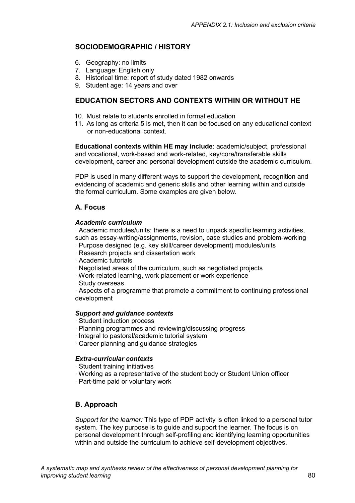# **SOCIODEMOGRAPHIC / HISTORY**

- 6. Geography: no limits
- 7. Language: English only
- 8. Historical time: report of study dated 1982 onwards
- 9. Student age: 14 years and over

## **EDUCATION SECTORS AND CONTEXTS WITHIN OR WITHOUT HE**

- 10. Must relate to students enrolled in formal education
- 11. As long as criteria 5 is met, then it can be focused on any educational context or non-educational context.

**Educational contexts within HE may include**: academic/subject, professional and vocational, work-based and work-related, key/core/transferable skills development, career and personal development outside the academic curriculum.

PDP is used in many different ways to support the development, recognition and evidencing of academic and generic skills and other learning within and outside the formal curriculum. Some examples are given below.

## **A. Focus**

#### *Academic curriculum*

· Academic modules/units: there is a need to unpack specific learning activities, such as essay-writing/assignments, revision, case studies and problem-working

- · Purpose designed (e.g. key skill/career development) modules/units
- · Research projects and dissertation work
- · Academic tutorials
- · Negotiated areas of the curriculum, such as negotiated projects
- · Work-related learning, work placement or work experience
- · Study overseas

· Aspects of a programme that promote a commitment to continuing professional development

#### *Support and guidance contexts*

- · Student induction process
- · Planning programmes and reviewing/discussing progress
- · Integral to pastoral/academic tutorial system
- · Career planning and guidance strategies

### *Extra-curricular contexts*

- · Student training initiatives
- · Working as a representative of the student body or Student Union officer
- · Part-time paid or voluntary work

## **B. Approach**

*Support for the learner:* This type of PDP activity is often linked to a personal tutor system. The key purpose is to guide and support the learner. The focus is on personal development through self-profiling and identifying learning opportunities within and outside the curriculum to achieve self-development objectives.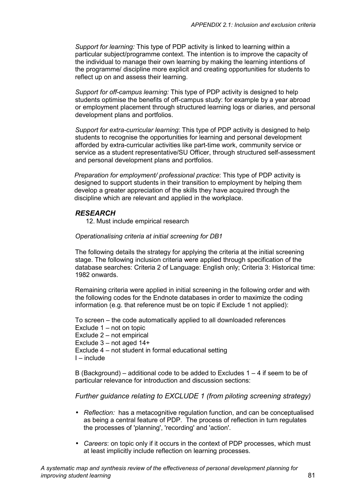*Support for learning:* This type of PDP activity is linked to learning within a particular subject/programme context. The intention is to improve the capacity of the individual to manage their own learning by making the learning intentions of the programme/ discipline more explicit and creating opportunities for students to reflect up on and assess their learning.

*Support for off-campus learning:* This type of PDP activity is designed to help students optimise the benefits of off-campus study: for example by a year abroad or employment placement through structured learning logs or diaries, and personal development plans and portfolios.

*Support for extra-curricular learning*: This type of PDP activity is designed to help students to recognise the opportunities for learning and personal development afforded by extra-curricular activities like part-time work, community service or service as a student representative/SU Officer, through structured self-assessment and personal development plans and portfolios.

*Preparation for employment/ professional practice*: This type of PDP activity is designed to support students in their transition to employment by helping them develop a greater appreciation of the skills they have acquired through the discipline which are relevant and applied in the workplace.

## *RESEARCH*

12. Must include empirical research

#### *Operationalising criteria at initial screening for DB1*

The following details the strategy for applying the criteria at the initial screening stage. The following inclusion criteria were applied through specification of the database searches: Criteria 2 of Language: English only; Criteria 3: Historical time: 1982 onwards.

Remaining criteria were applied in initial screening in the following order and with the following codes for the Endnote databases in order to maximize the coding information (e.g. that reference must be on topic if Exclude 1 not applied):

To screen – the code automatically applied to all downloaded references Exclude 1 – not on topic Exclude 2 – not empirical Exclude 3 – not aged 14+ Exclude 4 – not student in formal educational setting I – include

B (Background) – additional code to be added to Excludes  $1 - 4$  if seem to be of particular relevance for introduction and discussion sections:

*Further guidance relating to EXCLUDE 1 (from piloting screening strategy)* 

- *Reflection:* has a metacognitive regulation function, and can be conceptualised as being a central feature of PDP. The process of reflection in turn regulates the processes of 'planning', 'recording' and 'action'.
- *Careers*: on topic only if it occurs in the context of PDP processes, which must at least implicitly include reflection on learning processes.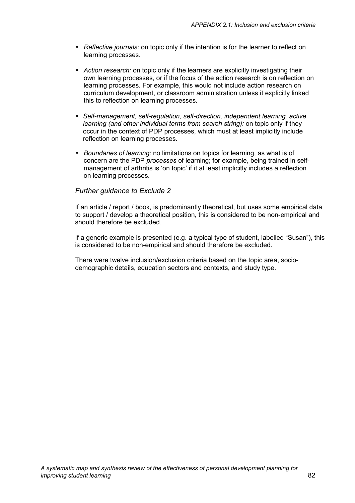- *Reflective journals*: on topic only if the intention is for the learner to reflect on learning processes.
- *Action research:* on topic only if the learners are explicitly investigating their own learning processes, or if the focus of the action research is on reflection on learning processes. For example, this would not include action research on curriculum development, or classroom administration unless it explicitly linked this to reflection on learning processes.
- *Self-management, self-regulation, self-direction, independent learning, active learning (and other individual terms from search string):* on topic only if they occur in the context of PDP processes, which must at least implicitly include reflection on learning processes.
- *Boundaries of learning:* no limitations on topics for learning, as what is of concern are the PDP *processes* of learning; for example, being trained in selfmanagement of arthritis is 'on topic' if it at least implicitly includes a reflection on learning processes.

### *Further guidance to Exclude 2*

If an article / report / book, is predominantly theoretical, but uses some empirical data to support / develop a theoretical position, this is considered to be non-empirical and should therefore be excluded.

If a generic example is presented (e.g. a typical type of student, labelled "Susan"), this is considered to be non-empirical and should therefore be excluded.

There were twelve inclusion/exclusion criteria based on the topic area, sociodemographic details, education sectors and contexts, and study type.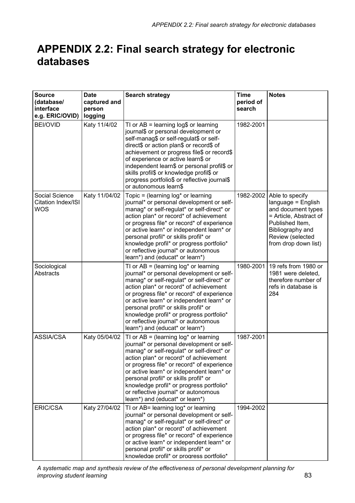# **APPENDIX 2.2: Final search strategy for electronic databases**

| <b>Source</b><br>(database/<br>interface<br>e.g. ERIC/OVID) | <b>Date</b><br>captured and<br>person<br>logging | <b>Search strategy</b>                                                                                                                                                                                                                                                                                                                                                                                                                   | <b>Time</b><br>period of<br>search | <b>Notes</b>                                                                                                                                                             |
|-------------------------------------------------------------|--------------------------------------------------|------------------------------------------------------------------------------------------------------------------------------------------------------------------------------------------------------------------------------------------------------------------------------------------------------------------------------------------------------------------------------------------------------------------------------------------|------------------------------------|--------------------------------------------------------------------------------------------------------------------------------------------------------------------------|
| <b>BEI/OVID</b>                                             | Katy 11/4/02                                     | TI or $AB = learning log$$ or learning<br>journal\$ or personal development or<br>self-manag\$ or self-regulat\$ or self-<br>direct\$ or action plan\$ or record\$ of<br>achievement or progress file\$ or record\$<br>of experience or active learn\$ or<br>independent learn\$ or personal profil\$ or<br>skills profil\$ or knowledge profil\$ or<br>progress portfolio\$ or reflective journal\$<br>or autonomous learn\$            | 1982-2001                          |                                                                                                                                                                          |
| Social Science<br>Citation Index/ISI<br>WOS                 | Katy 11/04/02                                    | Topic = (learning $log*$ or learning<br>journal* or personal development or self-<br>manag* or self-regulat* or self-direct* or<br>action plan* or record* of achievement<br>or progress file* or record* of experience<br>or active learn* or independent learn* or<br>personal profil* or skills profil* or<br>knowledge profil* or progress portfolio*<br>or reflective journal* or autonomous<br>learn*) and (educat* or learn*)     | 1982-2002                          | Able to specify<br>language = English<br>and document types<br>= Article, Abstract of<br>Published Item,<br>Bibliography and<br>Review (selected<br>from drop down list) |
| Sociological<br>Abstracts                                   |                                                  | TI or $AB = (learning log* or learning)$<br>journal* or personal development or self-<br>manag* or self-regulat* or self-direct* or<br>action plan* or record* of achievement<br>or progress file* or record* of experience<br>or active learn* or independent learn* or<br>personal profil* or skills profil* or<br>knowledge profil* or progress portfolio*<br>or reflective journal* or autonomous<br>learn*) and (educat* or learn*) | 1980-2001                          | 19 refs from 1980 or<br>1981 were deleted,<br>therefore number of<br>refs in database is<br>284                                                                          |
| <b>ASSIA/CSA</b>                                            | Katy 05/04/02                                    | TI or $AB = (learning log* or learning)$<br>journal* or personal development or self-<br>manag* or self-regulat* or self-direct* or<br>action plan* or record* of achievement<br>or progress file* or record* of experience<br>or active learn* or independent learn* or<br>personal profil* or skills profil* or<br>knowledge profil* or progress portfolio*<br>or reflective journal* or autonomous<br>learn*) and (educat* or learn*) | 1987-2001                          |                                                                                                                                                                          |
| ERIC/CSA                                                    | Katy 27/04/02                                    | TI or AB= learning log* or learning<br>journal* or personal development or self-<br>manag* or self-regulat* or self-direct* or<br>action plan* or record* of achievement<br>or progress file* or record* of experience<br>or active learn* or independent learn* or<br>personal profil* or skills profil* or<br>knowledge profil* or progress portfolio*                                                                                 | 1994-2002                          |                                                                                                                                                                          |

*A systematic map and synthesis review of the effectiveness of personal development planning for improving student learning* 83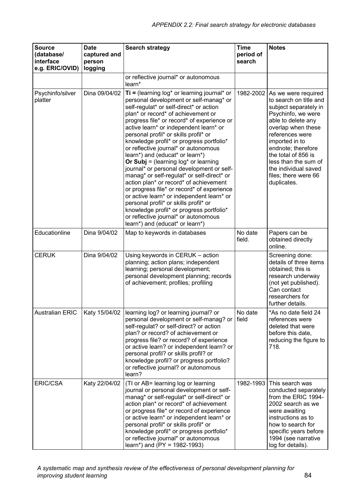| <b>Source</b><br>(database/<br>interface<br>e.g. ERIC/OVID) | <b>Date</b><br>captured and<br>person<br>logging | <b>Search strategy</b>                                                                                                                                                                                                                                                                                                                                                                                                                                                                                                                                                                                                                                                                                                                                                                                                                                                       | <b>Time</b><br>period of<br>search | <b>Notes</b>                                                                                                                                                                                                                                                                                                      |
|-------------------------------------------------------------|--------------------------------------------------|------------------------------------------------------------------------------------------------------------------------------------------------------------------------------------------------------------------------------------------------------------------------------------------------------------------------------------------------------------------------------------------------------------------------------------------------------------------------------------------------------------------------------------------------------------------------------------------------------------------------------------------------------------------------------------------------------------------------------------------------------------------------------------------------------------------------------------------------------------------------------|------------------------------------|-------------------------------------------------------------------------------------------------------------------------------------------------------------------------------------------------------------------------------------------------------------------------------------------------------------------|
|                                                             |                                                  | or reflective journal* or autonomous<br>learn*                                                                                                                                                                                                                                                                                                                                                                                                                                                                                                                                                                                                                                                                                                                                                                                                                               |                                    |                                                                                                                                                                                                                                                                                                                   |
| Psychinfo/silver<br>platter                                 | Dina 09/04/02                                    | $Ti = (learning log* or learning journal* or)$<br>personal development or self-manag* or<br>self-regulat* or self-direct* or action<br>plan* or record* of achievement or<br>progress file* or record* of experience or<br>active learn* or independent learn* or<br>personal profil* or skills profil* or<br>knowledge profil* or progress portfolio*<br>or reflective journal* or autonomous<br>learn*) and (educat* or learn*)<br>Or Subj = (learning $log^*$ or learning<br>journal* or personal development or self-<br>manag* or self-regulat* or self-direct* or<br>action plan* or record* of achievement<br>or progress file* or record* of experience<br>or active learn* or independent learn* or<br>personal profil* or skills profil* or<br>knowledge profil* or progress portfolio*<br>or reflective journal* or autonomous<br>learn*) and (educat* or learn*) | 1982-2002                          | As we were required<br>to search on title and<br>subject separately in<br>Psychinfo, we were<br>able to delete any<br>overlap when these<br>references were<br>imported in to<br>endnote; therefore<br>the total of 856 is<br>less than the sum of<br>the individual saved<br>files; there were 66<br>duplicates. |
| Educationline                                               | Dina 9/04/02                                     | Map to keywords in databases                                                                                                                                                                                                                                                                                                                                                                                                                                                                                                                                                                                                                                                                                                                                                                                                                                                 | No date<br>field.                  | Papers can be<br>obtained directly<br>online.                                                                                                                                                                                                                                                                     |
| <b>CERUK</b>                                                | Dina 9/04/02                                     | Using keywords in CERUK - action<br>planning; action plans; independent<br>learning; personal development;<br>personal development planning; records<br>of achievement; profiles; profiling                                                                                                                                                                                                                                                                                                                                                                                                                                                                                                                                                                                                                                                                                  |                                    | Screening done:<br>details of three items<br>obtained; this is<br>research underway<br>(not yet published).<br>Can contact<br>researchers for<br>further details.                                                                                                                                                 |
| <b>Australian ERIC</b>                                      | Katy 15/04/02                                    | learning log? or learning journal? or<br>personal development or self-manag? or<br>self-regulat? or self-direct? or action<br>plan? or record? of achievement or<br>progress file? or record? of experience<br>or active learn? or independent learn? or<br>personal profil? or skills profil? or<br>knowledge profil? or progress portfolio?<br>or reflective journal? or autonomous<br>learn?                                                                                                                                                                                                                                                                                                                                                                                                                                                                              | No date<br>field                   | *As no date field 24<br>references were<br>deleted that were<br>before this date,<br>reducing the figure to<br>718.                                                                                                                                                                                               |
| <b>ERIC/CSA</b>                                             | Katy 22/04/02                                    | (TI or AB= learning log or learning<br>journal or personal development or self-<br>manag* or self-regulat* or self-direct* or<br>action plan* or record* of achievement<br>or progress file* or record of experience<br>or active learn* or independent learn* or<br>personal profil* or skills profil* or<br>knowledge profil* or progress portfolio*<br>or reflective journal* or autonomous<br>learn*) and (PY = $1982-1993$ )                                                                                                                                                                                                                                                                                                                                                                                                                                            | 1982-1993                          | This search was<br>conducted separately<br>from the ERIC 1994-<br>2002 search as we<br>were awaiting<br>instructions as to<br>how to search for<br>specific years before<br>1994 (see narrative<br>log for details).                                                                                              |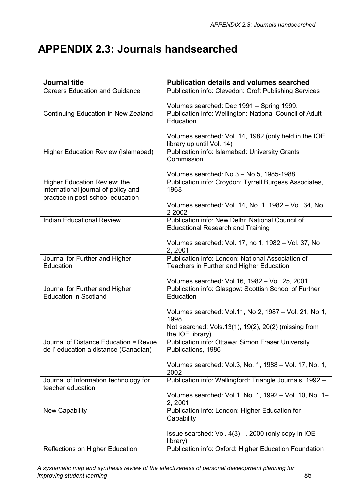# **APPENDIX 2.3: Journals handsearched**

| <b>Journal title</b>                                                     | <b>Publication details and volumes searched</b>                                                          |
|--------------------------------------------------------------------------|----------------------------------------------------------------------------------------------------------|
| <b>Careers Education and Guidance</b>                                    | Publication info: Clevedon: Croft Publishing Services                                                    |
|                                                                          | Volumes searched: Dec 1991 - Spring 1999.                                                                |
| Continuing Education in New Zealand                                      | Publication info: Wellington: National Council of Adult<br>Education                                     |
|                                                                          | Volumes searched: Vol. 14, 1982 (only held in the IOE<br>library up until Vol. 14)                       |
| <b>Higher Education Review (Islamabad)</b>                               | Publication info: Islamabad: University Grants<br>Commission<br>Volumes searched: No 3 - No 5, 1985-1988 |
| Higher Education Review: the                                             | Publication info: Croydon: Tyrrell Burgess Associates,                                                   |
| international journal of policy and<br>practice in post-school education | 1968-                                                                                                    |
|                                                                          | Volumes searched: Vol. 14, No. 1, 1982 - Vol. 34, No.<br>2 2002                                          |
| <b>Indian Educational Review</b>                                         | Publication info: New Delhi: National Council of                                                         |
|                                                                          | <b>Educational Research and Training</b>                                                                 |
|                                                                          | Volumes searched: Vol. 17, no 1, 1982 - Vol. 37, No.<br>2, 2001                                          |
| Journal for Further and Higher                                           | Publication info: London: National Association of                                                        |
| Education                                                                | Teachers in Further and Higher Education                                                                 |
|                                                                          | Volumes searched: Vol.16, 1982 - Vol. 25, 2001                                                           |
| Journal for Further and Higher<br><b>Education in Scotland</b>           | Publication info: Glasgow: Scottish School of Further<br>Education                                       |
|                                                                          | Volumes searched: Vol.11, No 2, 1987 - Vol. 21, No 1,<br>1998                                            |
|                                                                          | Not searched: Vols.13(1), 19(2), 20(2) (missing from<br>the IOE library)                                 |
| Journal of Distance Education = Revue                                    | Publication info: Ottawa: Simon Fraser University                                                        |
| de l'education a distance (Canadian)                                     | Publications, 1986-                                                                                      |
|                                                                          | Volumes searched: Vol.3, No. 1, 1988 - Vol. 17, No. 1,<br>2002                                           |
| Journal of Information technology for<br>teacher education               | Publication info: Wallingford: Triangle Journals, 1992 -                                                 |
|                                                                          | Volumes searched: Vol.1, No. 1, 1992 - Vol. 10, No. 1-<br>2, 2001                                        |
| New Capability                                                           | Publication info: London: Higher Education for<br>Capability                                             |
|                                                                          | Issue searched: Vol. 4(3) -, 2000 (only copy in IOE<br>library)                                          |
| Reflections on Higher Education                                          | Publication info: Oxford: Higher Education Foundation                                                    |

*A systematic map and synthesis review of the effectiveness of personal development planning for improving student learning* 85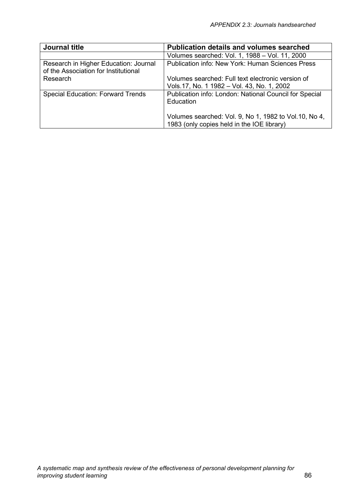| Journal title                                                                 | <b>Publication details and volumes searched</b>                                                      |
|-------------------------------------------------------------------------------|------------------------------------------------------------------------------------------------------|
|                                                                               | Volumes searched: Vol. 1, 1988 - Vol. 11, 2000                                                       |
| Research in Higher Education: Journal<br>of the Association for Institutional | Publication info: New York: Human Sciences Press                                                     |
| Research                                                                      | Volumes searched: Full text electronic version of                                                    |
|                                                                               | Vols.17, No. 1 1982 - Vol. 43, No. 1, 2002                                                           |
| <b>Special Education: Forward Trends</b>                                      | Publication info: London: National Council for Special<br>Education                                  |
|                                                                               | Volumes searched: Vol. 9, No 1, 1982 to Vol. 10, No 4,<br>1983 (only copies held in the IOE library) |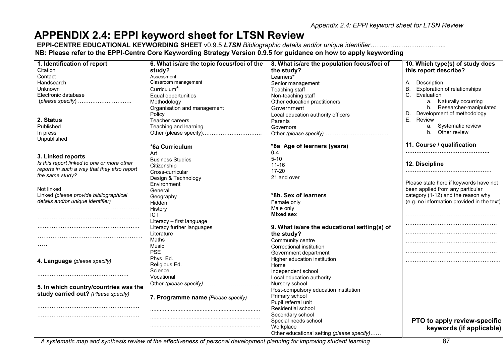*Appendix 2.4: EPPI keyword sheet for LTSN Review* 

# **APPENDIX 2.4: EPPI keyword sheet for LTSN Review**

 **EPPI-CENTRE EDUCATIONAL KEYWORDING SHEET** v0.9.5 *LTSN Bibliographic details and/or unique identifier……………………………..*  **NB: Please refer to the EPPI-Centre Core Keywording Strategy Version 0.9.5 for guidance on how to apply keywording** 

| 1. Identification of report                 | 6. What is/are the topic focus/foci of the | 8. What is/are the population focus/foci of  | 10. Which type(s) of study does            |
|---------------------------------------------|--------------------------------------------|----------------------------------------------|--------------------------------------------|
| Citation                                    | study?                                     | the study?                                   | this report describe?                      |
| Contact                                     | Assessment                                 | Learners*                                    |                                            |
| Handsearch                                  | Classroom management                       | Senior management                            | Description<br>А.                          |
| <b>Unknown</b>                              | Curriculum*                                | Teaching staff                               | <b>Exploration of relationships</b><br>В.  |
| Electronic database                         | Equal opportunities                        | Non-teaching staff                           | C. Evaluation                              |
|                                             | Methodology                                | Other education practitioners                | a. Naturally occurring                     |
|                                             | Organisation and management                | Government                                   | b. Researcher-manipulated                  |
|                                             | Policy                                     | Local education authority officers           | Development of methodology                 |
| 2. Status                                   | Teacher careers                            | Parents                                      | E.<br>Review                               |
| Published                                   | Teaching and learning                      | Governors                                    | a. Systematic review                       |
| In press                                    |                                            |                                              | b. Other review                            |
| Unpublished                                 |                                            |                                              |                                            |
|                                             | *6a Curriculum                             | *8a Age of learners (years)                  | 11. Course / qualification                 |
|                                             | Art                                        | $0 - 4$                                      |                                            |
| 3. Linked reports                           | <b>Business Studies</b>                    | $5 - 10$                                     |                                            |
| Is this report linked to one or more other  | Citizenship                                | $11 - 16$                                    | 12. Discipline                             |
| reports in such a way that they also report | Cross-curricular                           | 17-20                                        |                                            |
| the same study?                             | Design & Technology                        | 21 and over                                  |                                            |
|                                             | Environment                                |                                              | Please state here if keywords have not     |
| Not linked                                  | General                                    |                                              | been applied from any particular           |
| Linked (please provide bibliographical      | Geography                                  | *8b. Sex of learners                         | category (1-12) and the reason why         |
| details and/or unique identifier)           | Hidden                                     | Female only                                  | (e.g. no information provided in the text) |
|                                             | History                                    | Male only                                    |                                            |
|                                             | ICT                                        | <b>Mixed sex</b>                             |                                            |
|                                             | Literacy - first language                  |                                              |                                            |
|                                             | Literacy further languages                 | 9. What is/are the educational setting(s) of |                                            |
|                                             | Literature                                 | the study?                                   |                                            |
|                                             | <b>Maths</b>                               | Community centre                             |                                            |
| $\cdots$                                    | Music                                      | Correctional institution                     |                                            |
|                                             | <b>PSE</b>                                 | Government department                        |                                            |
| 4. Language (please specify)                | Phys. Ed.                                  | Higher education institution                 |                                            |
|                                             | Religious Ed.                              | Home                                         |                                            |
|                                             | Science                                    | Independent school                           |                                            |
|                                             | Vocational                                 | Local education authority                    |                                            |
|                                             | Other (please specify)                     | Nursery school                               |                                            |
| 5. In which country/countries was the       |                                            | Post-compulsory education institution        |                                            |
| study carried out? (Please specify)         | 7. Programme name (Please specify)         | Primary school                               |                                            |
|                                             |                                            | Pupil referral unit                          |                                            |
|                                             |                                            | Residential school                           |                                            |
|                                             |                                            | Secondary school                             |                                            |
|                                             |                                            | Special needs school                         | PTO to apply review-specific               |
|                                             |                                            | Workplace                                    | keywords (if applicable)                   |
|                                             |                                            | Other educational setting (please specify)   |                                            |

A systematic map and synthesis review of the effectiveness of personal development planning for improving student learning **87**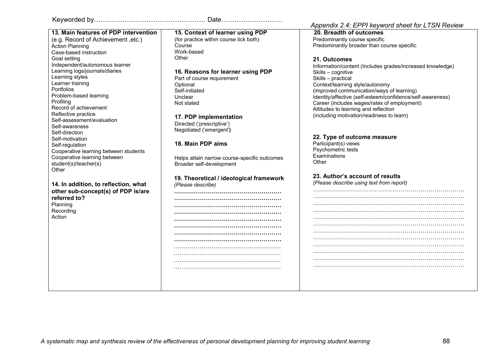Action Planning Case-based instruction

Learning styles Learner training Portfolios

Self-awareness Self-direction Self-motivation Self-regulation

Profiling

**Other** 

Problem-based learning

Record of achievement Reflective practice Self-assessment/evaluation

Goal setting

**13. Main features of PDP intervention**(e.g. Record of Achievement ,etc.)

Independent/autonomous learner Learning logs/journals/diaries

Cooperative learning between students

**14. In addition, to reflection, what other sub-concept(s) of PDP is/are** 

Cooperative learning between

student(s)/teacher(s)

**referred to?** Planning Recording Action

Keyworded by…………………………………………… Date……………………….

**15. Context of learner using PDP**  (for practice within course tick both) Course Work-based **Other** 

**16. Reasons for learner using PDP**  Part of course requirement **Optional** 

Self-initiated Unclear Not stated

**17. PDP implementation**  Directed ('prescriptive') Negotiated ('emergent'**)** 

#### **18. Main PDP aims**

Helps attain narrow course-specific outcomes Broader self-development

**19. Theoretical / ideological framework**  *(Please describe)* **………………………………………………** 

### *Appendix 2.4: EPPI keyword sheet for LTSN Review*

**20. Breadth of outcomes** Predominantly course specific Predominantly broader than course specific

#### **21. Outcomes**

Information/content (Includes grades/increased knowledge) Skills – cognitive Skills – practical Context/learning style/autonomy (improved communication/ways of learning) Identity/affective (self-esteem/confidence/self-awareness) Career (includes wages/rates of employment) Attitudes to learning and reflection (including motivation/readiness to learn)

#### **22. Type of outcome measure**

Participant(s) views Psychometric tests **Examinations Other** 

## **23. Author's account of results**

*(Please describe using text from report)* 

…………………………………………………………………. …………………………………………………………………. …………………………………………………………………. …………………………………………………………………. …………………………………………………………………. …………………………………………………………………. …………………………………………………………………. ………………………………………………………………….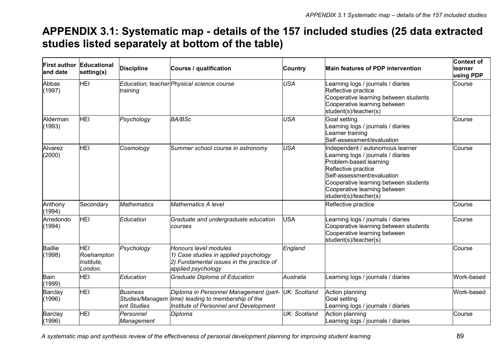# **APPENDIX 3.1: Systematic map - details of the 157 included studies (25 data extracted studies listed separately at bottom of the table)**

| <b>First author</b><br>and date | Educational<br>setting(s)                  | <b>Discipline</b>              | Course / qualification                                                                                                                 | <b>Country</b> | <b>Main features of PDP intervention</b>                                                                                                                                                                                                                | Context of<br>llearner<br>using PDP |
|---------------------------------|--------------------------------------------|--------------------------------|----------------------------------------------------------------------------------------------------------------------------------------|----------------|---------------------------------------------------------------------------------------------------------------------------------------------------------------------------------------------------------------------------------------------------------|-------------------------------------|
| Abbas<br>(1997)                 | <b>HEI</b>                                 | training                       | Education; teacher Physical science course                                                                                             | <b>USA</b>     | earning logs / journals / diaries<br>Reflective practice<br>Cooperative learning between students<br>Cooperative learning between<br>student(s)/teacher(s)                                                                                              | Course                              |
| Alderman<br>(1993)              | <b>HEI</b>                                 | Psychology                     | <b>BA/BSc</b>                                                                                                                          | <b>USA</b>     | <b>Goal setting</b><br>earning logs / journals / diaries<br>earner training<br>Self-assessment/evaluation                                                                                                                                               | Course                              |
| Alvarez<br>(2000)               | HEI                                        | Cosmology                      | Summer school course in astronomy                                                                                                      | <b>USA</b>     | Independent / autonomous learner<br>Learning logs / journals / diaries<br>Problem-based learning<br>Reflective practice<br>Self-assessment/evaluation<br>Cooperative learning between students<br>Cooperative learning between<br>student(s)/teacher(s) | Course                              |
| Anthony<br>(1994)               | Secondary                                  | <b>Mathematics</b>             | <b>Mathematics A level</b>                                                                                                             |                | Reflective practice                                                                                                                                                                                                                                     | Course                              |
| Arredondo<br>(1994)             | HEI                                        | Education                      | Graduate and undergraduate education<br>courses                                                                                        | USA            | earning logs / journals / diaries<br>Cooperative learning between students<br>Cooperative learning between<br>student(s)/teacher(s)                                                                                                                     | Course                              |
| <b>Baillie</b><br>(1998)        | HEI<br>Roehampton<br>Institute,<br>London. | Psychology                     | Honours level modules<br>1) Case studies in applied psychology<br>2) Fundamental issues in the practice of<br>applied psychology       | England        |                                                                                                                                                                                                                                                         | Course                              |
| Bain<br>(1999)                  | <b>HEI</b>                                 | Education                      | Graduate Diploma of Education                                                                                                          | Australia      | earning logs / journals / diaries                                                                                                                                                                                                                       | Work-based                          |
| Barclay<br>(1996)               | <b>HEI</b>                                 | <b>Business</b><br>ent Studies | Diploma in Personnel Management (part-<br>Studies/Managem time) leading to membership of the<br>Institute of Personnel and Development | UK: Scotland   | Action planning<br>Goal setting<br>Learning logs / journals / diaries                                                                                                                                                                                   | Work-based                          |
| Barclay<br>(1996)               | <b>HEI</b>                                 | Personnel<br>Management        | Diploma                                                                                                                                | UK: Scotland   | Action planning<br>Learning logs / journals / diaries                                                                                                                                                                                                   | Course                              |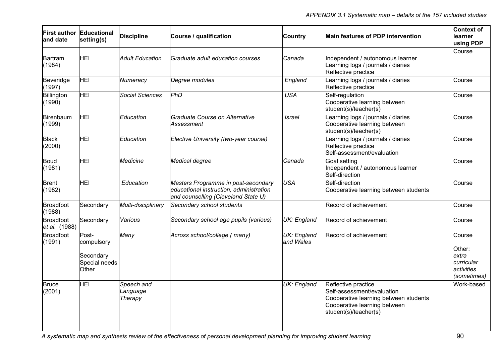| land date                  | <b>First author Educational</b><br>setting(s)              | <b>Discipline</b>                 | Course / qualification                                                                                                | <b>Country</b>                  | Main features of PDP intervention                                                                                                                   | Context of<br>learner<br>using PDP                                   |
|----------------------------|------------------------------------------------------------|-----------------------------------|-----------------------------------------------------------------------------------------------------------------------|---------------------------------|-----------------------------------------------------------------------------------------------------------------------------------------------------|----------------------------------------------------------------------|
| Bartram<br>(1984)          | HEI                                                        | <b>Adult Education</b>            | Graduate adult education courses                                                                                      | Canada                          | Independent / autonomous learner<br>Learning logs / journals / diaries<br>Reflective practice                                                       | Course                                                               |
| Beveridge<br>(1997)        | <b>HEI</b>                                                 | Numeracy                          | Degree modules                                                                                                        | England                         | Learning logs / journals / diaries<br>Reflective practice                                                                                           | Course                                                               |
| Billington<br>(1990)       | HEI                                                        | <b>Social Sciences</b>            | PhD                                                                                                                   | <b>USA</b>                      | Self-regulation<br>Cooperative learning between<br>student(s)/teacher(s)                                                                            | Course                                                               |
| Birenbaum<br>(1999)        | <b>HEI</b>                                                 | Education                         | Graduate Course on Alternative<br>Assessment                                                                          | <b>Israel</b>                   | Learning logs / journals / diaries<br>Cooperative learning between<br>student(s)/teacher(s)                                                         | Course                                                               |
| <b>Black</b><br>(2000)     | <b>HEI</b>                                                 | Education                         | Elective University (two-year course)                                                                                 |                                 | Learning logs / journals / diaries<br>Reflective practice<br>Self-assessment/evaluation                                                             | Course                                                               |
| Boud<br>(1981)             | <b>HEI</b>                                                 | <b>Medicine</b>                   | Medical degree                                                                                                        | Canada                          | Goal setting<br>Independent / autonomous learner<br>Self-direction                                                                                  | Course                                                               |
| <b>Brent</b><br>(1982)     | HEI                                                        | Education                         | Masters Programme in post-secondary<br>educational instruction, administration<br>and counselling (Cleveland State U) | <b>USA</b>                      | Self-direction<br>Cooperative learning between students                                                                                             | Course                                                               |
| <b>Broadfoot</b><br>(1988) | Secondary                                                  | Multi-disciplinary                | Secondary school students                                                                                             |                                 | Record of achievement                                                                                                                               | Course                                                               |
| Broadfoot<br>et al. (1988) | Secondary                                                  | Various                           | Secondary school age pupils (various)                                                                                 | UK: England                     | Record of achievement                                                                                                                               | Course                                                               |
| <b>Broadfoot</b><br>(1991) | Post-<br>compulsory<br>Secondary<br>Special needs<br>Other | Many                              | Across school/college (many)                                                                                          | <b>UK: England</b><br>and Wales | Record of achievement                                                                                                                               | Course<br>Other:<br>extra<br>curricular<br>activities<br>(sometimes) |
| <b>Bruce</b><br>(2001)     | <b>HEI</b>                                                 | Speech and<br>Language<br>Therapy |                                                                                                                       | UK: England                     | Reflective practice<br>Self-assessment/evaluation<br>Cooperative learning between students<br>Cooperative learning between<br>student(s)/teacher(s) | Work-based                                                           |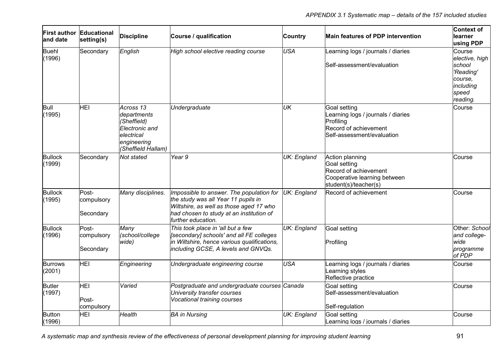| and date                 | <b>First author Educational</b><br>setting(s) | <b>Discipline</b>                                                                                             | Course / qualification                                                                                                                                                                       | Country            | Main features of PDP intervention                                                                                      | Context of<br>learner<br>using PDP                                                           |
|--------------------------|-----------------------------------------------|---------------------------------------------------------------------------------------------------------------|----------------------------------------------------------------------------------------------------------------------------------------------------------------------------------------------|--------------------|------------------------------------------------------------------------------------------------------------------------|----------------------------------------------------------------------------------------------|
| <b>Buehl</b><br>(1996)   | Secondary                                     | English                                                                                                       | High school elective reading course                                                                                                                                                          | <b>USA</b>         | Learning logs / journals / diaries<br>Self-assessment/evaluation                                                       | Course<br>elective, high<br>school<br>'Reading'<br>course.<br>including<br>speed<br>reading. |
| Bull<br>(1995)           | HEI                                           | Across 13<br>departments<br>(Sheffield)<br>Electronic and<br>lelectrical<br>engineering<br>(Sheffield Hallam) | Undergraduate                                                                                                                                                                                | UK                 | Goal setting<br>Learning logs / journals / diaries<br>Profiling<br>Record of achievement<br>Self-assessment/evaluation | Course                                                                                       |
| <b>Bullock</b><br>(1999) | Secondary                                     | Not stated                                                                                                    | Year 9                                                                                                                                                                                       | <b>UK: England</b> | Action planning<br>Goal setting<br>Record of achievement<br>Cooperative learning between<br>student(s)/teacher(s)      | Course                                                                                       |
| <b>Bullock</b><br>(1995) | Post-<br>compulsory<br>Secondary              | Many disciplines.                                                                                             | Impossible to answer. The population for<br>the study was all Year 11 pupils in<br>Wiltshire, as well as those aged 17 who<br>had chosen to study at an institution of<br>further education. | UK: England        | Record of achievement                                                                                                  | Course                                                                                       |
| <b>Bullock</b><br>(1996) | Post-<br>compulsory<br>Secondary              | Many<br>(school/college<br>wide)                                                                              | This took place in 'all but a few<br>[secondary] schools' and all FE colleges<br>in Wiltshire, hence various qualifications,<br>including GCSE, A levels and GNVQs.                          | <b>UK: England</b> | Goal setting<br>Profiling                                                                                              | Other: School<br>and college-<br>wide<br>programme<br>of PDP                                 |
| <b>Burrows</b><br>(2001) | <b>HEI</b>                                    | Engineering                                                                                                   | Undergraduate engineering course                                                                                                                                                             | USA                | Learning logs / journals / diaries<br>earning styles<br>Reflective practice                                            | Course                                                                                       |
| <b>Butler</b><br>(1997)  | <b>HEI</b><br>Post-<br>compulsory             | Varied                                                                                                        | Postgraduate and undergraduate courses Canada<br>University transfer courses<br>Vocational training courses                                                                                  |                    | Goal setting<br>Self-assessment/evaluation<br>Self-regulation                                                          | Course                                                                                       |
| <b>Button</b><br>(1996)  | HEI                                           | Health                                                                                                        | <b>BA</b> in Nursing                                                                                                                                                                         | UK: England        | Goal setting<br>Learning logs / journals / diaries                                                                     | Course                                                                                       |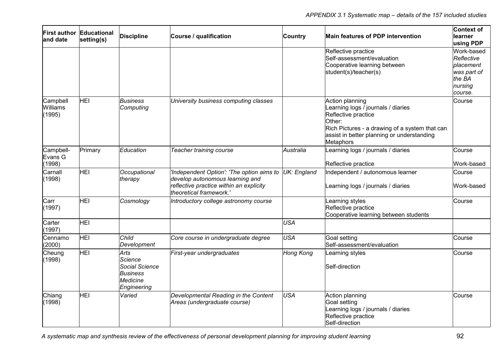| land date                      | <b>First author Educational</b><br>setting(s) | <b>Discipline</b>                                                                      | Course / qualification                                                                                                                             | <b>Country</b>   | Main features of PDP intervention                                                                                                                                                                   | Context of<br>learner<br>using PDP                                                   |
|--------------------------------|-----------------------------------------------|----------------------------------------------------------------------------------------|----------------------------------------------------------------------------------------------------------------------------------------------------|------------------|-----------------------------------------------------------------------------------------------------------------------------------------------------------------------------------------------------|--------------------------------------------------------------------------------------|
|                                |                                               |                                                                                        |                                                                                                                                                    |                  | Reflective practice<br>Self-assessment/evaluation<br>Cooperative learning between<br>student(s)/teacher(s)                                                                                          | Work-based<br>Reflective<br>placement<br>was part of<br>the BA<br>nursing<br>course. |
| Campbell<br>Williams<br>(1995) | <b>HEI</b>                                    | <b>Business</b><br>Computing                                                           | University business computing classes                                                                                                              |                  | Action planning<br>Learning logs / journals / diaries<br>Reflective practice<br>Other:<br>Rich Pictures - a drawing of a system that can<br>assist in better planning or understanding<br>Metaphors | Course                                                                               |
| Campbell-<br>Evans G<br>(1998) | Primary                                       | Education                                                                              | Teacher training course                                                                                                                            | Australia        | Learning logs / journals / diaries<br>Reflective practice                                                                                                                                           | Course<br>Work-based                                                                 |
| Carnall<br>(1998)              | <b>HEI</b>                                    | Occupational<br>therapy                                                                | 'Independent Option': 'The option aims to<br>develop autonomous learning and<br>reflective practice within an explicity<br>theoretical framework.' | UK: England      | Independent / autonomous learner<br>Learning logs / journals / diaries                                                                                                                              | Course<br>Work-based                                                                 |
| Carr<br>(1997)                 | HEI                                           | Cosmology                                                                              | Introductory college astronomy course                                                                                                              |                  | earning styles<br>Reflective practice<br>Cooperative learning between students                                                                                                                      | Course                                                                               |
| Carter<br>(1997)               | <b>HEI</b>                                    |                                                                                        |                                                                                                                                                    | <b>USA</b>       |                                                                                                                                                                                                     |                                                                                      |
| Cennamo<br>(2000)              | <b>HEI</b>                                    | Child<br>Development                                                                   | Core course in undergraduate degree                                                                                                                | <b>USA</b>       | Goal setting<br>Self-assessment/evaluation                                                                                                                                                          | Course                                                                               |
| Cheung<br>(1998)               | <b>HEI</b>                                    | Arts<br><b>Science</b><br>Social Science<br><b>Business</b><br>Medicine<br>Engineering | First-year undergraduates                                                                                                                          | <b>Hong Kong</b> | Learning styles<br>Self-direction                                                                                                                                                                   | Course                                                                               |
| Chiang<br>(1998)               | <b>HEI</b>                                    | Varied                                                                                 | Developmental Reading in the Content<br>Areas (undergraduate course)                                                                               | <b>USA</b>       | Action planning<br>Goal setting<br>Learning logs / journals / diaries<br>Reflective practice<br>Self-direction                                                                                      | Course                                                                               |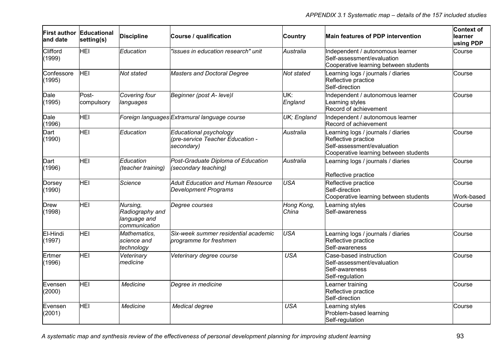| First author Educational<br>and date | setting(s)          | <b>Discipline</b>                                            | Course / qualification                                                   | <b>Country</b>      | Main features of PDP intervention                                                                                                | Context of<br>learner<br>using PDP |
|--------------------------------------|---------------------|--------------------------------------------------------------|--------------------------------------------------------------------------|---------------------|----------------------------------------------------------------------------------------------------------------------------------|------------------------------------|
| Clifford<br>(1999)                   | HEI                 | Education                                                    | "issues in education research" unit                                      | Australia           | Independent / autonomous learner<br>Self-assessment/evaluation<br>Cooperative learning between students                          | Course                             |
| Confessore<br>(1995)                 | <b>HEI</b>          | Not stated                                                   | <b>Masters and Doctoral Degree</b>                                       | Not stated          | Learning logs / journals / diaries<br>Reflective practice<br>Self-direction                                                      | Course                             |
| Dale<br>(1995)                       | Post-<br>compulsory | Covering four<br>languages                                   | Beginner (post A- leve)l                                                 | UK:<br>England      | Independent / autonomous learner<br>Learning styles<br>Record of achievement                                                     | Course                             |
| Dale<br>(1996)                       | <b>HEI</b>          |                                                              | Foreign languages Extramural language course                             | UK; England         | Independent / autonomous learner<br>Record of achievement                                                                        |                                    |
| Dart<br>(1990)                       | <b>HEI</b>          | Education                                                    | Educational psychology<br>(pre-service Teacher Education -<br>secondary) | Australia           | Learning logs / journals / diaries<br>Reflective practice<br>Self-assessment/evaluation<br>Cooperative learning between students | Course                             |
| Dart<br>(1996)                       | <b>HEI</b>          | Education<br>(teacher training)                              | Post-Graduate Diploma of Education<br>(secondary teaching)               | Australia           | Learning logs / journals / diaries<br>Reflective practice                                                                        | Course                             |
| Dorsey<br>(1990)                     | <b>HEI</b>          | Science                                                      | Adult Education and Human Resource<br><b>Development Programs</b>        | <b>USA</b>          | Reflective practice<br>Self-direction<br>Cooperative learning between students                                                   | Course<br>Work-based               |
| <b>Drew</b><br>(1998)                | <b>HEI</b>          | Nursing,<br>Radiography and<br>language and<br>communication | Degree courses                                                           | Hong Kong,<br>China | Learning styles<br>Self-awareness                                                                                                | Course                             |
| El-Hindi<br>(1997)                   | HEI                 | Mathematics,<br>science and<br>technology                    | Six-week summer residential academic<br>programme for freshmen           | <b>USA</b>          | Learning logs / journals / diaries<br>Reflective practice<br>Self-awareness                                                      | Course                             |
| Ertmer<br>(1996)                     | <b>HEI</b>          | Veterinary<br>medicine                                       | Veterinary degree course                                                 | <b>USA</b>          | Case-based instruction<br>Self-assessment/evaluation<br>Self-awareness<br>Self-regulation                                        | Course                             |
| Evensen<br>(2000)                    | <b>HEI</b>          | Medicine                                                     | Degree in medicine                                                       |                     | Learner training<br>Reflective practice<br>Self-direction                                                                        | Course                             |
| Evensen<br>(2001)                    | HEI                 | Medicine                                                     | Medical degree                                                           | <b>USA</b>          | Learning styles<br>Problem-based learning<br>Self-regulation                                                                     | Course                             |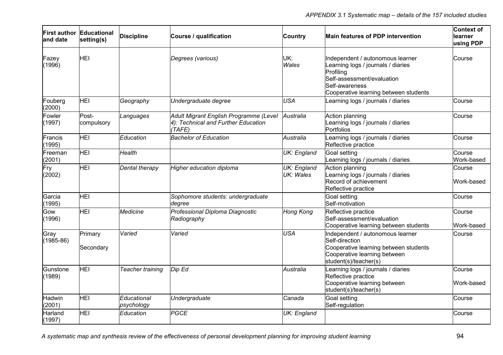| land date                                                                                                                                       | First author Educational<br>setting(s) | <b>Discipline</b>         | Course / qualification                                              | Country                  | Main features of PDP intervention                                                                                                                                            | <b>Context of</b><br>learner<br>using PDP |
|-------------------------------------------------------------------------------------------------------------------------------------------------|----------------------------------------|---------------------------|---------------------------------------------------------------------|--------------------------|------------------------------------------------------------------------------------------------------------------------------------------------------------------------------|-------------------------------------------|
| Fazey<br>(1996)                                                                                                                                 | HEI                                    |                           | Degrees (various)                                                   | UK:<br>Wales             | Independent / autonomous learner<br>Learning logs / journals / diaries<br>Profiling<br>Self-assessment/evaluation<br>Self-awareness<br>Cooperative learning between students | Course                                    |
| Fouberg<br>(2000)                                                                                                                               | <b>HEI</b>                             | Geography                 | Undergraduate degree                                                | <b>USA</b>               | Learning logs / journals / diaries                                                                                                                                           | Course                                    |
| Post-<br>Fowler<br>Adult Migrant English Programme (Level<br>Languages<br>4): Technical and Further Education<br>(1997)<br>compulsory<br>(TAFE) |                                        | Australia                 | Action planning<br>Learning logs / journals / diaries<br>Portfolios | Course                   |                                                                                                                                                                              |                                           |
| Francis<br>(1995)                                                                                                                               | <b>HEI</b>                             | <b>Education</b>          | <b>Bachelor of Education</b>                                        | Australia                | earning logs / journals / diaries<br>Reflective practice                                                                                                                     | Course                                    |
| Freeman<br>(2001)                                                                                                                               | <b>HEI</b>                             | Health                    |                                                                     | <b>UK: England</b>       | Goal setting<br>Learning logs / journals / diaries                                                                                                                           | Course<br>Work-based                      |
| Fry<br>(2002)                                                                                                                                   | HEI                                    | Dental therapy            | Higher education diploma                                            | UK: England<br>UK: Wales | Action planning<br>Learning logs / journals / diaries<br>Record of achievement<br>Reflective practice                                                                        | Course<br>Work-based                      |
| Garcia<br>(1995)                                                                                                                                | <b>HEI</b>                             |                           | Sophomore students: undergraduate<br>degree                         |                          | Goal setting<br>Self-motivation                                                                                                                                              | Course                                    |
| Gow<br>(1996)                                                                                                                                   | <b>HEI</b>                             | <b>Medicine</b>           | Professional Diploma Diagnostic<br>Radiography                      | <b>Hong Kong</b>         | Reflective practice<br>Self-assessment/evaluation<br>Cooperative learning between students                                                                                   | Course<br>Work-based                      |
| Gray<br>$(1985 - 86)$                                                                                                                           | Primary<br>Secondary                   | Varied                    | Varied                                                              | <b>USA</b>               | Independent / autonomous learner<br>Self-direction<br>Cooperative learning between students<br>Cooperative learning between<br>student(s)/teacher(s)                         | Course                                    |
| Gunstone<br>(1989)                                                                                                                              | <b>HEI</b>                             | Teacher training          | Dip Ed                                                              | Australia                | Learning logs / journals / diaries<br>Reflective practice<br>Cooperative learning between<br>student(s)/teacher(s)                                                           | Course<br>Work-based                      |
| Hadwin<br>(2001)                                                                                                                                | <b>HEI</b>                             | Educational<br>psychology | Undergraduate                                                       | Canada                   | Goal setting<br>Self-regulation                                                                                                                                              | Course                                    |
| Harland<br>(1997)                                                                                                                               | HEI                                    | Education                 | <b>PGCE</b>                                                         | <b>UK: England</b>       |                                                                                                                                                                              | Course                                    |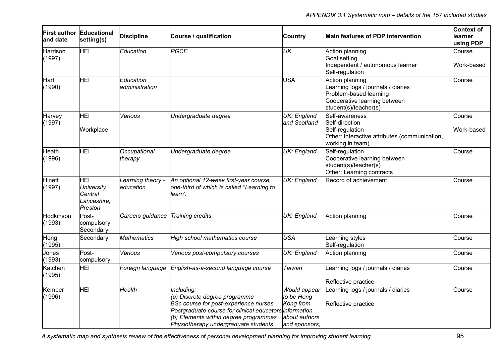| land date           | First author Educational<br>setting(s)                        | <b>Discipline</b>              | Course / qualification                                                                                                                                                                                                                 | <b>Country</b>                                                            | Main features of PDP intervention                                                                                                        | <b>Context of</b><br>learner<br>using PDP |
|---------------------|---------------------------------------------------------------|--------------------------------|----------------------------------------------------------------------------------------------------------------------------------------------------------------------------------------------------------------------------------------|---------------------------------------------------------------------------|------------------------------------------------------------------------------------------------------------------------------------------|-------------------------------------------|
| Harrison<br>(1997)  | <b>HEI</b>                                                    | Education                      | PGCE                                                                                                                                                                                                                                   | UK                                                                        | Action planning<br>Goal setting<br>Independent / autonomous learner<br>Self-regulation                                                   | Course<br>Work-based                      |
| Hart<br>(1990)      | HEI                                                           | Education<br>administration    |                                                                                                                                                                                                                                        | <b>USA</b>                                                                | Action planning<br>Learning logs / journals / diaries<br>Problem-based learning<br>Cooperative learning between<br>student(s)/teacher(s) | Course                                    |
| Harvey<br>(1997)    | HEI<br>Workplace                                              | Various                        | Undergraduate degree                                                                                                                                                                                                                   | UK: England<br>and Scotland                                               | Self-awareness<br>Self-direction<br>Self-regulation<br>Other: Interactive attributes (communication,<br>working in team)                 | Course<br>Work-based                      |
| Heath<br>(1996)     | HEI                                                           | Occupational<br>therapy        | Undergraduate degree                                                                                                                                                                                                                   | UK: England                                                               | Self-regulation<br>Cooperative learning between<br>student(s)/teacher(s)<br>Other: Learning contracts                                    | Course                                    |
| Hinett<br>(1997)    | HEI<br><b>University</b><br>Central<br>Lancashire,<br>Preston | Learning theory -<br>education | An optional 12-week first-year course,<br>one-third of which is called "Learning to<br>learn'.                                                                                                                                         | UK: England                                                               | Record of achievement                                                                                                                    | Course                                    |
| Hodkinson<br>(1993) | Post-<br>compulsory<br>Secondary                              | Careers guidance               | Training credits                                                                                                                                                                                                                       | UK: England                                                               | Action planning                                                                                                                          | Course                                    |
| Hong<br>(1995)      | Secondary                                                     | <b>Mathematics</b>             | High school mathematics course                                                                                                                                                                                                         | <b>USA</b>                                                                | Learning styles<br>Self-regulation                                                                                                       | Course                                    |
| Jones<br>(1993)     | Post-<br>compulsory                                           | Various                        | Various post-compulsory courses                                                                                                                                                                                                        | UK: England                                                               | Action planning                                                                                                                          | Course                                    |
| Katchen<br>(1995)   | <b>HEI</b>                                                    | Foreign language               | English-as-a-second language course                                                                                                                                                                                                    | Taiwan                                                                    | Learning logs / journals / diaries<br>Reflective practice                                                                                | Course                                    |
| Kember<br>(1996)    | <b>HEI</b>                                                    | Health                         | Including:<br>(a) Discrete degree programme<br><b>BSc course for post-experience nurses</b><br>Postgraduate course for clinical educators information<br>(b) Elements within degree programmes<br>Physiotherapy undergraduate students | Would appear<br>to be Hong<br>Kong from<br>about authors<br>and sponsors, | Learning logs / journals / diaries<br>Reflective practice                                                                                | Course                                    |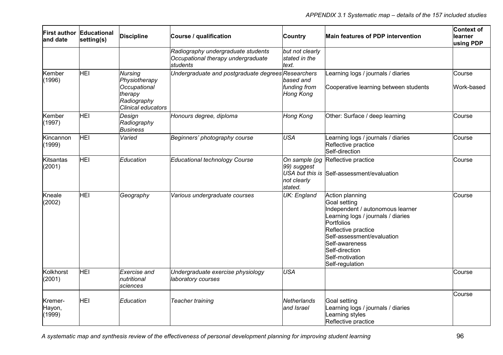| and date                    | First author Educational<br>setting(s) | <b>Discipline</b>                                                                               | Course / qualification                                                               | Country                                   | Main features of PDP intervention                                                                                                                                                                                                                      | <b>Context of</b><br>learner<br>using PDP |
|-----------------------------|----------------------------------------|-------------------------------------------------------------------------------------------------|--------------------------------------------------------------------------------------|-------------------------------------------|--------------------------------------------------------------------------------------------------------------------------------------------------------------------------------------------------------------------------------------------------------|-------------------------------------------|
|                             |                                        |                                                                                                 | Radiography undergraduate students<br>Occupational therapy undergraduate<br>students | but not clearly<br>stated in the<br>text. |                                                                                                                                                                                                                                                        |                                           |
| Kember<br>(1996)            | HEI                                    | <b>Nursing</b><br>Physiotherapy<br>Occupational<br>therapy<br>Radiography<br>Clinical educators | Undergraduate and postgraduate degrees Researchers                                   | based and<br>funding from<br>Hong Kong    | earning logs / journals / diaries<br>Cooperative learning between students                                                                                                                                                                             | Course<br>Work-based                      |
| Kember<br>(1997)            | HEI                                    | Design<br>Radiography<br><b>Business</b>                                                        | Honours degree, diploma                                                              | Hong Kong                                 | Other: Surface / deep learning                                                                                                                                                                                                                         | Course                                    |
| Kincannon<br>(1999)         | HEI                                    | Varied                                                                                          | Beginners' photography course                                                        | <b>USA</b>                                | Learning logs / journals / diaries<br>Reflective practice<br>Self-direction                                                                                                                                                                            | Course                                    |
| Kitsantas<br>(2001)         | HEI                                    | Education                                                                                       | Educational technology Course                                                        | 99) suggest<br>not clearly<br>stated.     | On sample (pg Reflective practice<br>USA but this is Self-assessment/evaluation                                                                                                                                                                        | Course                                    |
| Kneale<br>(2002)            | <b>HEI</b>                             | Geography                                                                                       | Various undergraduate courses                                                        | UK: England                               | Action planning<br>Goal setting<br>Independent / autonomous learner<br>Learning logs / journals / diaries<br>Portfolios<br>Reflective practice<br>Self-assessment/evaluation<br>Self-awareness<br>Self-direction<br>Self-motivation<br>Self-regulation | Course                                    |
| Kolkhorst<br>(2001)         | <b>HEI</b>                             | Exercise and<br>nutritional<br>lsciences                                                        | Undergraduate exercise physiology<br>laboratory courses                              | <b>USA</b>                                |                                                                                                                                                                                                                                                        | Course                                    |
| Kremer-<br>Hayon,<br>(1999) | <b>HEI</b>                             | Education                                                                                       | Teacher training                                                                     | Netherlands<br>and Israel                 | Goal setting<br>Learning logs / journals / diaries<br>Learning styles<br>Reflective practice                                                                                                                                                           | Course                                    |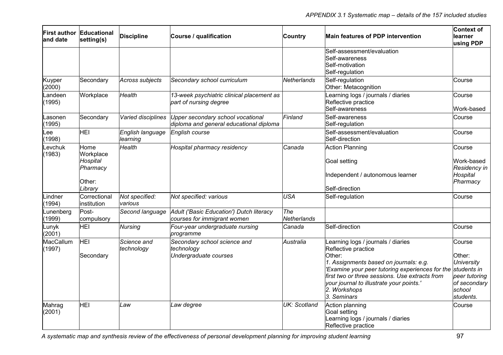| land date           | <b>First author Educational</b><br>setting(s)                  | <b>Discipline</b>                                                                                                                                  | Course / qualification                                                  | <b>Country</b>            | Main features of PDP intervention                                                                                                                                                                                                                                                             | Context of<br>learner<br>using PDP                                                                           |
|---------------------|----------------------------------------------------------------|----------------------------------------------------------------------------------------------------------------------------------------------------|-------------------------------------------------------------------------|---------------------------|-----------------------------------------------------------------------------------------------------------------------------------------------------------------------------------------------------------------------------------------------------------------------------------------------|--------------------------------------------------------------------------------------------------------------|
|                     |                                                                |                                                                                                                                                    |                                                                         |                           | Self-assessment/evaluation<br>Self-awareness<br>Self-motivation<br>Self-regulation                                                                                                                                                                                                            |                                                                                                              |
| Kuyper<br>(2000)    | Secondary                                                      | Across subjects                                                                                                                                    | Secondary school curriculum                                             | <b>Netherlands</b>        | Self-regulation<br>Other: Metacognition                                                                                                                                                                                                                                                       | Course                                                                                                       |
| Landeen<br>(1995)   | Workplace                                                      | Health                                                                                                                                             | 13-week psychiatric clinical placement as<br>part of nursing degree     |                           | Learning logs / journals / diaries<br>Reflective practice<br>Self-awareness                                                                                                                                                                                                                   | Course<br>Work-based                                                                                         |
| Lasonen<br>(1995)   | Secondary                                                      | Finland<br>Upper secondary school vocational<br>Self-awareness<br>Varied disciplines<br>diploma and general educational diploma<br>Self-regulation |                                                                         | Course                    |                                                                                                                                                                                                                                                                                               |                                                                                                              |
| -ee<br>(1998)       | <b>HEI</b>                                                     | English language<br><b>English course</b><br>Self-assessment/evaluation<br>Self-direction<br>learning                                              |                                                                         |                           | Course                                                                                                                                                                                                                                                                                        |                                                                                                              |
| Levchuk<br>(1983)   | Home<br>Workplace<br>Hospital<br>Pharmacy<br>Other:<br>Library | Health                                                                                                                                             | Hospital pharmacy residency                                             | Canada                    | <b>Action Planning</b><br>Goal setting<br>Independent / autonomous learner<br>Self-direction                                                                                                                                                                                                  | Course<br>Work-based<br>Residency in<br>Hospital<br>Pharmacy                                                 |
| -indner<br>(1994)   | Correctional<br>institution                                    | Not specified:<br>various                                                                                                                          | Not specified: various                                                  | <b>USA</b>                | Self-regulation                                                                                                                                                                                                                                                                               | Course                                                                                                       |
| Lunenberg<br>(1999) | Post-<br>compulsory                                            | Second language                                                                                                                                    | Adult ('Basic Education') Dutch literacy<br>courses for immigrant women | The<br><b>Netherlands</b> |                                                                                                                                                                                                                                                                                               |                                                                                                              |
| Lunyk<br>(2001)     | <b>HEI</b>                                                     | <b>Nursing</b>                                                                                                                                     | Four-year undergraduate nursing<br>programme                            | Canada                    | Self-direction                                                                                                                                                                                                                                                                                | Course                                                                                                       |
| MacCallum<br>(1997) | HEI<br>Secondary                                               | Science and<br>technology                                                                                                                          | Secondary school science and<br>technology<br>Undergraduate courses     | Australia                 | Learning logs / journals / diaries<br>Reflective practice<br>Other:<br>1. Assignments based on journals: e.g.<br>'Examine your peer tutoring experiences for the<br>first two or three sessions. Use extracts from<br>your journal to illustrate your points.'<br>2. Workshops<br>3. Seminars | Course<br>Other:<br><b>University</b><br>students in<br>peer tutoring<br>of secondary<br>school<br>students. |
| Mahrag<br>(2001)    | <b>HEI</b>                                                     | Law                                                                                                                                                | Law degree                                                              | <b>UK: Scotland</b>       | Action planning<br>Goal setting<br>Learning logs / journals / diaries<br>Reflective practice                                                                                                                                                                                                  | Course                                                                                                       |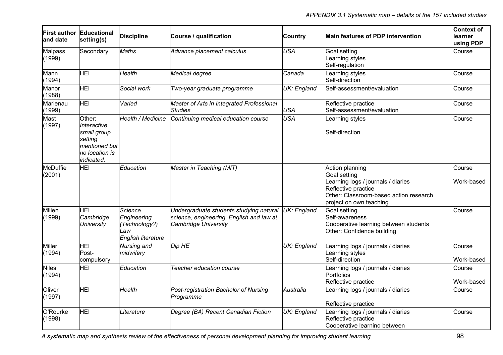| and date                                                                                                                                | First author Educational<br>setting(s) | <b>Discipline</b>                                                           | Course / qualification                                                                                                         | <b>Country</b>                    | <b>Main features of PDP intervention</b>                                                                                                                                 | <b>Context of</b><br>learner<br>using PDP |
|-----------------------------------------------------------------------------------------------------------------------------------------|----------------------------------------|-----------------------------------------------------------------------------|--------------------------------------------------------------------------------------------------------------------------------|-----------------------------------|--------------------------------------------------------------------------------------------------------------------------------------------------------------------------|-------------------------------------------|
| <b>Malpass</b><br>(1999)                                                                                                                | Secondary                              | <b>Maths</b>                                                                | Advance placement calculus                                                                                                     | <b>USA</b>                        | Goal setting<br>Learning styles<br>Self-regulation                                                                                                                       | Course                                    |
| Mann<br>(1994)                                                                                                                          | HEI                                    | Health                                                                      | Medical degree                                                                                                                 | <b>Canada</b>                     | Learning styles<br>Self-direction                                                                                                                                        | Course                                    |
| Manor<br>(1988)                                                                                                                         | <b>HEI</b>                             | Social work                                                                 | Two-year graduate programme                                                                                                    | <b>UK: England</b>                | Self-assessment/evaluation                                                                                                                                               | Course                                    |
| Marienau<br>(1999)                                                                                                                      | <b>HEI</b>                             | Varied                                                                      | Master of Arts in Integrated Professional<br><b>Studies</b>                                                                    | <b>USA</b>                        | Reflective practice<br>Self-assessment/evaluation                                                                                                                        | Course                                    |
| Mast<br>Other:<br>Health / Medicine<br>(1997)<br>Interactive<br>small group<br>setting<br>mentioned but<br>no location is<br>indicated. |                                        | Continuing medical education course                                         | <b>USA</b>                                                                                                                     | Learning styles<br>Self-direction | Course                                                                                                                                                                   |                                           |
| <b>McDuffie</b><br>(2001)                                                                                                               | HEI                                    | Education                                                                   | Master in Teaching (MIT)                                                                                                       |                                   | Action planning<br><b>Goal setting</b><br>Learning logs / journals / diaries<br>Reflective practice<br>Other: Classroom-based action research<br>project on own teaching | Course<br>Work-based                      |
| Millen<br>(1999)                                                                                                                        | HEI<br>Cambridge<br><b>University</b>  | <b>Science</b><br>Engineering<br>(Technology?)<br>Law<br>English literature | Undergraduate students studying natural UK: England<br>science, engineering, English and law at<br><b>Cambridge University</b> |                                   | Goal setting<br>Self-awareness<br>Cooperative learning between students<br>Other: Confidence building                                                                    | Course                                    |
| <b>Miller</b><br>(1994)                                                                                                                 | HEI<br>Post-<br>compulsory             | Nursing and<br>midwifery                                                    | Dip HE                                                                                                                         | <b>UK: England</b>                | Learning logs / journals / diaries<br>Learning styles<br>Self-direction                                                                                                  | Course<br>Work-based                      |
| <b>Niles</b><br>(1994)                                                                                                                  | HEI                                    | Education                                                                   | Teacher education course                                                                                                       |                                   | Learning logs / journals / diaries<br><b>Portfolios</b><br>Reflective practice                                                                                           | Course<br>Work-based                      |
| Oliver<br>(1997)                                                                                                                        | <b>HEI</b>                             | Health                                                                      | Post-registration Bachelor of Nursing<br>Programme                                                                             | Australia                         | Learning logs / journals / diaries<br>Reflective practice                                                                                                                | Course                                    |
| O'Rourke<br>(1998)                                                                                                                      | <b>HEI</b>                             | Literature                                                                  | Degree (BA) Recent Canadian Fiction                                                                                            | <b>UK: England</b>                | Learning logs / journals / diaries<br>Reflective practice<br>Cooperative learning between                                                                                | Course                                    |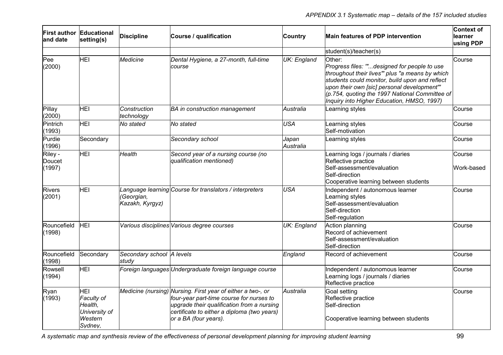| and date                    | First author Educational<br>setting(s)                                     | <b>Discipline</b>                  | Course / qualification                                                                                                                                                                                                        | Country            | Main features of PDP intervention                                                                                                                                                                                                                                                                        | Context of<br><b>learner</b><br>using PDP |
|-----------------------------|----------------------------------------------------------------------------|------------------------------------|-------------------------------------------------------------------------------------------------------------------------------------------------------------------------------------------------------------------------------|--------------------|----------------------------------------------------------------------------------------------------------------------------------------------------------------------------------------------------------------------------------------------------------------------------------------------------------|-------------------------------------------|
|                             |                                                                            |                                    |                                                                                                                                                                                                                               |                    | student(s)/teacher(s)                                                                                                                                                                                                                                                                                    |                                           |
| Pee<br>(2000)               | <b>HEI</b>                                                                 | Medicine                           | Dental Hygiene, a 27-month, full-time<br>course                                                                                                                                                                               | UK: England        | Other:<br>Progress files: "designed for people to use<br>throughout their lives" plus "a means by which<br>students could monitor, build upon and reflect<br>upon their own [sic] personal development"'<br>(p.754, quoting the 1997 National Committee of<br>Inquiry into Higher Education, HMSO, 1997) | Course                                    |
| Pillay<br>(2000)            | <b>HEI</b>                                                                 | Construction<br>technology         | <b>BA</b> in construction management                                                                                                                                                                                          | Australia          | Learning styles                                                                                                                                                                                                                                                                                          | Course                                    |
| Pintrich<br>(1993)          | <b>HEI</b>                                                                 | No stated                          | No stated                                                                                                                                                                                                                     | <b>USA</b>         | Learning styles<br>Self-motivation                                                                                                                                                                                                                                                                       | Course                                    |
| Purdie<br>(1996)            | Secondary                                                                  |                                    | Secondary school                                                                                                                                                                                                              | Japan<br>Australia | Learning styles                                                                                                                                                                                                                                                                                          | Course                                    |
| Riley -<br>Doucet<br>(1997) | <b>HEI</b>                                                                 | Health                             | Second year of a nursing course (no<br>qualification mentioned)                                                                                                                                                               |                    | Learning logs / journals / diaries<br>Reflective practice<br>Self-assessment/evaluation<br>Self-direction<br>Cooperative learning between students                                                                                                                                                       | Course<br>Work-based                      |
| <b>Rivers</b><br>(2001)     | <b>HEI</b>                                                                 | (Georgian,<br>Kazakh, Kyrgyz)      | Language learning Course for translators / interpreters                                                                                                                                                                       | <b>USA</b>         | Independent / autonomous learner<br>Learning styles<br>Self-assessment/evaluation<br>Self-direction<br>Self-regulation                                                                                                                                                                                   | Course                                    |
| Rouncefield<br>(1998)       | <b>HEI</b>                                                                 |                                    | Various disciplines Various degree courses                                                                                                                                                                                    | <b>UK: England</b> | Action planning<br>Record of achievement<br>Self-assessment/evaluation<br>Self-direction                                                                                                                                                                                                                 | Course                                    |
| Rouncefield<br>(1998)       | Secondary                                                                  | Secondary school A levels<br>study |                                                                                                                                                                                                                               | England            | Record of achievement                                                                                                                                                                                                                                                                                    | Course                                    |
| Rowsell<br>(1994)           | HEI                                                                        |                                    | Foreign languages Undergraduate foreign language course                                                                                                                                                                       |                    | Independent / autonomous learner<br>Learning logs / journals / diaries<br>Reflective practice                                                                                                                                                                                                            | Course                                    |
| Ryan<br>(1993)              | <b>HEI</b><br>Faculty of<br>Health,<br>University of<br>Western<br>Svdnev. |                                    | Medicine (nursing) Nursing. First year of either a two-, or<br>four-year part-time course for nurses to<br>upgrade their qualification from a nursing<br>certificate to either a diploma (two years)<br>or a BA (four years). | Australia          | Goal setting<br>Reflective practice<br>Self-direction<br>Cooperative learning between students                                                                                                                                                                                                           | Course                                    |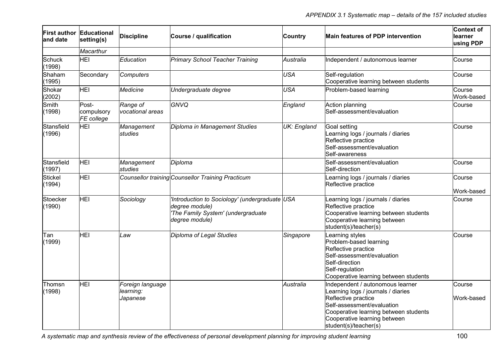| land date                | <b>First author Educational</b><br>setting(s) | <b>Discipline</b>                         | Course / qualification                                                                                                   | <b>Country</b> | Main features of PDP intervention                                                                                                                                                                                             | <b>Context of</b><br>learner<br>using PDP |
|--------------------------|-----------------------------------------------|-------------------------------------------|--------------------------------------------------------------------------------------------------------------------------|----------------|-------------------------------------------------------------------------------------------------------------------------------------------------------------------------------------------------------------------------------|-------------------------------------------|
|                          | Macarthur                                     |                                           |                                                                                                                          |                |                                                                                                                                                                                                                               |                                           |
| <b>Schuck</b><br>(1998)  | HEI                                           | Education                                 | Primary School Teacher Training                                                                                          | Australia      | Independent / autonomous learner                                                                                                                                                                                              | Course                                    |
| Shaham<br>(1995)         | Secondary                                     | <b>Computers</b>                          |                                                                                                                          | <b>USA</b>     | Self-regulation<br>Cooperative learning between students                                                                                                                                                                      | Course                                    |
| Shokar<br>(2002)         | <b>HEI</b>                                    | Medicine                                  | Undergraduate degree                                                                                                     | <b>USA</b>     | Problem-based learning                                                                                                                                                                                                        | Course<br>Work-based                      |
| Smith<br>(1998)          | Post-<br>compulsory<br>FE college             | Range of<br>vocational areas              | GNVQ                                                                                                                     | England        | Action planning<br>Self-assessment/evaluation                                                                                                                                                                                 | Course                                    |
| Stansfield<br>(1996)     | <b>HEI</b>                                    | Management<br>studies                     | Diploma in Management Studies                                                                                            | UK: England    | Goal setting<br>Learning logs / journals / diaries<br>Reflective practice<br>Self-assessment/evaluation<br>Self-awareness                                                                                                     | Course                                    |
| Stansfield<br>(1997)     | HEI                                           | Management<br>studies                     | Diploma                                                                                                                  |                | Self-assessment/evaluation<br>Self-direction                                                                                                                                                                                  | Course                                    |
| <b>Stickel</b><br>(1994) | <b>HEI</b>                                    |                                           | Counsellor training Counsellor Training Practicum                                                                        |                | Learning logs / journals / diaries<br>Reflective practice                                                                                                                                                                     | Course<br>Work-based                      |
| Stoecker<br>(1990)       | HEI                                           | Sociology                                 | 'Introduction to Sociology' (undergraduate USA<br>degree module)<br>'The Family System' (undergraduate<br>degree module) |                | Learning logs / journals / diaries<br>Reflective practice<br>Cooperative learning between students<br>Cooperative learning between<br>student(s)/teacher(s)                                                                   | Course                                    |
| Tan<br>(1999)            | <b>HEI</b>                                    | Law                                       | Diploma of Legal Studies                                                                                                 | Singapore      | Learning styles<br>Problem-based learning<br>Reflective practice<br>Self-assessment/evaluation<br>Self-direction<br>Self-regulation<br>Cooperative learning between students                                                  | Course                                    |
| Thomsn<br>(1998)         | HEI                                           | Foreign language<br>learning:<br>Japanese |                                                                                                                          | Australia      | Independent / autonomous learner<br>Learning logs / journals / diaries<br>Reflective practice<br>Self-assessment/evaluation<br>Cooperative learning between students<br>Cooperative learning between<br>student(s)/teacher(s) | Course<br>Work-based                      |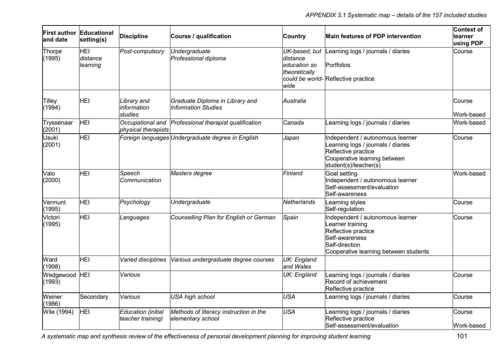| and date               | First author Educational<br>setting(s) | <b>Discipline</b>                       | Course / qualification                                        | <b>Country</b>                                                     | Main features of PDP intervention                                                                                                                        | <b>Context of</b><br>learner<br>using PDP |
|------------------------|----------------------------------------|-----------------------------------------|---------------------------------------------------------------|--------------------------------------------------------------------|----------------------------------------------------------------------------------------------------------------------------------------------------------|-------------------------------------------|
| Thorpe<br>(1995)       | <b>HEI</b><br>distance<br>learning     | Post-compulsory                         | Undergraduate<br>Professional diploma                         | UK-based, but<br>distance<br>education so<br>theoretically<br>wide | Learning logs / journals / diaries<br>Portfolios<br>could be world- Reflective practice                                                                  | Course                                    |
| Tilley<br>(1994)       | <b>HEI</b>                             | Library and<br>information<br>studies   | Graduate Diploma in Library and<br><b>Information Studies</b> | Australia                                                          |                                                                                                                                                          | Course<br>Work-based                      |
| Tryssenaar<br>(2001)   | HEI                                    | Occupational and<br>physical therapists | Professional therapist qualification                          | Canada                                                             | Learning logs / journals / diaries                                                                                                                       | Work-based                                |
| <b>Usuki</b><br>(2001) | HEI                                    |                                         | Foreign languages Undergraduate degree in English             | Japan                                                              | Independent / autonomous learner<br>Learning logs / journals / diaries<br>Reflective practice<br>Cooperative learning between<br>student(s)/teacher(s)   | Course                                    |
| Valo<br>(2000)         | HEI                                    | Speech<br>lCommunication                | Masters degree                                                | Finland                                                            | Goal setting<br>Independent / autonomous learner<br>Self-assessment/evaluation<br>Self-awareness                                                         | Work-based                                |
| Vermunt<br>(1995)      | HEI                                    | Psychology                              | Undergraduate                                                 | Netherlands                                                        | Learning styles<br>Self-regulation                                                                                                                       | Course                                    |
| Victori<br>(1995)      | <b>HEI</b>                             | Languages                               | Counselling Plan for English or German                        | Spain                                                              | Independent / autonomous learner<br>Learner training<br>Reflective practice<br>Self-awareness<br>Self-direction<br>Cooperative learning between students | Course                                    |
| Ward<br>(1998)         | <b>HEI</b>                             | Varied disciplines                      | Various undergraduate degree courses                          | <b>UK: England</b><br>and Wales                                    |                                                                                                                                                          |                                           |
| Wedgewood<br>(1993)    | HEI                                    | Various                                 |                                                               | <b>UK: England</b>                                                 | Learning logs / journals / diaries<br>Record of achievement<br>Reflective practice                                                                       | Course                                    |
| Weiner<br>(1986)       | Secondary                              | Various                                 | <b>USA high school</b>                                        | <b>USA</b>                                                         | Learning logs / journals / diaries                                                                                                                       | Course                                    |
| Wile (1994)            | HEI                                    | Education (initial<br>teacher training) | Methods of literacy instruction in the<br>elementary school   | <b>USA</b>                                                         | Learning logs / journals / diaries<br>Reflective practice<br>Self-assessment/evaluation                                                                  | Course<br>Work-based                      |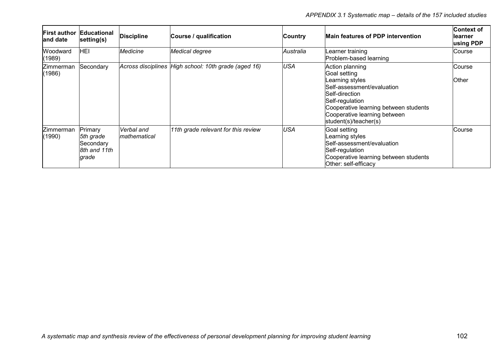| <b>First author</b><br>and date | <b>Educational</b><br>setting(s)                           | <b>Discipline</b>                  | Course / qualification                               | Country    | <b>Main features of PDP intervention</b>                                                                                                                                                                                 | <b>Context of</b><br>learner<br>using PDP |
|---------------------------------|------------------------------------------------------------|------------------------------------|------------------------------------------------------|------------|--------------------------------------------------------------------------------------------------------------------------------------------------------------------------------------------------------------------------|-------------------------------------------|
| Woodward<br>(1989)              | <b>HEI</b>                                                 | Medicine                           | Medical degree                                       | Australia  | Learner training<br>Problem-based learning                                                                                                                                                                               | Course                                    |
| Zimmerman<br>(1986)             | Secondary                                                  |                                    | Across disciplines High school: 10th grade (aged 16) | <b>USA</b> | Action planning<br>Goal setting<br>Learning styles<br>Self-assessment/evaluation<br>Self-direction<br>Self-regulation<br>Cooperative learning between students<br>Cooperative learning between<br> student(s)/teacher(s) | Course<br>Other                           |
| Zimmerman<br>(1990)             | Primary<br>5th grade<br>Secondary<br>8th and 11th<br>grade | Verbal and<br><i>Imathematical</i> | 11th grade relevant for this review                  | <b>USA</b> | Goal setting<br>Learning styles<br>Self-assessment/evaluation<br>Self-regulation<br>Cooperative learning between students<br>Other: self-efficacy                                                                        | <b>Course</b>                             |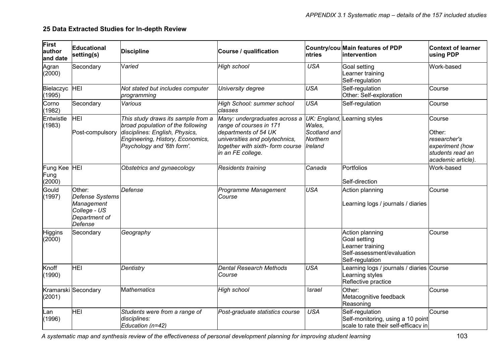# **25 Data Extracted Studies for In-depth Review**

| First<br>author<br>and date | Educational<br>setting(s)                                                           | <b>Discipline</b>                                                                                                                                                           | Course / qualification                                                                                                                                                                                  | <b>Intries</b>                                | Country/cou Main features of PDP<br>lintervention                                                   | <b>Context of learner</b><br>using PDP                                                        |
|-----------------------------|-------------------------------------------------------------------------------------|-----------------------------------------------------------------------------------------------------------------------------------------------------------------------------|---------------------------------------------------------------------------------------------------------------------------------------------------------------------------------------------------------|-----------------------------------------------|-----------------------------------------------------------------------------------------------------|-----------------------------------------------------------------------------------------------|
| Agran<br>(2000)             | Secondary                                                                           | Varied                                                                                                                                                                      | <b>High school</b>                                                                                                                                                                                      | <b>USA</b>                                    | Goal setting<br>earner training<br>Self-regulation                                                  | Work-based                                                                                    |
| Bielaczyc<br>(1995)         | HEI                                                                                 | Not stated but includes computer<br>programming                                                                                                                             | University degree                                                                                                                                                                                       | <b>USA</b>                                    | Self-regulation<br>Other: Self-exploration                                                          | Course                                                                                        |
| Corno<br>(1982)             | Secondary                                                                           | Various                                                                                                                                                                     | High School: summer school<br>classes                                                                                                                                                                   | <b>USA</b>                                    | Self-regulation                                                                                     | Course                                                                                        |
| Entwistle<br>(1983)         | HEI<br>Post-compulsory                                                              | This study draws its sample from a<br>broad population of the following<br>disciplines: English, Physics,<br>Engineering, History, Economics,<br>Psychology and '6th form'. | Many: undergraduates across a UK: England, Learning styles<br>range of courses in 171<br>departments of 54 UK<br>universities and polytechnics,<br>together with sixth-form course<br>in an FE college. | Wales.<br>Scotland and<br>Northern<br>Ireland |                                                                                                     | Course<br>Other:<br>researcher's<br>experiment (how<br>students read an<br>academic article). |
| Fung Kee<br>Fung<br>(2000)  | <b>HEI</b>                                                                          | Obstetrics and gynaecology                                                                                                                                                  | <b>Residents training</b>                                                                                                                                                                               | Canada                                        | Portfolios<br>Self-direction                                                                        | Work-based                                                                                    |
| Gould<br>(1997)             | Other:<br>Defense Systems<br>Management<br>College - US<br>Department of<br>Defense | Defense                                                                                                                                                                     | Programme Management<br>Course                                                                                                                                                                          | <b>USA</b>                                    | Action planning<br>earning logs / journals / diaries                                                | Course                                                                                        |
| Higgins<br>(2000)           | Secondary                                                                           | Geography                                                                                                                                                                   |                                                                                                                                                                                                         |                                               | Action planning<br>Goal setting<br>earner training<br>Self-assessment/evaluation<br>Self-regulation | Course                                                                                        |
| Knoff<br>(1990)             | <b>HEI</b>                                                                          | Dentistry                                                                                                                                                                   | <b>Dental Research Methods</b><br>Course                                                                                                                                                                | <b>USA</b>                                    | earning logs / journals / diaries Course<br>earning styles<br>Reflective practice                   |                                                                                               |
| (2001)                      | Kramarski Secondary                                                                 | <b>Mathematics</b>                                                                                                                                                          | <b>High school</b>                                                                                                                                                                                      | Israel                                        | Other:<br>Metacognitive feedback<br>Reasoning                                                       | Course                                                                                        |
| Lan<br>(1996)               | <b>HEI</b>                                                                          | Students were from a range of<br>disciplines:<br>Education (n=42)                                                                                                           | Post-graduate statistics course                                                                                                                                                                         | <b>USA</b>                                    | Self-regulation<br>Self-monitoring, using a 10 point<br>scale to rate their self-efficacy in        | Course                                                                                        |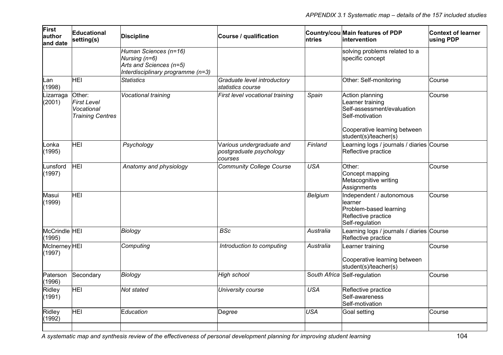| First<br>author<br>land date   | Educational<br>setting(s)                                             | <b>Discipline</b>                                                                                      | Course / qualification                                          | ntries     | Country/cou Main features of PDP<br>intervention                                                        | <b>Context of learner</b><br>using PDP |
|--------------------------------|-----------------------------------------------------------------------|--------------------------------------------------------------------------------------------------------|-----------------------------------------------------------------|------------|---------------------------------------------------------------------------------------------------------|----------------------------------------|
|                                |                                                                       | Human Sciences (n=16)<br>Nursing (n=6)<br>Arts and Sciences (n=5)<br>Interdisciplinary programme (n=3) |                                                                 |            | solving problems related to a<br>specific concept                                                       |                                        |
| Lan<br>(1998)                  | HEI                                                                   | <b>Statistics</b>                                                                                      | Graduate level introductory<br>statistics course                |            | Other: Self-monitoring                                                                                  | Course                                 |
| Lizarraga<br>(2001)            | Other:<br><b>First Level</b><br>Vocational<br><b>Training Centres</b> | Vocational training                                                                                    | First level vocational training                                 | Spain      | Action planning<br>Learner training<br>Self-assessment/evaluation<br>Self-motivation                    | Course                                 |
|                                |                                                                       |                                                                                                        |                                                                 |            | Cooperative learning between<br>student(s)/teacher(s)                                                   |                                        |
| Lonka<br>(1995)                | <b>HEI</b>                                                            | Psychology                                                                                             | Various undergraduate and<br>postgraduate psychology<br>courses | Finland    | Learning logs / journals / diaries Course<br>Reflective practice                                        |                                        |
| Lunsford<br>(1997)             | HEI                                                                   | Anatomy and physiology                                                                                 | <b>Community College Course</b>                                 | <b>USA</b> | Other:<br>Concept mapping<br>Metacognitive writing<br>Assignments                                       | Course                                 |
| Masui<br>(1999)                | <b>HEI</b>                                                            |                                                                                                        |                                                                 | Belgium    | Independent / autonomous<br>learner<br>Problem-based learning<br>Reflective practice<br>Self-regulation | Course                                 |
| McCrindle HEI<br>(1995)        |                                                                       | Biology                                                                                                | <b>BSc</b>                                                      | Australia  | Learning logs / journals / diaries Course<br>Reflective practice                                        |                                        |
| <b>McInerney HEI</b><br>(1997) |                                                                       | Computing                                                                                              | Introduction to computing                                       | Australia  | Learner training<br>Cooperative learning between<br>student(s)/teacher(s)                               | Course                                 |
| Paterson<br>(1996)             | Secondary                                                             | Biology                                                                                                | High school                                                     |            | South Africa Self-regulation                                                                            | Course                                 |
| Ridley<br>(1991)               | <b>HEI</b>                                                            | Not stated                                                                                             | University course                                               | <b>USA</b> | Reflective practice<br>Self-awareness<br>Self-motivation                                                |                                        |
| Ridley<br>(1992)               | <b>HEI</b>                                                            | Education                                                                                              | Degree                                                          | <b>USA</b> | Goal setting                                                                                            | Course                                 |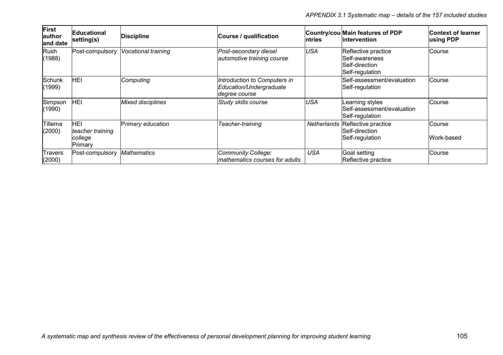*APPENDIX 3.1 Systematic map – details of the 157 included studies* 

| First<br>author<br>and date | <b>Educational</b><br>setting(s)              | <b>Discipline</b>          | Course / qualification                                                   | ntries      | Country/cou Main features of PDP<br>lintervention                          | <b>Context of learner</b><br>using PDP |
|-----------------------------|-----------------------------------------------|----------------------------|--------------------------------------------------------------------------|-------------|----------------------------------------------------------------------------|----------------------------------------|
| Rush<br>(1988)              | Post-compulsory                               | <b>Vocational training</b> | Post-secondary diesel<br>automotive training course                      | <b>USA</b>  | Reflective practice<br>Self-awareness<br>Self-direction<br>Self-regulation | Course                                 |
| Schunk<br>(1999)            | HEI                                           | Computing                  | Introduction to Computers in<br>Education/Undergraduate<br>degree course |             | Self-assessment/evaluation<br>Self-regulation                              | Course                                 |
| Simpson<br>(1990)           | HEI                                           | <b>Mixed disciplines</b>   | Study skills course                                                      | <b>USA</b>  | Learning styles<br>Self-assessment/evaluation<br>Self-regulation           | Course                                 |
| Tillema<br>(2000)           | HEI<br>teacher training<br>college<br>Primary | Primary education          | Teacher-training                                                         | Netherlands | Reflective practice<br>Self-direction<br>Self-regulation                   | Course<br>Work-based                   |
| <b>Travers</b><br>(2000)    | Post-compulsory                               | <b>Mathematics</b>         | <b>Community College:</b><br>mathematics courses for adults              | <b>USA</b>  | Goal setting<br>Reflective practice                                        | Course                                 |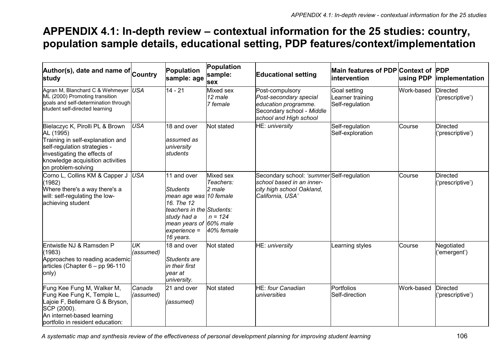### **APPENDIX 4.1: In-depth review – contextual information for the 25 studies: country, population sample details, educational setting, PDP features/context/implementation**

| Author(s), date and name of Country<br>study                                                                                                                                                               |                     | Population<br>sample: age                                                                                                                                                   | Population<br>sample:<br>sex                                | <b>Educational setting</b>                                                                                               | Main features of PDP Context of PDP<br><b>lintervention</b> | using PDP  | implementation                      |
|------------------------------------------------------------------------------------------------------------------------------------------------------------------------------------------------------------|---------------------|-----------------------------------------------------------------------------------------------------------------------------------------------------------------------------|-------------------------------------------------------------|--------------------------------------------------------------------------------------------------------------------------|-------------------------------------------------------------|------------|-------------------------------------|
| Agran M, Blanchard C & Wehmeyer USA<br>ML (2000) Promoting transition<br>goals and self-determination through<br>student self-directed learning                                                            |                     | $14 - 21$                                                                                                                                                                   | Mixed sex<br>12 male<br>7 female                            | Post-compulsory<br>Post-secondary special<br>education programme.<br>Secondary school - Middle<br>school and High school | Goal setting<br>earner training<br>Self-regulation          | Work-based | <b>Directed</b><br>('prescriptive') |
| Bielaczyc K, Pirolli PL & Brown<br>AL (1995)<br>Training in self-explanation and<br>self-regulation strategies -<br>investigating the effects of<br>knowledge acquisition activities<br>on problem-solving | <b>USA</b>          | 18 and over<br>assumed as<br>university<br>students                                                                                                                         | Not stated                                                  | HE: university                                                                                                           | Self-regulation<br>Self-exploration                         | Course     | <b>Directed</b><br>('prescriptive') |
| Corno L, Collins KM & Capper J<br>(1982)<br>Where there's a way there's a<br>will: self-regulating the low-<br>achieving student                                                                           | <b>USA</b>          | 11 and over<br><b>Students</b><br>mean age was 10 female<br>16. The 12<br>teachers in the Students:<br>study had a<br>mean years of 60% male<br>$experience =$<br>16 years. | Mixed sex<br>Teachers:<br>2 male<br>$n = 124$<br>40% female | Secondary school: 'summer Self-regulation<br>school based in an inner-<br>city high school Oakland,<br>California, USA'  |                                                             | Course     | <b>Directed</b><br>('prescriptive') |
| Entwistle NJ & Ramsden P<br>(1983)<br>Approaches to reading academic<br>articles (Chapter $6 - pp 96-110$<br>only)                                                                                         | UK<br>(assumed)     | 18 and over<br>Students are<br>in their first<br>year at<br>university.                                                                                                     | Not stated                                                  | HE: university                                                                                                           | earning styles                                              | Course     | Negotiated<br>('emergent')          |
| Fung Kee Fung M, Walker M,<br>Fung Kee Fung K, Temple L,<br>Lajoie F, Bellemare G & Bryson,<br>SCP (2000).<br>An internet-based learning<br>portfolio in resident education:                               | Canada<br>(assumed) | 21 and over<br>(assumed)                                                                                                                                                    | Not stated                                                  | <b>HE:</b> four Canadian<br>universities                                                                                 | Portfolios<br>Self-direction                                | Work-based | <b>Directed</b><br>('prescriptive') |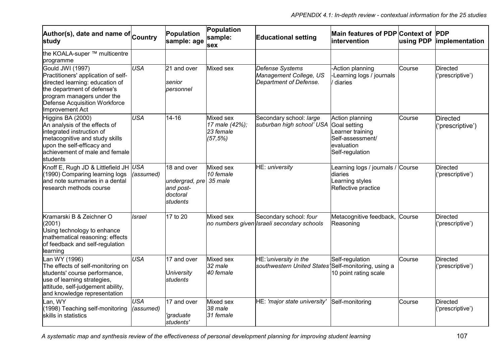| Author(s), date and name of Country<br>study                                                                                                                                                                |                         | Population<br>sample: age                                          | Population<br>sample:<br>sex                         | <b>Educational setting</b>                                           | Main features of PDP Context of PDP<br><b>intervention</b>                                               | using PDP | implementation                      |
|-------------------------------------------------------------------------------------------------------------------------------------------------------------------------------------------------------------|-------------------------|--------------------------------------------------------------------|------------------------------------------------------|----------------------------------------------------------------------|----------------------------------------------------------------------------------------------------------|-----------|-------------------------------------|
| the KOALA-super ™ multicentre<br>programme                                                                                                                                                                  |                         |                                                                    |                                                      |                                                                      |                                                                                                          |           |                                     |
| Gould JWI (1997)<br>Practitioners' application of self-<br>directed learning: education of<br>the department of defense's<br>program managers under the<br>Defense Acquisition Workforce<br>Improvement Act | <b>USA</b>              | 21 and over<br>senior<br>personnel                                 | Mixed sex                                            | Defense Systems<br>Management College, US<br>Department of Defense.  | -Action planning<br>-Learning logs / journals<br>diaries                                                 | Course    | Directed<br>('prescriptive')        |
| Higgins BA (2000)<br>An analysis of the effects of<br>integrated instruction of<br>metacognitive and study skills<br>upon the self-efficacy and<br>achievement of male and female<br>students               | <b>USA</b>              | $14 - 16$                                                          | Mixed sex<br>17 male (42%);<br>23 female<br>(57, 5%) | Secondary school: large<br>suburban high school' USA                 | Action planning<br>Goal setting<br>Learner training<br>Self-assessment/<br>evaluation<br>Self-regulation | Course    | <b>Directed</b><br>('prescriptive') |
| Knoff E, Rugh JD & Littlefield JH USA<br>(1990) Comparing learning logs<br>and note summaries in a dental<br>research methods course                                                                        | (assumed)               | 18 and over<br>undergrad, pre<br>and post-<br>doctoral<br>students | Mixed sex<br>10 female<br>35 male                    | HE: university                                                       | Learning logs / journals /<br>diaries<br>Learning styles<br>Reflective practice                          | Course    | <b>Directed</b><br>('prescriptive') |
| Kramarski B & Zeichner O<br>(2001)<br>Using technology to enhance<br>mathematical reasoning: effects<br>of feedback and self-regulation<br>learning                                                         | <b>Israel</b>           | 17 to 20                                                           | Mixed sex                                            | Secondary school: four<br>no numbers given Israeli secondary schools | Metacognitive feedback, Course<br>Reasoning                                                              |           | <b>Directed</b><br>('prescriptive') |
| Lan WY (1996)<br>The effects of self-monitoring on<br>students' course performance,<br>use of learning strategies,<br>attitude, self-judgement ability,<br>and knowledge representation                     | <b>USA</b>              | 17 and over<br>University<br>students                              | Mixed sex<br>32 male<br>40 female                    | HE:'university in the<br>southwestern United States'                 | Self-regulation<br>Self-monitoring, using a<br>10 point rating scale                                     | Course    | <b>Directed</b><br>('prescriptive') |
| Lan, WY<br>(1998) Teaching self-monitoring<br>skills in statistics                                                                                                                                          | <b>USA</b><br>(assumed) | 17 and over<br>'graduate<br>students'                              | Mixed sex<br>38 male<br>31 female                    | HE: 'major state university'                                         | Self-monitoring                                                                                          | Course    | <b>Directed</b><br>('prescriptive') |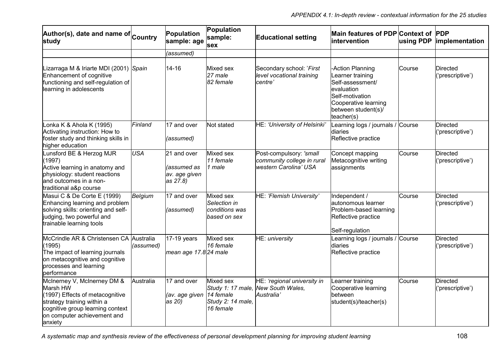| Author(s), date and name of Country<br>study                                                                                                                                           |            | Population<br>sample: age                               | Population<br>sample:<br>sex                                                  | <b>Educational setting</b>                                                     | Main features of PDP Context of PDP<br>intervention                                                                                                    | using PDP | implementation                      |
|----------------------------------------------------------------------------------------------------------------------------------------------------------------------------------------|------------|---------------------------------------------------------|-------------------------------------------------------------------------------|--------------------------------------------------------------------------------|--------------------------------------------------------------------------------------------------------------------------------------------------------|-----------|-------------------------------------|
|                                                                                                                                                                                        |            | (assumed)                                               |                                                                               |                                                                                |                                                                                                                                                        |           |                                     |
| Lizarraga M & Iriarte MDI (2001) Spain<br>Enhancement of cognitive<br>functioning and self-regulation of<br>learning in adolescents                                                    |            | $14 - 16$                                               | Mixed sex<br>27 male<br>82 female                                             | Secondary school: 'First<br>level vocational training<br>centre'               | -Action Planning<br>Learner training<br>Self-assessment/<br>evaluation<br>Self-motivation<br>Cooperative learning<br>between student(s)/<br>teacher(s) | Course    | <b>Directed</b><br>('prescriptive') |
| Lonka K & Ahola K (1995)<br>Activating instruction: How to<br>foster study and thinking skills in<br>higher education                                                                  | Finland    | 17 and over<br>(assumed)                                | Not stated                                                                    | HE: 'University of Helsinki'                                                   | Learning logs / journals /<br>diaries<br>Reflective practice                                                                                           | Course    | Directed<br>('prescriptive')        |
| Lunsford BE & Herzog MJR<br>(1997)<br>Active learning in anatomy and<br>physiology: student reactions<br>and outcomes in a non-<br>traditional a&p course                              | <b>USA</b> | 21 and over<br>(assumed as<br>av. age given<br>as 27.8) | Mixed sex<br>11 female<br>1 male                                              | Post-compulsory: 'small<br>community college in rural<br>western Carolina' USA | Concept mapping<br>Metacognitive writing<br>assignments                                                                                                | Course    | <b>Directed</b><br>('prescriptive') |
| Masui C & De Corte E (1999)<br>Enhancing learning and problem<br>solving skills: orienting and self-<br>judging, two powerful and<br>trainable learning tools                          | Belgium    | 17 and over<br>(assumed)                                | Mixed sex<br>Selection in<br>conditions was<br>based on sex                   | HE: 'Flemish University'                                                       | Independent /<br>autonomous learner<br>Problem-based learning<br>Reflective practice<br>Self-regulation                                                | Course    | <b>Directed</b><br>('prescriptive') |
| McCrindle AR & Christensen CA Australia<br>(1995)<br>The impact of learning journals<br>on metacognitive and cognitive<br>processes and learning<br>performance                        | (assumed)  | 17-19 years<br>mean age 17.8 24 male                    | Mixed sex<br>16 female                                                        | HE: university                                                                 | Learning logs / journals / Course<br>diaries<br>Reflective practice                                                                                    |           | <b>Directed</b><br>('prescriptive') |
| McInerney V, McInerney DM &<br>Marsh HW<br>(1997) Effects of metacognitive<br>strategy training within a<br>cognitive group learning context<br>on computer achievement and<br>anxiety | Australia  | 17 and over<br>(av. age given<br>as 20)                 | Mixed sex<br>Study 1: 17 male,<br>14 female<br>Study 2: 14 male,<br>16 female | HE: 'regional university in<br><b>New South Wales.</b><br>Australia'           | Learner training<br>Cooperative learning<br>between<br>student(s)/teacher(s)                                                                           | Course    | <b>Directed</b><br>('prescriptive') |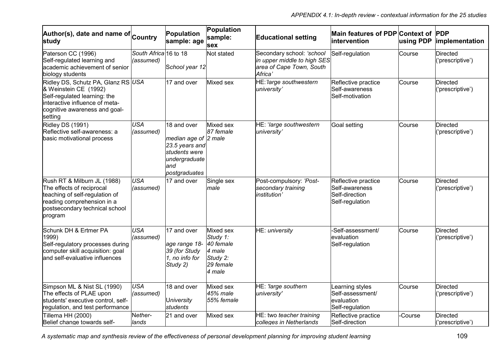| Author(s), date and name of Country<br>study                                                                                                                              |                                    | Population<br>sample: age                                                                                       | Population<br>sample:<br>sex                                                    | <b>Educational setting</b>                                                                      | Main features of PDP Context of PDP<br>intervention                        | using PDP | implementation                      |
|---------------------------------------------------------------------------------------------------------------------------------------------------------------------------|------------------------------------|-----------------------------------------------------------------------------------------------------------------|---------------------------------------------------------------------------------|-------------------------------------------------------------------------------------------------|----------------------------------------------------------------------------|-----------|-------------------------------------|
| Paterson CC (1996)<br>Self-regulated learning and<br>academic achievement of senior<br>biology students                                                                   | South Africa 16 to 18<br>(assumed) | School year 12                                                                                                  | Not stated                                                                      | Secondary school: 'school<br>in upper middle to high SES<br>area of Cape Town, South<br>Africa' | Self-regulation                                                            | Course    | <b>Directed</b><br>('prescriptive') |
| Ridley DS, Schutz PA, Glanz RS USA<br>& Weinstein CE (1992)<br>Self-regulated learning: the<br>interactive influence of meta-<br>cognitive awareness and goal-<br>setting |                                    | 17 and over                                                                                                     | Mixed sex                                                                       | HE: 'large southwestern<br>university'                                                          | Reflective practice<br>Self-awareness<br>Self-motivation                   | Course    | <b>Directed</b><br>('prescriptive') |
| Ridley DS (1991)<br>Reflective self-awareness: a<br>basic motivational process                                                                                            | <b>USA</b><br>(assumed)            | 18 and over<br>median age of 2 male<br>23.5 years and<br>students were<br>undergraduate<br>and<br>postgraduates | Mixed sex<br>87 female                                                          | HE: 'large southwestern<br>university'                                                          | <b>Goal setting</b>                                                        | Course    | <b>Directed</b><br>('prescriptive') |
| Rush RT & Milburn JL (1988)<br>The effects of reciprocal<br>teaching of self-regulation of<br>reading comprehension in a<br>postsecondary technical school<br>program     | <b>USA</b><br>(assumed)            | 17 and over                                                                                                     | Single sex<br>male                                                              | Post-compulsory: 'Post-<br>secondary training<br>institution'                                   | Reflective practice<br>Self-awareness<br>Self-direction<br>Self-regulation | Course    | <b>Directed</b><br>('prescriptive') |
| Schunk DH & Ertmer PA<br>1999)<br>Self-regulatory processes during<br>computer skill acquisition: goal<br>and self-evaluative influences                                  | <b>USA</b><br>(assumed)            | 17 and over<br>age range 18-<br>39 (for Study<br>1, no info for<br>Study 2)                                     | Mixed sex<br>Study 1:<br>40 female<br>4 male<br>Study 2:<br>29 female<br>4 male | HE: university                                                                                  | -Self-assessment/<br>evaluation<br>Self-regulation                         | Course    | <b>Directed</b><br>('prescriptive') |
| Simpson ML & Nist SL (1990)<br>The effects of PLAE upon<br>students' executive control, self-<br>regulation, and test performance                                         | <b>USA</b><br>(assumed)            | 18 and over<br>University<br>students                                                                           | Mixed sex<br>45% male<br>55% female                                             | HE: 'large southern<br>university'                                                              | earning styles<br>Self-assessment/<br>evaluation<br>Self-regulation        | Course    | <b>Directed</b><br>('prescriptive') |
| Tillema HH (2000)<br>Belief change towards self-                                                                                                                          | Nether-<br>lands                   | 21 and over                                                                                                     | Mixed sex                                                                       | HE: two teacher training<br>colleges in Netherlands                                             | Reflective practice<br>Self-direction                                      | -Course   | <b>Directed</b><br>('prescriptive') |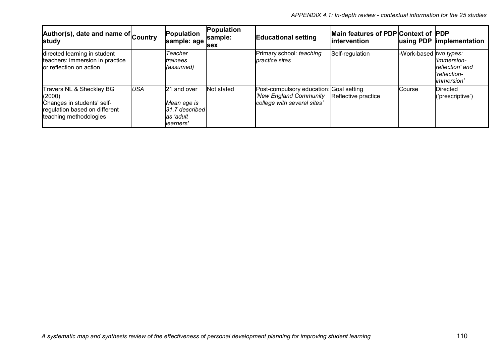| Author(s), date and name of Country<br>study                                                                                |            | Population<br>sample: age                                               | Population<br>sample:<br><b>sex</b> | <b>Educational setting</b>                                                                       | Main features of PDP Context of PDP<br>lintervention | using PDP              | <i>implementation</i>                                                |
|-----------------------------------------------------------------------------------------------------------------------------|------------|-------------------------------------------------------------------------|-------------------------------------|--------------------------------------------------------------------------------------------------|------------------------------------------------------|------------------------|----------------------------------------------------------------------|
| directed learning in student<br>teachers: immersion in practice<br>lor reflection on action                                 |            | Teacher<br>trainees<br>(assumed)                                        |                                     | Primary school: teaching<br><i>contractice sites</i>                                             | Self-regulation                                      | -Work-based two types: | l'immersion-<br>reflection' and<br>'reflection-<br><i>immersion'</i> |
| Travers NL & Sheckley BG<br>(2000)<br>Changes in students' self-<br>regulation based on different<br>teaching methodologies | <b>USA</b> | 21 and over<br>Mean age is<br>31.7 described<br>las 'adult<br>learners' | Not stated                          | Post-compulsory education: Goal setting<br>'New England Community<br>college with several sites' | Reflective practice                                  | Course                 | Directed<br>'prescriptive')                                          |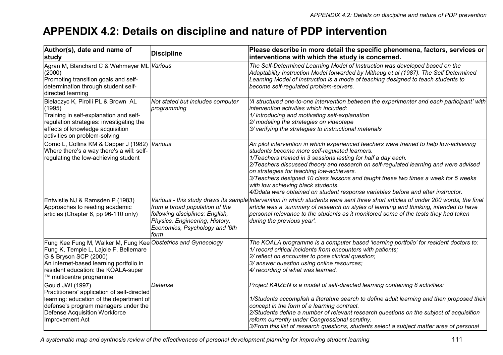# **APPENDIX 4.2: Details on discipline and nature of PDP intervention**

| Author(s), date and name of<br>study                                                                                                                                                                                                         | <b>Discipline</b>                                                                                                                             | Please describe in more detail the specific phenomena, factors, services or<br>interventions with which the study is concerned.                                                                                                                                                                                                                                                                                                                                                                                                                               |
|----------------------------------------------------------------------------------------------------------------------------------------------------------------------------------------------------------------------------------------------|-----------------------------------------------------------------------------------------------------------------------------------------------|---------------------------------------------------------------------------------------------------------------------------------------------------------------------------------------------------------------------------------------------------------------------------------------------------------------------------------------------------------------------------------------------------------------------------------------------------------------------------------------------------------------------------------------------------------------|
| Agran M, Blanchard C & Wehmeyer ML <i>Various</i><br>(2000)<br>Promoting transition goals and self-<br>determination through student self-<br>directed learning                                                                              |                                                                                                                                               | The Self-Determined Learning Model of Instruction was developed based on the<br>Adaptability Instruction Model forwarded by Mithaug et al (1987). The Self Determined<br>Learning Model of Instruction is a mode of teaching designed to teach students to<br>become self-regulated problem-solvers.                                                                                                                                                                                                                                                          |
| Bielaczyc K, Pirolli PL & Brown AL<br>(1995)<br>Training in self-explanation and self-<br>regulation strategies: investigating the<br>effects of knowledge acquisition<br>activities on problem-solving                                      | Not stated but includes computer<br>programming                                                                                               | 'A structured one-to-one intervention between the experimenter and each participant' with<br>lintervention activities which included:<br>1/ introducing and motivating self-explanation<br>2/ modeling the strategies on videotape<br>3/ verifying the strategies to instructional materials                                                                                                                                                                                                                                                                  |
| Corno L, Collins KM & Capper J (1982) Various<br>Where there's a way there's a will: self-<br>regulating the low-achieving student                                                                                                           |                                                                                                                                               | An pilot intervention in which experienced teachers were trained to help low-achieving<br>students become more self-regulated learners.<br>1/Teachers trained in 3 sessions lasting for half a day each.<br>2/Teachers discussed theory and research on self-regulated learning and were advised<br>on strategies for teaching low-achievers.<br>3/Teachers designed 10 class lessons and taught these two times a week for 5 weeks<br>with low achieving black students.<br>4/Ddata were obtained on student response variables before and after instructor. |
| Entwistle NJ & Ramsden P (1983)<br>Approaches to reading academic<br>articles (Chapter 6, pp 96-110 only)                                                                                                                                    | from a broad population of the<br>following disciplines: English,<br>Physics, Engineering, History,<br>Economics, Psychology and '6th<br>form | Various - this study draws its sample Intervention in which students were sent three short articles of under 200 words, the final<br>article was a 'summary of research on styles of learning and thinking, intended to have<br>personal relevance to the students as it monitored some of the tests they had taken<br>during the previous year'.                                                                                                                                                                                                             |
| Fung Kee Fung M, Walker M, Fung Kee Obstetrics and Gynecology<br>Fung K, Temple L, Lajoie F, Bellemare<br>G & Bryson SCP (2000)<br>An internet-based learning portfolio in<br>resident education: the KOALA-super<br>™ multicentre programme |                                                                                                                                               | The KOALA programme is a computer based 'learning portfolio' for resident doctors to:<br>1/ record critical incidents from encounters with patients;<br>2/ reflect on encounter to pose clinical question;<br>3/ answer question using online resources;<br>4/ recording of what was learned.                                                                                                                                                                                                                                                                 |
| Gould JWI (1997)<br>Practitioners' application of self-directed<br>learning: education of the department of<br>defense's program managers under the<br>Defense Acquisition Workforce<br><b>Improvement Act</b>                               | Defense                                                                                                                                       | Project KAIZEN is a model of self-directed learning containing 8 activities:<br>1/Students accomplish a literature search to define adult learning and then proposed their<br>concept in the form of a learning contract.<br>2/Students define a number of relevant research questions on the subject of acquisition<br>reform currently under Congressional scrutiny.<br>3/From this list of research questions, students select a subject matter area of personal                                                                                           |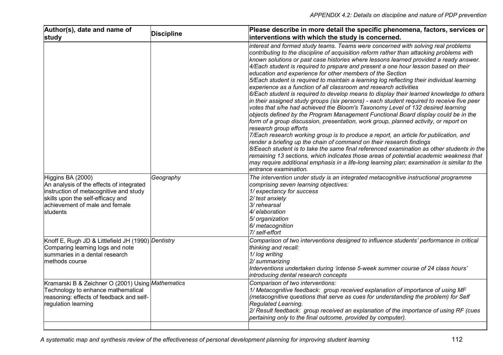| Author(s), date and name of<br>study                                                                                                                                                       | <b>Discipline</b> | Please describe in more detail the specific phenomena, factors, services or<br>interventions with which the study is concerned.                                                                                                                                                                                                                                                                                                                                                                                                                                                                                                                                                                                                                                                                                                                                                                                                                                                                                                                                                                                                                                                                                                                                                                                                                                                                                                                                                                                                                                 |
|--------------------------------------------------------------------------------------------------------------------------------------------------------------------------------------------|-------------------|-----------------------------------------------------------------------------------------------------------------------------------------------------------------------------------------------------------------------------------------------------------------------------------------------------------------------------------------------------------------------------------------------------------------------------------------------------------------------------------------------------------------------------------------------------------------------------------------------------------------------------------------------------------------------------------------------------------------------------------------------------------------------------------------------------------------------------------------------------------------------------------------------------------------------------------------------------------------------------------------------------------------------------------------------------------------------------------------------------------------------------------------------------------------------------------------------------------------------------------------------------------------------------------------------------------------------------------------------------------------------------------------------------------------------------------------------------------------------------------------------------------------------------------------------------------------|
|                                                                                                                                                                                            |                   | interest and formed study teams. Teams were concerned with solving real problems<br>contributing to the discipline of acquisition reform rather than attacking problems with<br>known solutions or past case histories where lessons learned provided a ready answer.<br>4/Each student is required to prepare and present a one hour lesson based on their<br>education and experience for other members of the Section<br>5/Each student is required to maintain a learning log reflecting their individual learning<br>experience as a function of all classroom and research activities<br>6/Each student is required to develop means to display their learned knowledge to others<br>in their assigned study groups (six persons) - each student required to receive five peer<br>votes that s/he had achieved the Bloom's Taxonomy Level of 132 desired learning<br>objects defined by the Program Management Functional Board display could be in the<br>form of a group discussion, presentation, work group, planned activity, or report on<br>research group efforts<br>7/Each research working group is to produce a report, an article for publication, and<br>render a briefing up the chain of command on their research findings<br>8/Eeach student is to take the same final referenced examination as other students in the<br>remaining 13 sections, which indicates those areas of potential academic weakness that<br>may require additional emphasis in a life-long learning plan; examination is similar to the<br>entrance examination. |
| Higgins BA (2000)<br>An analysis of the effects of integrated<br>instruction of metacognitive and study<br>skills upon the self-efficacy and<br>achievement of male and female<br>students | Geography         | The intervention under study is an integrated metacognitive instructional programme<br>comprising seven learning objectives:<br>1/ expectancy for success<br>2/ test anxiety<br>3/ rehearsal<br>4/ elaboration<br>5/ organization<br>6/ metacognition<br>7/ self-effort                                                                                                                                                                                                                                                                                                                                                                                                                                                                                                                                                                                                                                                                                                                                                                                                                                                                                                                                                                                                                                                                                                                                                                                                                                                                                         |
| Knoff E, Rugh JD & Littlefield JH (1990) Dentistry<br>Comparing learning logs and note<br>summaries in a dental research<br>methods course                                                 |                   | Comparison of two interventions designed to influence students' performance in critical<br>thinking and recall:<br>1/log writing<br>2/ summarizing<br>Interventions undertaken during 'intense 5-week summer course of 24 class hours'<br>introducing dental research concepts                                                                                                                                                                                                                                                                                                                                                                                                                                                                                                                                                                                                                                                                                                                                                                                                                                                                                                                                                                                                                                                                                                                                                                                                                                                                                  |
| Kramarski B & Zeichner O (2001) Using Mathematics<br>Technology to enhance mathematical<br>reasoning: effects of feedback and self-<br>regulation learning                                 |                   | Comparison of two interventions:<br>1/ Metacognitive feedback: group received explanation of importance of using MF<br>(metacognitive questions that serve as cues for understanding the problem) for Self<br>Regulated Learning.<br>2/ Result feedback: group received an explanation of the importance of using RF (cues<br>pertaining only to the final outcome, provided by computer).                                                                                                                                                                                                                                                                                                                                                                                                                                                                                                                                                                                                                                                                                                                                                                                                                                                                                                                                                                                                                                                                                                                                                                      |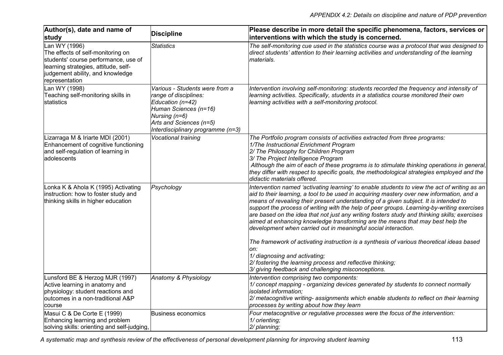| Author(s), date and name of<br>study                                                                                                                                                     | <b>Discipline</b>                                                                                                                                                                     | Please describe in more detail the specific phenomena, factors, services or<br>interventions with which the study is concerned.                                                                                                                                                                                                                                                                                                                                                                                                                                                                                                                                                                                                                                                                                                                                                              |
|------------------------------------------------------------------------------------------------------------------------------------------------------------------------------------------|---------------------------------------------------------------------------------------------------------------------------------------------------------------------------------------|----------------------------------------------------------------------------------------------------------------------------------------------------------------------------------------------------------------------------------------------------------------------------------------------------------------------------------------------------------------------------------------------------------------------------------------------------------------------------------------------------------------------------------------------------------------------------------------------------------------------------------------------------------------------------------------------------------------------------------------------------------------------------------------------------------------------------------------------------------------------------------------------|
| Lan WY (1996)<br>The effects of self-monitoring on<br>students' course performance, use of<br>learning strategies, attitude, self-<br>judgement ability, and knowledge<br>representation | <b>Statistics</b>                                                                                                                                                                     | The self-monitoring cue used in the statistics course was a protocol that was designed to<br>direct students' attention to their learning activities and understanding of the learning<br>materials.                                                                                                                                                                                                                                                                                                                                                                                                                                                                                                                                                                                                                                                                                         |
| Lan WY (1998)<br>Teaching self-monitoring skills in<br>statistics                                                                                                                        | Various - Students were from a<br>range of disciplines:<br>Education (n=42)<br>Human Sciences (n=16)<br>Nursing (n=6)<br>Arts and Sciences (n=5)<br>Interdisciplinary programme (n=3) | Intervention involving self-monitoring: students recorded the frequency and intensity of<br>learning activities. Specifically, students in a statistics course monitored their own<br>learning activities with a self-monitoring protocol.                                                                                                                                                                                                                                                                                                                                                                                                                                                                                                                                                                                                                                                   |
| Lizarraga M & Iriarte MDI (2001)<br>Enhancement of cognitive functioning<br>and self-regulation of learning in<br>adolescents                                                            | Vocational training                                                                                                                                                                   | The Portfolio program consists of activities extracted from three programs:<br>1/The Instructional Enrichment Program<br>2/ The Philosophy for Children Program<br>3/ The Project Intelligence Program<br>Although the aim of each of these programs is to stimulate thinking operations in general,<br>they differ with respect to specific goals, the methodological strategies employed and the<br>didactic materials offered.                                                                                                                                                                                                                                                                                                                                                                                                                                                            |
| Lonka K & Ahola K (1995) Activating<br>instruction: how to foster study and<br>thinking skills in higher education                                                                       | Psychology                                                                                                                                                                            | Intervention named 'activating learning' to enable students to view the act of writing as an<br>aid to their learning, a tool to be used in acquiring mastery over new information, and a<br>means of revealing their present understanding of a given subject. It is intended to<br>support the process of writing with the help of peer groups. Learning-by-writing exercises<br>are based on the idea that not just any writing fosters study and thinking skills; exercises<br>aimed at enhancing knowledge transforming are the means that may best help the<br>development when carried out in meaningful social interaction.<br>The framework of activating instruction is a synthesis of various theoretical ideas based<br>on:<br>1/ diagnosing and activating;<br>2/ fostering the learning process and reflective thinking;<br>3/ giving feedback and challenging misconceptions. |
| Lunsford BE & Herzog MJR (1997)<br>Active learning in anatomy and<br>physiology: student reactions and<br>outcomes in a non-traditional A&P<br>course                                    | Anatomy & Physiology                                                                                                                                                                  | Intervention comprising two components:<br>1/ concept mapping - organizing devices generated by students to connect normally<br>isolated information;<br>2/ metacognitive writing- assignments which enable students to reflect on their learning<br>processes by writing about how they learn                                                                                                                                                                                                                                                                                                                                                                                                                                                                                                                                                                                               |
| Masui C & De Corte E (1999)<br>Enhancing learning and problem<br>solving skills: orienting and self-judging,                                                                             | <b>Business economics</b>                                                                                                                                                             | Four metacognitive or regulative processes were the focus of the intervention:<br>1/ orienting;<br>2/ planning;                                                                                                                                                                                                                                                                                                                                                                                                                                                                                                                                                                                                                                                                                                                                                                              |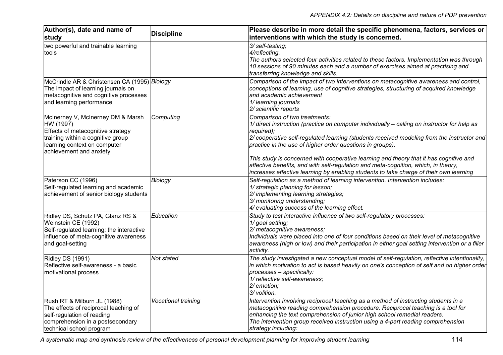| Author(s), date and name of<br>study                                                                                                                                                | <b>Discipline</b>   | Please describe in more detail the specific phenomena, factors, services or<br>interventions with which the study is concerned.                                                                                                                                                                                                                                                                                                                                                                                                                                                  |
|-------------------------------------------------------------------------------------------------------------------------------------------------------------------------------------|---------------------|----------------------------------------------------------------------------------------------------------------------------------------------------------------------------------------------------------------------------------------------------------------------------------------------------------------------------------------------------------------------------------------------------------------------------------------------------------------------------------------------------------------------------------------------------------------------------------|
| two powerful and trainable learning<br>tools                                                                                                                                        |                     | 3/ self-testing:<br>4/reflecting.<br>The authors selected four activities related to these factors. Implementation was through<br>10 sessions of 90 minutes each and a number of exercises aimed at practising and<br>transferring knowledge and skills.                                                                                                                                                                                                                                                                                                                         |
| McCrindle AR & Christensen CA (1995) Biology<br>The impact of learning journals on<br>metacognitive and cognitive processes<br>and learning performance                             |                     | Comparison of the impact of two interventions on metacognitive awareness and control,<br>conceptions of learning, use of cognitive strategies, structuring of acquired knowledge<br>and academic achievement<br>1/ learning journals<br>2/ scientific reports                                                                                                                                                                                                                                                                                                                    |
| McInerney V, McInerney DM & Marsh<br>HW (1997)<br>Effects of metacognitive strategy<br>training within a cognitive group<br>learning context on computer<br>achievement and anxiety | Computing           | Comparison of two treatments:<br>1/ direct instruction (practice on computer individually - calling on instructor for help as<br>required);<br>2/ cooperative self-regulated learning (students received modeling from the instructor and<br>practice in the use of higher order questions in groups).<br>This study is concerned with cooperative learning and theory that it has cognitive and<br>affective benefits, and with self-regulation and meta-cognition, which, in theory,<br>increases effective learning by enabling students to take charge of their own learning |
| Paterson CC (1996)<br>Self-regulated learning and academic<br>achievement of senior biology students                                                                                | Biology             | Self-regulation as a method of learning intervention. Intervention includes:<br>1/ strategic planning for lesson;<br>2/ implementing learning strategies;<br>3/ monitoring understanding;<br>4/ evaluating success of the learning effect.                                                                                                                                                                                                                                                                                                                                       |
| Ridley DS, Schutz PA, Glanz RS &<br>Weinstein CE (1992)<br>Self-regulated learning: the interactive<br>influence of meta-cognitive awareness<br>and goal-setting                    | Education           | Study to test interactive influence of two self-regulatory processes:<br>1/ goal setting;<br>2/ metacognitive awareness;<br>Individuals were placed into one of four conditions based on their level of metacognitive<br>awareness (high or low) and their participation in either goal setting intervention or a filler<br>activity.                                                                                                                                                                                                                                            |
| Ridley DS (1991)<br>Reflective self-awareness - a basic<br>motivational process                                                                                                     | Not stated          | The study investigated a new conceptual model of self-regulation, reflective intentionality,<br>in which motivation to act is based heavily on one's conception of self and on higher order<br>processes - specifically:<br>1/ reflective self-awareness;<br>2/ emotion;<br>3/ volition.                                                                                                                                                                                                                                                                                         |
| Rush RT & Milburn JL (1988)<br>The effects of reciprocal teaching of<br>self-regulation of reading<br>comprehension in a postsecondary<br>technical school program                  | Vocational training | Intervention involving reciprocal teaching as a method of instructing students in a<br>metacognitive reading comprehension procedure. Reciprocal teaching is a tool for<br>enhancing the text comprehension of junior high school remedial readers.<br>The intervention group received instruction using a 4-part reading comprehension<br>strategy including:                                                                                                                                                                                                                   |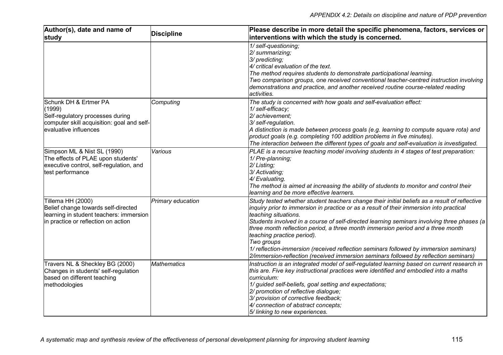| Author(s), date and name of<br>study                                                                                                       | <b>Discipline</b>  | Please describe in more detail the specific phenomena, factors, services or<br>interventions with which the study is concerned.                                                                                                                                                                                                                                                                                                                                                                                                                                                                                               |
|--------------------------------------------------------------------------------------------------------------------------------------------|--------------------|-------------------------------------------------------------------------------------------------------------------------------------------------------------------------------------------------------------------------------------------------------------------------------------------------------------------------------------------------------------------------------------------------------------------------------------------------------------------------------------------------------------------------------------------------------------------------------------------------------------------------------|
|                                                                                                                                            |                    | 1/ self-questioning;<br>2/ summarizing;<br>3/ predicting;<br>4/ critical evaluation of the text.<br>The method requires students to demonstrate participational learning.<br>Two comparison groups, one received conventional teacher-centred instruction involving<br>demonstrations and practice, and another received routine course-related reading<br>activities.                                                                                                                                                                                                                                                        |
| Schunk DH & Ertmer PA<br>(1999)<br>Self-regulatory processes during<br>computer skill acquisition: goal and self-<br>evaluative influences | Computing          | The study is concerned with how goals and self-evaluation effect:<br>1/ self-efficacy;<br>2/ achievement;<br>3/ self-regulation.<br>A distinction is made between process goals (e.g. learning to compute square rota) and<br>product goals (e.g. completing 100 addition problems in five minutes).<br>The interaction between the different types of goals and self-evaluation is investigated.                                                                                                                                                                                                                             |
| Simpson ML & Nist SL (1990)<br>The effects of PLAE upon students'<br>executive control, self-regulation, and<br>test performance           | Various            | PLAE is a recursive teaching model involving students in 4 stages of test preparation:<br>1/ Pre-planning;<br>2/ Listing;<br>3/ Activating;<br>4/ Evaluating.<br>The method is aimed at increasing the ability of students to monitor and control their<br>learning and be more effective learners.                                                                                                                                                                                                                                                                                                                           |
| Tillema HH (2000)<br>Belief change towards self-directed<br>learning in student teachers: immersion<br>in practice or reflection on action | Primary education  | Study tested whether student teachers change their initial beliefs as a result of reflective<br>inquiry prior to immersion in practice or as a result of their immersion into practical<br>teaching situations.<br>Students involved in a course of self-directed learning seminars involving three phases (a<br>three month reflection period, a three month immersion period and a three month<br>teaching practice period).<br>Two groups<br>1/ reflection-immersion (received reflection seminars followed by immersion seminars)<br>2/immersion-reflection (received immersion seminars followed by reflection seminars) |
| Travers NL & Sheckley BG (2000)<br>Changes in students' self-regulation<br>based on different teaching<br>methodologies                    | <b>Mathematics</b> | Instruction is an integrated model of self-regulated learning based on current research in<br>this are. Five key instructional practices were identified and embodied into a maths<br>curriculum:<br>1/ guided self-beliefs, goal setting and expectations;<br>2/ promotion of reflective dialogue;<br>3/ provision of corrective feedback;<br>4/ connection of abstract concepts;<br>5/ linking to new experiences.                                                                                                                                                                                                          |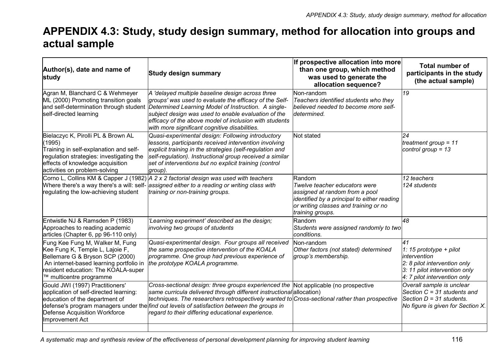# **APPENDIX 4.3: Study, study design summary, method for allocation into groups and actual sample**

| Author(s), date and name of<br>study                                                                                                                                                                               | <b>Study design summary</b>                                                                                                                                                                                                                                                                                                                                                                                            | If prospective allocation into more<br>than one group, which method<br>was used to generate the<br>allocation sequence?                                                               | <b>Total number of</b><br>participants in the study<br>(the actual sample)                                                                     |
|--------------------------------------------------------------------------------------------------------------------------------------------------------------------------------------------------------------------|------------------------------------------------------------------------------------------------------------------------------------------------------------------------------------------------------------------------------------------------------------------------------------------------------------------------------------------------------------------------------------------------------------------------|---------------------------------------------------------------------------------------------------------------------------------------------------------------------------------------|------------------------------------------------------------------------------------------------------------------------------------------------|
| Agran M, Blanchard C & Wehmeyer<br>ML (2000) Promoting transition goals<br>self-directed learning                                                                                                                  | A 'delayed multiple baseline design across three<br>groups' was used to evaluate the efficacy of the Self-<br>and self-determination through student Determined Learning Model of Instruction. A single-<br>subject design was used to enable evaluation of the<br>efficacy of the above model of inclusion with students<br>with more significant cognitive disabilities.                                             | Non-random<br>Teachers identified students who they<br>believed needed to become more self-<br>determined.                                                                            | 19                                                                                                                                             |
| Bielaczyc K, Pirolli PL & Brown AL<br>(1995)<br>Training in self-explanation and self-<br>regulation strategies: investigating the<br>effects of knowledge acquisition<br>activities on problem-solving            | Quasi-experimental design: Following introductory<br>lessons, participants received intervention involving<br>explicit training in the strategies (self-regulation and<br>self-regulation). Instructional group received a similar<br>set of interventions but no explicit training (control<br>group).                                                                                                                | Not stated                                                                                                                                                                            | 24<br>treatment group = $11$<br>control group = $13$                                                                                           |
| regulating the low-achieving student                                                                                                                                                                               | Corno L, Collins KM & Capper J (1982) A 2 x 2 factorial design was used with teachers<br>Where there's a way there's a will: self- assigned either to a reading or writing class with<br>training or non-training groups.                                                                                                                                                                                              | Random<br>Twelve teacher educators were<br>assigned at random from a pool<br>identified by a principal to either reading<br>or writing classes and training or no<br>training groups. | 12 teachers<br>124 students                                                                                                                    |
| Entwistle NJ & Ramsden P (1983)<br>Approaches to reading academic<br>articles (Chapter 6, pp 96-110 only)                                                                                                          | 'Learning experiment' described as the design;<br>involving two groups of students                                                                                                                                                                                                                                                                                                                                     | Random<br>Students were assigned randomly to two<br>lconditions.                                                                                                                      | 48                                                                                                                                             |
| Fung Kee Fung M, Walker M, Fung<br>Kee Fung K, Temple L, Lajoie F,<br>Bellemare G & Bryson SCP (2000)<br>An internet-based learning portfolio in<br>resident education: The KOALA-super<br>™ multicentre programme | Quasi-experimental design. Four groups all received<br>the same prospective intervention of the KOALA<br>programme. One group had previous experience of<br>the prototype KOALA programme.                                                                                                                                                                                                                             | Non-random<br>Other factors (not stated) determined<br>group's membership.                                                                                                            | 41<br>1: 15 prototype + pilot<br>intervention<br>2: 8 pilot intervention only<br>3: 11 pilot intervention only<br>4: 7 pilot intervention only |
| Gould JWI (1997) Practitioners'<br>application of self-directed learning:<br>education of the department of<br><b>Defense Acquisition Workforce</b><br>Improvement Act                                             | Cross-sectional design: three groups experienced the Not applicable (no prospective<br>same curricula delivered through different instructional allocation)<br>techniques. The researchers retrospectively wanted to Cross-sectional rather than prospective<br>defense's program managers under the <i>find out levels of satisfaction between the groups in</i><br>regard to their differing educational experience. |                                                                                                                                                                                       | Overall sample is unclear<br>Section $C = 31$ students and<br>Section $D = 31$ students.<br>No figure is given for Section X.                  |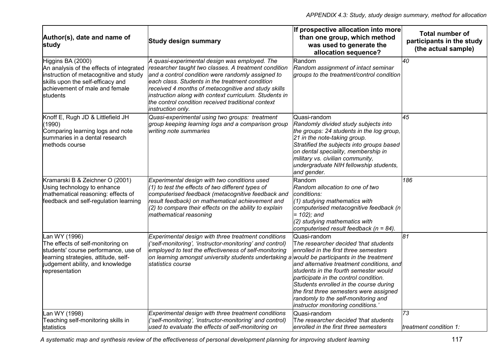| Author(s), date and name of<br>study                                                                                                                                                       | <b>Study design summary</b>                                                                                                                                                                                                                                                                                                                                                                                | If prospective allocation into more<br>than one group, which method<br>was used to generate the<br>allocation sequence?                                                                                                                                                                                                                                                                         | <b>Total number of</b><br>participants in the study<br>(the actual sample) |
|--------------------------------------------------------------------------------------------------------------------------------------------------------------------------------------------|------------------------------------------------------------------------------------------------------------------------------------------------------------------------------------------------------------------------------------------------------------------------------------------------------------------------------------------------------------------------------------------------------------|-------------------------------------------------------------------------------------------------------------------------------------------------------------------------------------------------------------------------------------------------------------------------------------------------------------------------------------------------------------------------------------------------|----------------------------------------------------------------------------|
| Higgins BA (2000)<br>An analysis of the effects of integrated<br>instruction of metacognitive and study<br>skills upon the self-efficacy and<br>achievement of male and female<br>students | A quasi-experimental design was employed. The<br>researcher taught two classes. A treatment condition<br>and a control condition were randomly assigned to<br>leach class. Students in the treatment condition<br>received 4 months of metacognitive and study skills<br>instruction along with context curriculum. Students in<br>the control condition received traditional context<br>instruction only. | Random<br>Random assignment of intact seminar<br>groups to the treatment/control condition                                                                                                                                                                                                                                                                                                      | 40                                                                         |
| Knoff E, Rugh JD & Littlefield JH<br>(1990)<br>Comparing learning logs and note<br>summaries in a dental research<br>methods course                                                        | Quasi-experimental using two groups: treatment<br>group keeping learning logs and a comparison group<br>writing note summaries                                                                                                                                                                                                                                                                             | Quasi-random<br>Randomly divided study subjects into<br>the groups: 24 students in the log group,<br>21 in the note-taking group.<br>Stratified the subjects into groups based<br>on dental speciality, membership in<br>military vs. civilian community,<br>undergraduate NIH fellowship students,<br>and gender.                                                                              | 45                                                                         |
| Kramarski B & Zeichner O (2001)<br>Using technology to enhance<br>mathematical reasoning: effects of<br>feedback and self-regulation learning                                              | Experimental design with two conditions used<br>$(1)$ to test the effects of two different types of<br>computerised feedback (metacognitive feedback and<br>result feedback) on mathematical achievement and<br>$(2)$ to compare their effects on the ability to explain<br>mathematical reasoning                                                                                                         | Random<br>Random allocation to one of two<br>conditions:<br>(1) studying mathematics with<br>computerised metacognitive feedback (n<br>$= 102$ ; and<br>(2) studying mathematics with<br>computerised result feedback ( $n = 84$ ).                                                                                                                                                             | 186                                                                        |
| Lan WY (1996)<br>The effects of self-monitoring on<br>students' course performance, use of<br>learning strategies, attitude, self-<br>judgement ability, and knowledge<br>representation   | Experimental design with three treatment conditions<br>('self-monitoring', 'instructor-monitoring' and control)<br>employed to test the effectiveness of self-monitoring<br>on learning amongst university students undertaking a would be participants in the treatment<br>statistics course                                                                                                              | Quasi-random<br>The researcher decided 'that students<br>enrolled in the first three semesters<br>and alternative treatment conditions, and<br>students in the fourth semester would<br>participate in the control condition.<br>Students enrolled in the course during<br>the first three semesters were assigned<br>randomly to the self-monitoring and<br>instructor monitoring conditions.' | 81                                                                         |
| Lan WY (1998)<br>Teaching self-monitoring skills in<br>lstatistics                                                                                                                         | Experimental design with three treatment conditions<br>('self-monitoring', 'instructor-monitoring' and control)<br>lused to evaluate the effects of self-monitoring on                                                                                                                                                                                                                                     | Quasi-random<br>The researcher decided 'that students<br>enrolled in the first three semesters                                                                                                                                                                                                                                                                                                  | 73<br>treatment condition 1:                                               |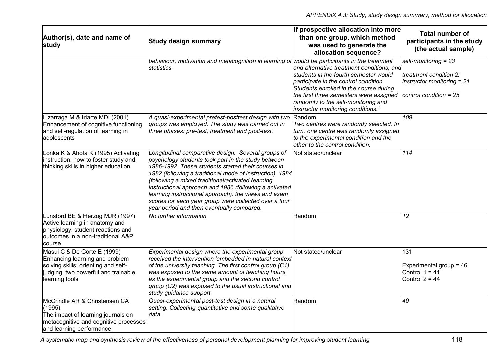| Author(s), date and name of<br>study                                                                                                                          | <b>Study design summary</b>                                                                                                                                                                                                                                                                                                                                                                                                                                                                             | If prospective allocation into more<br>than one group, which method<br>was used to generate the<br>allocation sequence?                                                                                                                                                                      | <b>Total number of</b><br>participants in the study<br>(the actual sample)                                  |
|---------------------------------------------------------------------------------------------------------------------------------------------------------------|---------------------------------------------------------------------------------------------------------------------------------------------------------------------------------------------------------------------------------------------------------------------------------------------------------------------------------------------------------------------------------------------------------------------------------------------------------------------------------------------------------|----------------------------------------------------------------------------------------------------------------------------------------------------------------------------------------------------------------------------------------------------------------------------------------------|-------------------------------------------------------------------------------------------------------------|
|                                                                                                                                                               | behaviour, motivation and metacognition in learning of would be participants in the treatment<br>lstatistics.                                                                                                                                                                                                                                                                                                                                                                                           | and alternative treatment conditions, and<br>students in the fourth semester would<br>participate in the control condition.<br>Students enrolled in the course during<br>the first three semesters were assigned<br>randomly to the self-monitoring and<br>instructor monitoring conditions. | self-monitoring $= 23$<br>treatment condition 2:<br>instructor monitoring = $21$<br> control condition = 25 |
| Lizarraga M & Iriarte MDI (2001)<br>Enhancement of cognitive functioning<br>and self-regulation of learning in<br>adolescents                                 | A quasi-experimental pretest-posttest design with two<br>groups was employed. The study was carried out in<br>three phases: pre-test, treatment and post-test.                                                                                                                                                                                                                                                                                                                                          | Random<br>Two centres were randomly selected. In<br>turn, one centre was randomly assigned<br>to the experimental condition and the<br>other to the control condition.                                                                                                                       | 109                                                                                                         |
| onka K & Ahola K (1995) Activating<br>instruction: how to foster study and<br>thinking skills in higher education                                             | Longitudinal comparative design. Several groups of<br>psychology students took part in the study between<br>1986-1992. These students started their courses in<br>1982 (following a traditional mode of instruction), 1984<br>(following a mixed traditional/activated learning<br>instructional approach and 1986 (following a activated<br>learning instructional approach). the views and exam<br>scores for each year group were collected over a four<br>year period and then eventually compared. | Not stated/unclear                                                                                                                                                                                                                                                                           | 114                                                                                                         |
| Lunsford BE & Herzog MJR (1997)<br>Active learning in anatomy and<br>physiology: student reactions and<br>outcomes in a non-traditional A&P<br>course         | No further information                                                                                                                                                                                                                                                                                                                                                                                                                                                                                  | lRandom                                                                                                                                                                                                                                                                                      | 12                                                                                                          |
| Masui C & De Corte E (1999)<br>Enhancing learning and problem<br>solving skills: orienting and self-<br>judging, two powerful and trainable<br>learning tools | Experimental design where the experimental group<br>received the intervention 'embedded in natural context<br>of the university teaching. The first control group (C1)<br>was exposed to the same amount of teaching hours<br>as the experimental group and the second control<br>group (C2) was exposed to the usual instructional and<br>study guidance support.                                                                                                                                      | Not stated/unclear                                                                                                                                                                                                                                                                           | 131<br>Experimental group = $46$<br>Control $1 = 41$<br>Control $2 = 44$                                    |
| McCrindle AR & Christensen CA<br>(1995)<br>The impact of learning journals on<br>metacognitive and cognitive processes<br>and learning performance            | Quasi-experimental post-test design in a natural<br>setting. Collecting quantitative and some qualitative<br>data.                                                                                                                                                                                                                                                                                                                                                                                      | Random                                                                                                                                                                                                                                                                                       | 40                                                                                                          |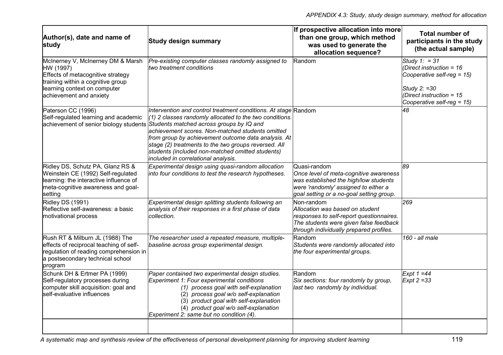| Author(s), date and name of<br>study                                                                                                                                                | <b>Study design summary</b>                                                                                                                                                                                                                                                                                                                                                                                                                                                  | If prospective allocation into more<br>than one group, which method<br>was used to generate the<br>allocation sequence?                                                             | <b>Total number of</b><br>participants in the study<br>(the actual sample)                                                                                   |
|-------------------------------------------------------------------------------------------------------------------------------------------------------------------------------------|------------------------------------------------------------------------------------------------------------------------------------------------------------------------------------------------------------------------------------------------------------------------------------------------------------------------------------------------------------------------------------------------------------------------------------------------------------------------------|-------------------------------------------------------------------------------------------------------------------------------------------------------------------------------------|--------------------------------------------------------------------------------------------------------------------------------------------------------------|
| McInerney V, McInerney DM & Marsh<br>HW (1997)<br>Effects of metacognitive strategy<br>training within a cognitive group<br>learning context on computer<br>achievement and anxiety | Pre-existing computer classes randomly assigned to<br>ltwo treatment conditions                                                                                                                                                                                                                                                                                                                                                                                              | Random                                                                                                                                                                              | Study 1: = $31$<br>(Direct instruction = $16$<br>Cooperative self-reg = $15$ )<br>Study $2: =30$<br>(Direct instruction = $15$<br>Cooperative self-reg = 15) |
| Paterson CC (1996)<br>Self-regulated learning and academic                                                                                                                          | Intervention and control treatment conditions. At stage Random<br>$(1)$ 2 classes randomly allocated to the two conditions.<br>achievement of senior biology students Students matched across groups by IQ and<br>achievement scores. Non-matched students omitted<br>from group by achievement outcome data analysis. At<br>stage (2) treatments to the two groups reversed. All<br>students (included non-matched omitted students)<br>included in correlational analysis. |                                                                                                                                                                                     | 48                                                                                                                                                           |
| Ridley DS, Schutz PA, Glanz RS &<br>Weinstein CE (1992) Self-regulated<br>learning: the interactive influence of<br>meta-cognitive awareness and goal-<br>setting                   | Experimental design using quasi-random allocation<br>into four conditions to test the research hypotheses.                                                                                                                                                                                                                                                                                                                                                                   | Quasi-random<br>Once level of meta-cognitive awareness<br>was established the high/low students<br>were 'randomly' assigned to either a<br>goal setting or a no-goal setting group. | 89                                                                                                                                                           |
| <b>Ridley DS (1991)</b><br>Reflective self-awareness: a basic<br>motivational process                                                                                               | Experimental design splitting students following an<br>analysis of their responses in a first phase of data<br>collection.                                                                                                                                                                                                                                                                                                                                                   | Non-random<br>Allocation was based on student<br>responses to self-report questionnaires.<br>The students were given false feedback<br>through individually prepared profiles.      | 269                                                                                                                                                          |
| Rush RT & Milburn JL (1988) The<br>effects of reciprocal teaching of self-<br>regulation of reading comprehension in<br>a postsecondary technical school<br>program                 | The researcher used a repeated measure, multiple-<br>baseline across group experimental design.                                                                                                                                                                                                                                                                                                                                                                              | Random<br>Students were randomly allocated into<br>the four experimental groups.                                                                                                    | 160 - all male                                                                                                                                               |
| Schunk DH & Ertmer PA (1999)<br>Self-regulatory processes during<br>computer skill acquisition: goal and<br>self-evaluative influences                                              | Paper contained two experimental design studies.<br>Experiment 1: Four experimental conditions<br>(1) process goal with self-explanation<br>(2) process goal w/o self-explanation<br>(3) product goal with self-explanation<br>(4) product goal w/o self-explanation<br>Experiment 2: same but no condition (4).                                                                                                                                                             | Random<br>Six sections: four randomly by group,<br>last two randomly by individual.                                                                                                 | $Expt 1 = 44$<br>$Expt 2 = 33$                                                                                                                               |
|                                                                                                                                                                                     |                                                                                                                                                                                                                                                                                                                                                                                                                                                                              |                                                                                                                                                                                     |                                                                                                                                                              |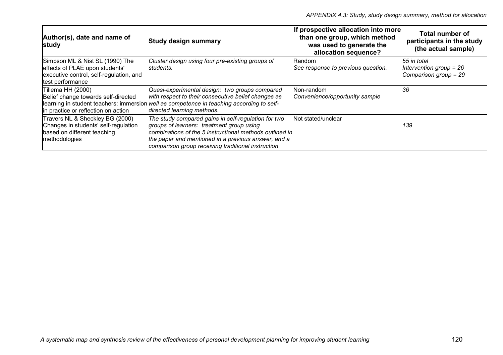| Author(s), date and name of<br>study                                                                                             | <b>Study design summary</b>                                                                                                                                                                                                                                               | If prospective allocation into more<br>than one group, which method<br>was used to generate the<br>allocation sequence? | <b>Total number of</b><br>participants in the study<br>(the actual sample) |
|----------------------------------------------------------------------------------------------------------------------------------|---------------------------------------------------------------------------------------------------------------------------------------------------------------------------------------------------------------------------------------------------------------------------|-------------------------------------------------------------------------------------------------------------------------|----------------------------------------------------------------------------|
| Simpson ML & Nist SL (1990) The<br>effects of PLAE upon students'<br>executive control, self-regulation, and<br>test performance | Cluster design using four pre-existing groups of<br>students.                                                                                                                                                                                                             | lRandom.<br>See response to previous question.                                                                          | 55 in total<br>Intervention group = $26$<br>Comparison group = 29          |
| Tillema HH (2000)<br>Belief change towards self-directed<br>in practice or reflection on action                                  | Quasi-experimental design: two groups compared<br>with respect to their consecutive belief changes as<br>learning in student teachers: immersion well as competence in teaching according to self-<br>directed learning methods.                                          | Non-random<br>Convenience/opportunity sample                                                                            | 36                                                                         |
| Travers NL & Sheckley BG (2000)<br>Changes in students' self-regulation<br>based on different teaching<br>methodologies          | The study compared gains in self-regulation for two<br>groups of learners: treatment group using<br>combinations of the 5 instructional methods outlined in<br>the paper and mentioned in a previous answer, and a<br>comparison group receiving traditional instruction. | Not stated/unclear                                                                                                      | 139                                                                        |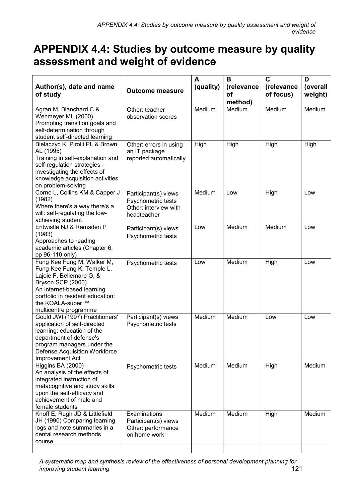# **APPENDIX 4.4: Studies by outcome measure by quality assessment and weight of evidence**

| Author(s), date and name<br>of study                                                                                                                                                                                      | <b>Outcome measure</b>                                                             |        | B<br>(relevance<br>Οf<br>method) | $\overline{\mathbf{c}}$<br>(relevance<br>of focus) | D<br>(overall<br>weight) |
|---------------------------------------------------------------------------------------------------------------------------------------------------------------------------------------------------------------------------|------------------------------------------------------------------------------------|--------|----------------------------------|----------------------------------------------------|--------------------------|
| Agran M, Blanchard C &<br>Wehmeyer ML (2000)<br>Promoting transition goals and<br>self-determination through<br>student self-directed learning                                                                            | Other: teacher<br>observation scores                                               | Medium | Medium                           | Medium                                             | Medium                   |
| Bielaczyc K, Pirolli PL & Brown<br>AL (1995)<br>Training in self-explanation and<br>self-regulation strategies -<br>investigating the effects of<br>knowledge acquisition activities<br>on problem-solving                | Other: errors in using<br>an IT package<br>reported automatically                  | High   | High                             | High                                               | High                     |
| Corno L, Collins KM & Capper J<br>(1982)<br>Where there's a way there's a<br>will: self-regulating the low-<br>achieving student                                                                                          | Participant(s) views<br>Psychometric tests<br>Other: interview with<br>headteacher | Medium | Low                              | High                                               | Low                      |
| Entwistle NJ & Ramsden P<br>(1983)<br>Approaches to reading<br>academic articles (Chapter 6,<br>pp 96-110 only)                                                                                                           | Participant(s) views<br>Psychometric tests                                         | Low    | Medium                           | Medium                                             | Low                      |
| Fung Kee Fung M, Walker M,<br>Fung Kee Fung K, Temple L,<br>Lajoie F, Bellemare G, &<br>Bryson SCP (2000)<br>An internet-based learning<br>portfolio in resident education:<br>the KOALA-super ™<br>multicentre programme | Psychometric tests                                                                 | Low    | Medium                           | High                                               | Low                      |
| Gould JWI (1997) Practitioners'<br>application of self-directed<br>learning: education of the<br>department of defense's<br>program managers under the<br>Defense Acquisition Workforce<br>Improvement Act                | Participant(s) views<br>Psychometric tests                                         | Medium | Medium                           | Low                                                | Low                      |
| Higgins BA (2000)<br>An analysis of the effects of<br>integrated instruction of<br>metacognitive and study skills<br>upon the self-efficacy and<br>achievement of male and<br>female students                             | Psychometric tests                                                                 | Medium | Medium                           | High                                               | Medium                   |
| Knoff E, Rugh JD & Littlefield<br>JH (1990) Comparing learning<br>logs and note summaries in a<br>dental research methods<br>course                                                                                       | Examinations<br>Participant(s) views<br>Other: performance<br>on home work         | Medium | Medium                           | High                                               | Medium                   |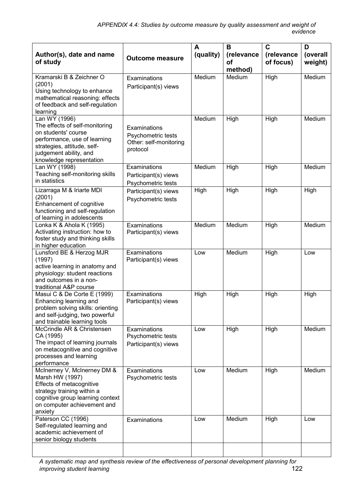| Author(s), date and name<br>of study                                                                                                                                                        | <b>Outcome measure</b>                                                   | A<br>(quality) | B<br>(relevance<br><b>of</b> | $\mathbf c$<br>(relevance<br>of focus) | D<br>(overall<br>weight) |
|---------------------------------------------------------------------------------------------------------------------------------------------------------------------------------------------|--------------------------------------------------------------------------|----------------|------------------------------|----------------------------------------|--------------------------|
|                                                                                                                                                                                             |                                                                          |                | method)                      |                                        |                          |
| Kramarski B & Zeichner O<br>(2001)<br>Using technology to enhance<br>mathematical reasoning: effects<br>of feedback and self-regulation<br>learning                                         | Examinations<br>Participant(s) views                                     | Medium         | Medium                       | High                                   | Medium                   |
| Lan WY (1996)<br>The effects of self-monitoring<br>on students' course<br>performance, use of learning<br>strategies, attitude, self-<br>judgement ability, and<br>knowledge representation | Examinations<br>Psychometric tests<br>Other: self-monitoring<br>protocol | Medium         | High                         | High                                   | Medium                   |
| Lan WY (1998)<br>Teaching self-monitoring skills<br>in statistics                                                                                                                           | Examinations<br>Participant(s) views<br>Psychometric tests               | Medium         | High                         | High                                   | Medium                   |
| Lizarraga M & Iriarte MDI<br>(2001)<br>Enhancement of cognitive<br>functioning and self-regulation<br>of learning in adolescents                                                            | Participant(s) views<br>Psychometric tests                               | High           | High                         | High                                   | High                     |
| Lonka K & Ahola K (1995)<br>Activating instruction: how to<br>foster study and thinking skills<br>in higher education                                                                       | Examinations<br>Participant(s) views                                     | Medium         | Medium                       | High                                   | Medium                   |
| Lunsford BE & Herzog MJR<br>(1997)<br>active learning in anatomy and<br>physiology: student reactions<br>and outcomes in a non-<br>traditional A&P course                                   | Examinations<br>Participant(s) views                                     | Low            | Medium                       | High                                   | Low                      |
| Masui C & De Corte E (1999)<br>Enhancing learning and<br>problem solving skills: orienting<br>and self-judging, two powerful<br>and trainable learning tools                                | Examinations<br>Participant(s) views                                     | High           | High                         | High                                   | High                     |
| McCrindle AR & Christensen<br>CA (1995)<br>The impact of learning journals<br>on metacognitive and cognitive<br>processes and learning<br>performance                                       | Examinations<br>Psychometric tests<br>Participant(s) views               | Low            | High                         | High                                   | Medium                   |
| McInerney V, McInerney DM &<br>Marsh HW (1997)<br>Effects of metacognitive<br>strategy training within a<br>cognitive group learning context<br>on computer achievement and<br>anxiety      | Examinations<br>Psychometric tests                                       | Low            | Medium                       | High                                   | Medium                   |
| Paterson CC (1996)<br>Self-regulated learning and<br>academic achievement of<br>senior biology students                                                                                     | Examinations                                                             | Low            | Medium                       | High                                   | Low                      |
|                                                                                                                                                                                             |                                                                          |                |                              |                                        |                          |

*A systematic map and synthesis review of the effectiveness of personal development planning for improving student learning*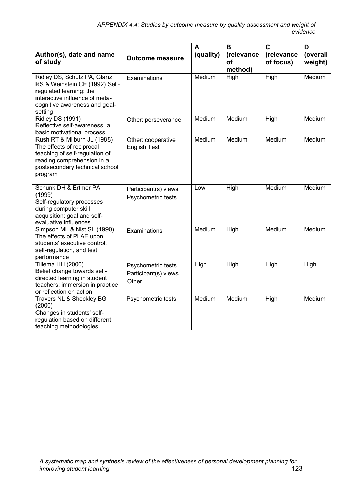| Author(s), date and name<br>of study                                                                                                                                   | <b>Outcome measure</b>                              | A<br>(quality) | B<br>(relevance<br>οf<br>method) | $\overline{\mathsf{c}}$<br>(relevance<br>of focus) | D<br>(overall<br>weight) |
|------------------------------------------------------------------------------------------------------------------------------------------------------------------------|-----------------------------------------------------|----------------|----------------------------------|----------------------------------------------------|--------------------------|
| Ridley DS, Schutz PA, Glanz<br>RS & Weinstein CE (1992) Self-<br>regulated learning: the<br>interactive influence of meta-<br>cognitive awareness and goal-<br>setting | Examinations                                        | Medium         | High                             | High                                               | Medium                   |
| <b>Ridley DS (1991)</b><br>Reflective self-awareness: a<br>basic motivational process                                                                                  | Other: perseverance                                 | Medium         | Medium                           | High                                               | Medium                   |
| Rush RT & Milburn JL (1988)<br>The effects of reciprocal<br>teaching of self-regulation of<br>reading comprehension in a<br>postsecondary technical school<br>program  | Other: cooperative<br><b>English Test</b>           | Medium         | Medium                           | Medium                                             | Medium                   |
| Schunk DH & Ertmer PA<br>(1999)<br>Self-regulatory processes<br>during computer skill<br>acquisition: goal and self-<br>evaluative influences                          | Participant(s) views<br>Psychometric tests          | Low            | High                             | Medium                                             | Medium                   |
| Simpson ML & Nist SL (1990)<br>The effects of PLAE upon<br>students' executive control,<br>self-regulation, and test<br>performance                                    | Examinations                                        | Medium         | High                             | Medium                                             | Medium                   |
| Tillema HH (2000)<br>Belief change towards self-<br>directed learning in student<br>teachers: immersion in practice<br>or reflection on action                         | Psychometric tests<br>Participant(s) views<br>Other | High           | High                             | High                                               | High                     |
| Travers NL & Sheckley BG<br>(2000)<br>Changes in students' self-<br>regulation based on different<br>teaching methodologies                                            | Psychometric tests                                  | Medium         | Medium                           | High                                               | Medium                   |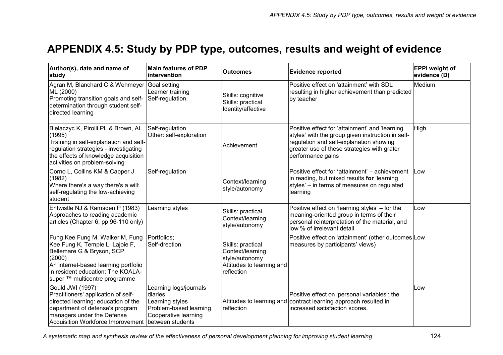### **APPENDIX 4.5: Study by PDP type, outcomes, results and weight of evidence**

| Author(s), date and name of<br>study                                                                                                                                                                                    | <b>Main features of PDP</b><br><b>lintervention</b>                                                                        | <b>Outcomes</b>                                                                                    | <b>Evidence reported</b>                                                                                                                                                                                           | <b>EPPI</b> weight of<br>evidence (D) |
|-------------------------------------------------------------------------------------------------------------------------------------------------------------------------------------------------------------------------|----------------------------------------------------------------------------------------------------------------------------|----------------------------------------------------------------------------------------------------|--------------------------------------------------------------------------------------------------------------------------------------------------------------------------------------------------------------------|---------------------------------------|
| Agran M, Blanchard C & Wehmeyer<br>ML (2000)<br>Promoting transition goals and self-<br>determination through student self-<br>directed learning                                                                        | Goal setting<br>Learner training<br>Self-regulation                                                                        | Skills: cognitive<br>Skills: practical<br>Identity/affective                                       | Positive effect on 'attainment' with SDL<br>resulting in higher achievement than predicted<br>by teacher                                                                                                           | Medium                                |
| Bielaczyc K, Pirolli PL & Brown, AL<br>(1995)<br>Training in self-explanation and self-<br>regulation strategies - investigating<br>the effects of knowledge acquisition<br>activities on problem-solving               | Self-regulation<br>Other: self-exploration                                                                                 | Achievement                                                                                        | Positive effect for 'attainment' and 'learning<br>styles' with the group given instruction in self-<br>regulation and self-explanation showing<br>greater use of these strategies with grater<br>performance gains | High                                  |
| Corno L, Collins KM & Capper J<br>(1982)<br>Where there's a way there's a will:<br>self-regulating the low-achieving<br>student                                                                                         | Self-regulation                                                                                                            | Context/learning<br>style/autonomy                                                                 | Positive effect for 'attainment' - achievement<br>in reading, but mixed results for 'learning<br>styles' – in terms of measures on regulated<br>learning                                                           | <b>Low</b>                            |
| Entwistle NJ & Ramsden P (1983)<br>Approaches to reading academic<br>articles (Chapter 6, pp 96-110 only)                                                                                                               | Learning styles                                                                                                            | Skills: practical<br>Context/learning<br>style/autonomy                                            | Positive effect on 'learning styles' – for the<br>meaning-oriented group in terms of their<br>personal reinterpretation of the material, and<br>low % of irrelevant detail                                         | Low                                   |
| Fung Kee Fung M, Walker M, Fung<br>Kee Fung K, Temple L, Lajoie F,<br>Bellemare G & Bryson, SCP<br>(2000)<br>An internet-based learning portfolio<br>in resident education: The KOALA-<br>super ™ multicentre programme | Portfolios:<br>Self-drection                                                                                               | Skills: practical<br>Context/learning<br>style/autonomy<br>Attitudes to learning and<br>reflection | Positive effect on 'attainment' (other outcomes Low<br>measures by participants' views)                                                                                                                            |                                       |
| Gould JWI (1997)<br>Practitioners' application of self-<br>directed learning: education of the<br>department of defense's program<br>managers under the Defense<br>Acquisition Workforce Improvement                    | Learning logs/journals<br>diaries<br>Learning styles<br>Problem-based learning<br>Cooperative learning<br>between students | reflection                                                                                         | Positive effect on 'personal variables': the<br>Attitudes to learning and contract learning approach resulted in<br>increased satisfaction scores.                                                                 | Low                                   |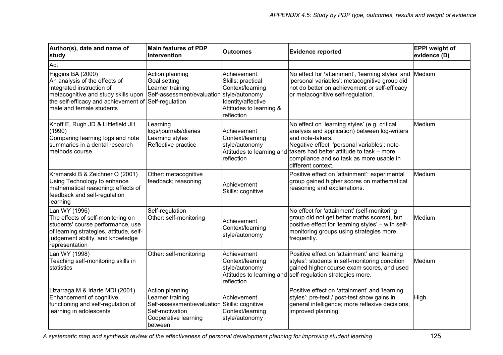| Author(s), date and name of<br>study                                                                                                                                                                       | <b>Main features of PDP</b><br>intervention                                                                                               | <b>Outcomes</b>                                                                                                     | <b>Evidence reported</b>                                                                                                                                                                                                                                                                                   | <b>EPPI</b> weight of<br>evidence (D) |
|------------------------------------------------------------------------------------------------------------------------------------------------------------------------------------------------------------|-------------------------------------------------------------------------------------------------------------------------------------------|---------------------------------------------------------------------------------------------------------------------|------------------------------------------------------------------------------------------------------------------------------------------------------------------------------------------------------------------------------------------------------------------------------------------------------------|---------------------------------------|
| Act                                                                                                                                                                                                        |                                                                                                                                           |                                                                                                                     |                                                                                                                                                                                                                                                                                                            |                                       |
| Higgins BA (2000)<br>An analysis of the effects of<br>integrated instruction of<br>metacognitive and study skills upon<br>the self-efficacy and achievement of Self-regulation<br>male and female students | Action planning<br>Goal setting<br>Learner training<br>Self-assessment/evaluation style/autonomy                                          | Achievement<br>Skills: practical<br>Context/learning<br>Identity/affective<br>Attitudes to learning &<br>reflection | No effect for 'attainment', 'learning styles' and<br>'personal variables': metacognitive group did<br>not do better on achievement or self-efficacy<br>or metacognitive self-regulation.                                                                                                                   | Medium                                |
| Knoff E, Rugh JD & Littlefield JH<br>(1990)<br>Comparing learning logs and note<br>summaries in a dental research<br>methods course                                                                        | Learning<br>logs/journals/diaries<br>Learning styles<br>Reflective practice                                                               | Achievement<br>Context/learning<br>style/autonomy<br>reflection                                                     | No effect on 'learning styles' (e.g. critical<br>analysis and application) between log-writers<br>and note-takers.<br>Negative effect 'personal variables': note-<br>Attitudes to learning and takers had better attitude to task - more<br>compliance and so task as more usable in<br>different context. | Medium                                |
| Kramarski B & Zeichner O (2001)<br>Using Technology to enhance<br>mathematical reasoning: effects of<br>feedback and self-regulation<br>learning                                                           | Other: metacognitive<br>feedback; reasoning                                                                                               | Achievement<br>Skills: cognitive                                                                                    | Positive effect on 'attainment': experimental<br>group gained higher scores on mathematical<br>reasoning and explanations.                                                                                                                                                                                 | Medium                                |
| Lan WY (1996)<br>The effects of self-monitoring on<br>students' course performance, use<br>of learning strategies, attitude, self-<br>judgement ability, and knowledge<br>representation                   | Self-regulation<br>Other: self-monitoring                                                                                                 | Achievement<br>Context/learning<br>style/autonomy                                                                   | No effect for 'attainment' (self-monitoring<br>group did not get better maths scores), but<br>positive effect for 'learning styles' - with self-<br>monitoring groups using strategies more<br>frequently.                                                                                                 | Medium                                |
| Lan WY (1998)<br>Teaching self-monitoring skills in<br>statistics                                                                                                                                          | Other: self-monitoring                                                                                                                    | Achievement<br>Context/learning<br>style/autonomy<br>reflection                                                     | Positive effect on 'attainment' and 'learning<br>styles': students in self-monitoring condition<br>gained higher course exam scores, and used<br>Attitudes to learning and self-regulation strategies more.                                                                                                | Medium                                |
| Lizarraga M & Iriarte MDI (2001)<br>Enhancement of cognitive<br>functioning and self-regulation of<br>learning in adolescents                                                                              | Action planning<br>Learner training<br>Self-assessment/evaluation Skills: cognitive<br>Self-motivation<br>Cooperative learning<br>between | Achievement<br>Context/learning<br>style/autonomy                                                                   | Positive effect on 'attainment' and 'learning<br>styles': pre-test / post-test show gains in<br>general intelligence; more reflexive decisions,<br>improved planning.                                                                                                                                      | High                                  |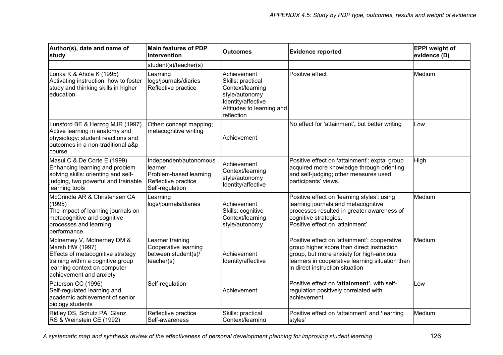| Author(s), date and name of<br>study                                                                                                                                                | <b>Main features of PDP</b><br>intervention                                                           | <b>Outcomes</b>                                                                                                                         | <b>Evidence reported</b>                                                                                                                                                                                                     | <b>EPPI</b> weight of<br>evidence (D) |
|-------------------------------------------------------------------------------------------------------------------------------------------------------------------------------------|-------------------------------------------------------------------------------------------------------|-----------------------------------------------------------------------------------------------------------------------------------------|------------------------------------------------------------------------------------------------------------------------------------------------------------------------------------------------------------------------------|---------------------------------------|
|                                                                                                                                                                                     | student(s)/teacher(s)                                                                                 |                                                                                                                                         |                                                                                                                                                                                                                              |                                       |
| Lonka K & Ahola K (1995)<br>Activating instruction: how to foster<br>study and thinking skills in higher<br>education                                                               | Learning<br>logs/journals/diaries<br>Reflective practice                                              | Achievement<br>Skills: practical<br>Context/learning<br>style/autonomy<br>Identity/affective<br>Attitudes to learning and<br>reflection | Positive effect                                                                                                                                                                                                              | Medium                                |
| Lunsford BE & Herzog MJR (1997)<br>Active learning in anatomy and<br>physiology: student reactions and<br>outcomes in a non-traditional a&p<br>course                               | Other: concept mapping;<br>metacognitive writing                                                      | Achievement                                                                                                                             | No effect for 'attainment', but better writing                                                                                                                                                                               | Low                                   |
| Masui C & De Corte E (1999)<br>Enhancing learning and problem<br>solving skills: orienting and self-<br>judging, two powerful and trainable<br>learning tools                       | Independent/autonomous<br>learner<br>Problem-based learning<br>Reflective practice<br>Self-regulation | Achievement<br>Context/learning<br>style/autonomy<br>Identity/affective                                                                 | Positive effect on 'attainment': exptal group<br>acquired more knowledge through orienting<br>and self-judging; other measures used<br>participants' views.                                                                  | High                                  |
| McCrindle AR & Christensen CA<br>(1995)<br>The impact of learning journals on<br>metacognitive and cognitive<br>processes and learning<br>performance                               | Learning<br>logs/journals/diaries                                                                     | Achievement<br>Skills: cognitive<br>Context/learning<br>style/autonomy                                                                  | Positive effect on 'learning styles': using<br>learning journals and metacognitive<br>processes resulted in greater awareness of<br>cognitive strategies.<br>Positive effect on 'attainment'.                                | Medium                                |
| McInerney V, McInerney DM &<br>Marsh HW (1997)<br>Effects of metacognitive strategy<br>training within a cognitive group<br>learning context on computer<br>achievement and anxiety | Learner training<br>Cooperative learning<br>between student(s)/<br>teacher(s)                         | Achievement<br>Identity/affective                                                                                                       | Positive effect on 'attainment': cooperative<br>group higher score than direct instruction<br>group, but more anxiety for high-anxious<br>learners in cooperative learning situation than<br>in direct instruction situation | Medium                                |
| Paterson CC (1996)<br>Self-regulated learning and<br>academic achievement of senior<br>biology students                                                                             | Self-regulation                                                                                       | Achievement                                                                                                                             | Positive effect on 'attainment', with self-<br>regulation positively correlated with<br>achievement.                                                                                                                         | Low                                   |
| Ridley DS, Schutz PA, Glanz<br>RS & Weinstein CE (1992)                                                                                                                             | Reflective practice<br>Self-awareness                                                                 | Skills: practical<br>Context/learning                                                                                                   | Positive effect on 'attainment' and 'learning<br>styles'                                                                                                                                                                     | Medium                                |